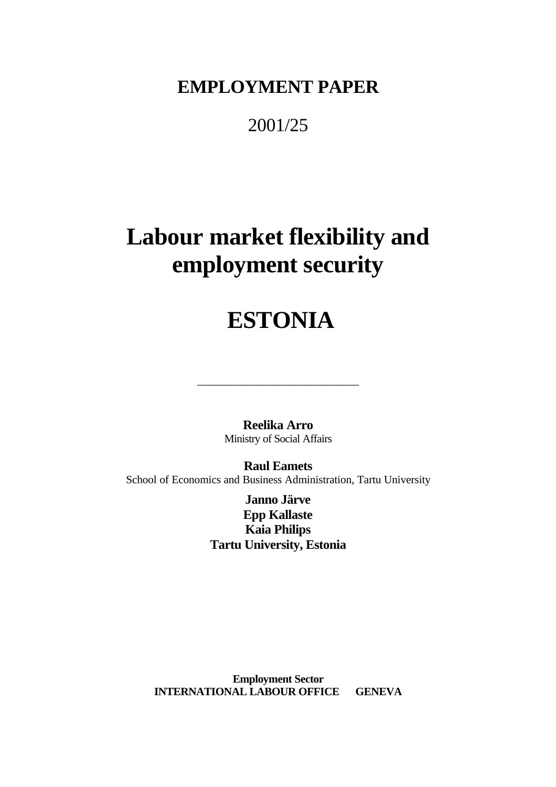**EMPLOYMENT PAPER**

2001/25

# **Labour market flexibility and employment security**

# **ESTONIA**

**Reelika Arro** Ministry of Social Affairs

\_\_\_\_\_\_\_\_\_\_\_\_\_\_\_\_\_\_\_\_\_\_\_\_\_\_\_\_\_\_

**Raul Eamets** School of Economics and Business Administration, Tartu University

> **Janno Järve Epp Kallaste Kaia Philips Tartu University, Estonia**

**Employment Sector INTERNATIONAL LABOUR OFFICE GENEVA**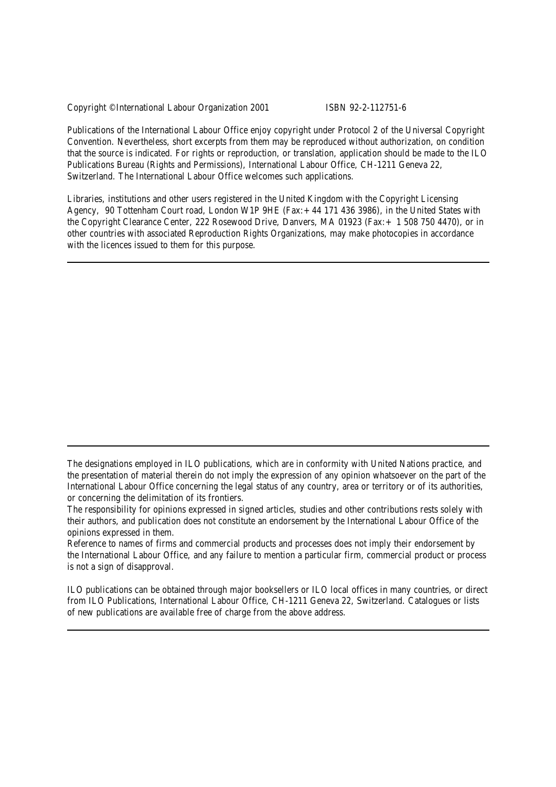Copyright © International Labour Organization 2001 ISBN 92-2-112751-6

Publications of the International Labour Office enjoy copyright under Protocol 2 of the Universal Copyright Convention. Nevertheless, short excerpts from them may be reproduced without authorization, on condition that the source is indicated. For rights or reproduction, or translation, application should be made to the ILO Publications Bureau (Rights and Permissions), International Labour Office, CH-1211 Geneva 22, Switzerland. The International Labour Office welcomes such applications.

Libraries, institutions and other users registered in the United Kingdom with the Copyright Licensing Agency, 90 Tottenham Court road, London W1P 9HE (Fax:+44 171 436 3986), in the United States with the Copyright Clearance Center, 222 Rosewood Drive, Danvers, MA 01923 (Fax:+ 1 508 750 4470), or in other countries with associated Reproduction Rights Organizations, may make photocopies in accordance with the licences issued to them for this purpose.

Reference to names of firms and commercial products and processes does not imply their endorsement by the International Labour Office, and any failure to mention a particular firm, commercial product or process is not a sign of disapproval.

ILO publications can be obtained through major booksellers or ILO local offices in many countries, or direct from ILO Publications, International Labour Office, CH-1211 Geneva 22, Switzerland. Catalogues or lists of new publications are available free of charge from the above address.

The designations employed in ILO publications, which are in conformity with United Nations practice, and the presentation of material therein do not imply the expression of any opinion whatsoever on the part of the International Labour Office concerning the legal status of any country, area or territory or of its authorities, or concerning the delimitation of its frontiers.

The responsibility for opinions expressed in signed articles, studies and other contributions rests solely with their authors, and publication does not constitute an endorsement by the International Labour Office of the opinions expressed in them.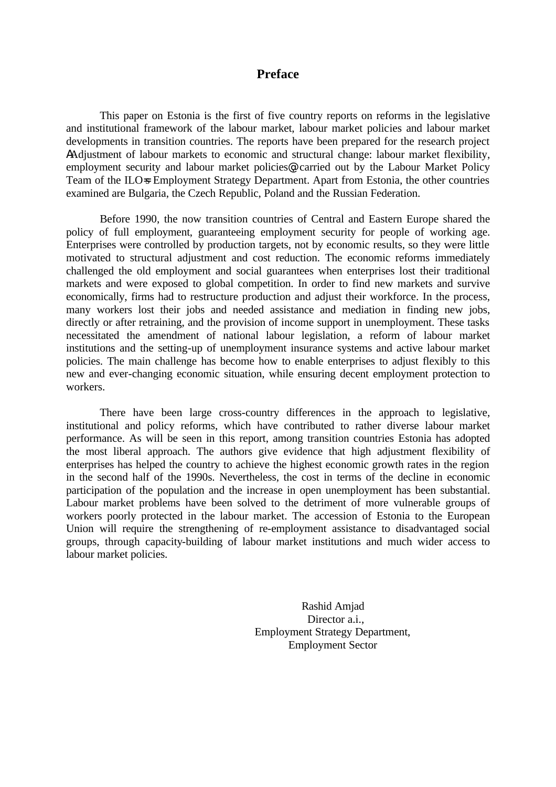## **Preface**

This paper on Estonia is the first of five country reports on reforms in the legislative and institutional framework of the labour market, labour market policies and labour market developments in transition countries. The reports have been prepared for the research project AAdjustment of labour markets to economic and structural change: labour market flexibility, employment security and labour market policies@, carried out by the Labour Market Policy Team of the ILO=s Employment Strategy Department. Apart from Estonia, the other countries examined are Bulgaria, the Czech Republic, Poland and the Russian Federation.

Before 1990, the now transition countries of Central and Eastern Europe shared the policy of full employment, guaranteeing employment security for people of working age. Enterprises were controlled by production targets, not by economic results, so they were little motivated to structural adjustment and cost reduction. The economic reforms immediately challenged the old employment and social guarantees when enterprises lost their traditional markets and were exposed to global competition. In order to find new markets and survive economically, firms had to restructure production and adjust their workforce. In the process, many workers lost their jobs and needed assistance and mediation in finding new jobs, directly or after retraining, and the provision of income support in unemployment. These tasks necessitated the amendment of national labour legislation, a reform of labour market institutions and the setting-up of unemployment insurance systems and active labour market policies. The main challenge has become how to enable enterprises to adjust flexibly to this new and ever-changing economic situation, while ensuring decent employment protection to workers.

There have been large cross-country differences in the approach to legislative, institutional and policy reforms, which have contributed to rather diverse labour market performance. As will be seen in this report, among transition countries Estonia has adopted the most liberal approach. The authors give evidence that high adjustment flexibility of enterprises has helped the country to achieve the highest economic growth rates in the region in the second half of the 1990s. Nevertheless, the cost in terms of the decline in economic participation of the population and the increase in open unemployment has been substantial. Labour market problems have been solved to the detriment of more vulnerable groups of workers poorly protected in the labour market. The accession of Estonia to the European Union will require the strengthening of re-employment assistance to disadvantaged social groups, through capacity-building of labour market institutions and much wider access to labour market policies.

> Rashid Amjad Director a.i., Employment Strategy Department, Employment Sector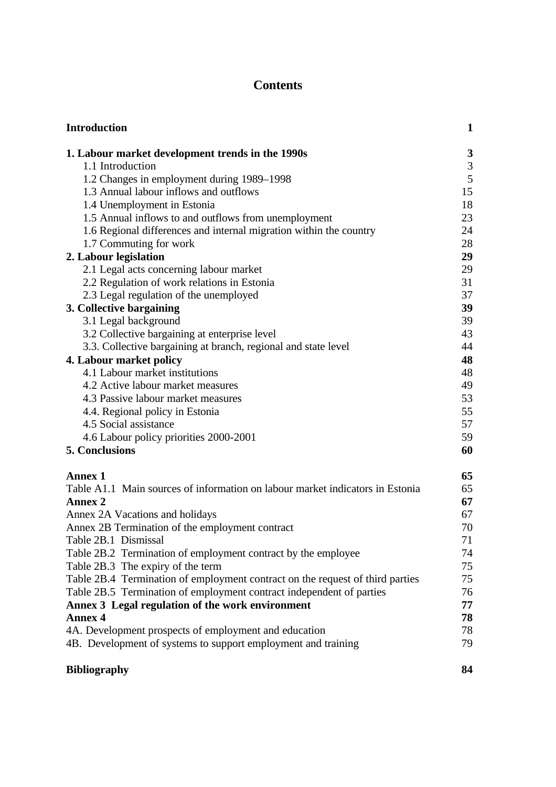## **Contents**

| <b>Introduction</b>                                                           | $\mathbf{1}$                |
|-------------------------------------------------------------------------------|-----------------------------|
| 1. Labour market development trends in the 1990s                              | $\boldsymbol{3}$            |
| 1.1 Introduction                                                              | $\ensuremath{\mathfrak{Z}}$ |
| 1.2 Changes in employment during 1989–1998                                    | $\mathfrak{S}$              |
| 1.3 Annual labour inflows and outflows                                        | 15                          |
| 1.4 Unemployment in Estonia                                                   | 18                          |
| 1.5 Annual inflows to and outflows from unemployment                          | 23                          |
| 1.6 Regional differences and internal migration within the country            | 24                          |
| 1.7 Commuting for work                                                        | 28                          |
| 2. Labour legislation                                                         | 29                          |
| 2.1 Legal acts concerning labour market                                       | 29                          |
| 2.2 Regulation of work relations in Estonia                                   | 31                          |
| 2.3 Legal regulation of the unemployed                                        | 37                          |
| 3. Collective bargaining                                                      | 39                          |
| 3.1 Legal background                                                          | 39                          |
| 3.2 Collective bargaining at enterprise level                                 | 43                          |
| 3.3. Collective bargaining at branch, regional and state level                | 44                          |
| 4. Labour market policy                                                       | 48                          |
| 4.1 Labour market institutions                                                | 48                          |
| 4.2 Active labour market measures                                             | 49                          |
| 4.3 Passive labour market measures                                            | 53                          |
| 4.4. Regional policy in Estonia                                               | 55                          |
| 4.5 Social assistance                                                         | 57                          |
| 4.6 Labour policy priorities 2000-2001                                        | 59                          |
| 5. Conclusions                                                                | 60                          |
| <b>Annex 1</b>                                                                | 65                          |
| Table A1.1 Main sources of information on labour market indicators in Estonia | 65                          |
| <b>Annex 2</b>                                                                | 67                          |
| Annex 2A Vacations and holidays                                               | 67                          |
| Annex 2B Termination of the employment contract                               | 70                          |
| Table 2B.1 Dismissal                                                          | 71                          |
| Table 2B.2 Termination of employment contract by the employee                 | 74                          |
| Table 2B.3 The expiry of the term                                             | 75                          |
| Table 2B.4 Termination of employment contract on the request of third parties | 75                          |
| Table 2B.5 Termination of employment contract independent of parties          | 76                          |
| Annex 3 Legal regulation of the work environment                              | 77                          |
| <b>Annex 4</b>                                                                | 78                          |
| 4A. Development prospects of employment and education                         | 78                          |
| 4B. Development of systems to support employment and training                 | 79                          |
| <b>Bibliography</b>                                                           | 84                          |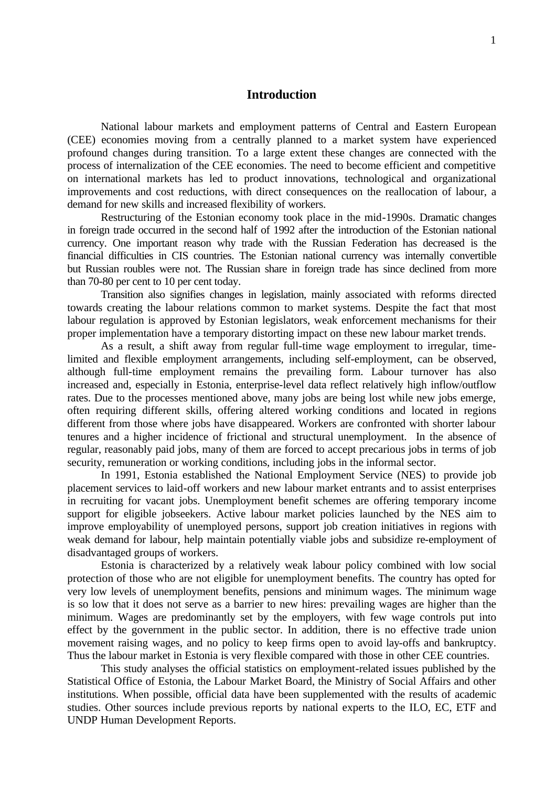## **Introduction**

National labour markets and employment patterns of Central and Eastern European (CEE) economies moving from a centrally planned to a market system have experienced profound changes during transition. To a large extent these changes are connected with the process of internalization of the CEE economies. The need to become efficient and competitive on international markets has led to product innovations, technological and organizational improvements and cost reductions, with direct consequences on the reallocation of labour, a demand for new skills and increased flexibility of workers.

Restructuring of the Estonian economy took place in the mid-1990s. Dramatic changes in foreign trade occurred in the second half of 1992 after the introduction of the Estonian national currency. One important reason why trade with the Russian Federation has decreased is the financial difficulties in CIS countries. The Estonian national currency was internally convertible but Russian roubles were not. The Russian share in foreign trade has since declined from more than 70-80 per cent to 10 per cent today.

Transition also signifies changes in legislation, mainly associated with reforms directed towards creating the labour relations common to market systems. Despite the fact that most labour regulation is approved by Estonian legislators, weak enforcement mechanisms for their proper implementation have a temporary distorting impact on these new labour market trends.

As a result, a shift away from regular full-time wage employment to irregular, timelimited and flexible employment arrangements, including self-employment, can be observed, although full-time employment remains the prevailing form. Labour turnover has also increased and, especially in Estonia, enterprise-level data reflect relatively high inflow/outflow rates. Due to the processes mentioned above, many jobs are being lost while new jobs emerge, often requiring different skills, offering altered working conditions and located in regions different from those where jobs have disappeared. Workers are confronted with shorter labour tenures and a higher incidence of frictional and structural unemployment. In the absence of regular, reasonably paid jobs, many of them are forced to accept precarious jobs in terms of job security, remuneration or working conditions, including jobs in the informal sector.

In 1991, Estonia established the National Employment Service (NES) to provide job placement services to laid-off workers and new labour market entrants and to assist enterprises in recruiting for vacant jobs. Unemployment benefit schemes are offering temporary income support for eligible jobseekers. Active labour market policies launched by the NES aim to improve employability of unemployed persons, support job creation initiatives in regions with weak demand for labour, help maintain potentially viable jobs and subsidize re-employment of disadvantaged groups of workers.

Estonia is characterized by a relatively weak labour policy combined with low social protection of those who are not eligible for unemployment benefits. The country has opted for very low levels of unemployment benefits, pensions and minimum wages. The minimum wage is so low that it does not serve as a barrier to new hires: prevailing wages are higher than the minimum. Wages are predominantly set by the employers, with few wage controls put into effect by the government in the public sector. In addition, there is no effective trade union movement raising wages, and no policy to keep firms open to avoid lay-offs and bankruptcy. Thus the labour market in Estonia is very flexible compared with those in other CEE countries.

This study analyses the official statistics on employment-related issues published by the Statistical Office of Estonia, the Labour Market Board, the Ministry of Social Affairs and other institutions. When possible, official data have been supplemented with the results of academic studies. Other sources include previous reports by national experts to the ILO, EC, ETF and UNDP Human Development Reports.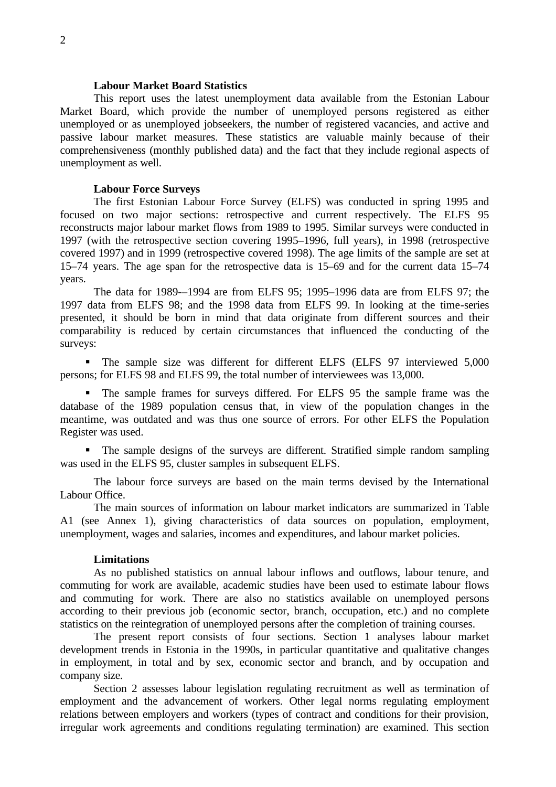#### **Labour Market Board Statistics**

This report uses the latest unemployment data available from the Estonian Labour Market Board, which provide the number of unemployed persons registered as either unemployed or as unemployed jobseekers, the number of registered vacancies, and active and passive labour market measures. These statistics are valuable mainly because of their comprehensiveness (monthly published data) and the fact that they include regional aspects of unemployment as well.

#### **Labour Force Surveys**

The first Estonian Labour Force Survey (ELFS) was conducted in spring 1995 and focused on two major sections: retrospective and current respectively. The ELFS 95 reconstructs major labour market flows from 1989 to 1995. Similar surveys were conducted in 1997 (with the retrospective section covering 1995–1996, full years), in 1998 (retrospective covered 1997) and in 1999 (retrospective covered 1998). The age limits of the sample are set at 15–74 years. The age span for the retrospective data is 15–69 and for the current data 15–74 years.

The data for 1989-–1994 are from ELFS 95; 1995–1996 data are from ELFS 97; the 1997 data from ELFS 98; and the 1998 data from ELFS 99. In looking at the time-series presented, it should be born in mind that data originate from different sources and their comparability is reduced by certain circumstances that influenced the conducting of the surveys:

• The sample size was different for different ELFS (ELFS 97 interviewed 5,000 persons; for ELFS 98 and ELFS 99, the total number of interviewees was 13,000.

• The sample frames for surveys differed. For ELFS 95 the sample frame was the database of the 1989 population census that, in view of the population changes in the meantime, was outdated and was thus one source of errors. For other ELFS the Population Register was used.

ß The sample designs of the surveys are different. Stratified simple random sampling was used in the ELFS 95, cluster samples in subsequent ELFS.

The labour force surveys are based on the main terms devised by the International Labour Office.

The main sources of information on labour market indicators are summarized in Table A1 (see Annex 1), giving characteristics of data sources on population, employment, unemployment, wages and salaries, incomes and expenditures, and labour market policies.

#### **Limitations**

As no published statistics on annual labour inflows and outflows, labour tenure, and commuting for work are available, academic studies have been used to estimate labour flows and commuting for work. There are also no statistics available on unemployed persons according to their previous job (economic sector, branch, occupation, etc.) and no complete statistics on the reintegration of unemployed persons after the completion of training courses.

The present report consists of four sections. Section 1 analyses labour market development trends in Estonia in the 1990s, in particular quantitative and qualitative changes in employment, in total and by sex, economic sector and branch, and by occupation and company size.

Section 2 assesses labour legislation regulating recruitment as well as termination of employment and the advancement of workers. Other legal norms regulating employment relations between employers and workers (types of contract and conditions for their provision, irregular work agreements and conditions regulating termination) are examined. This section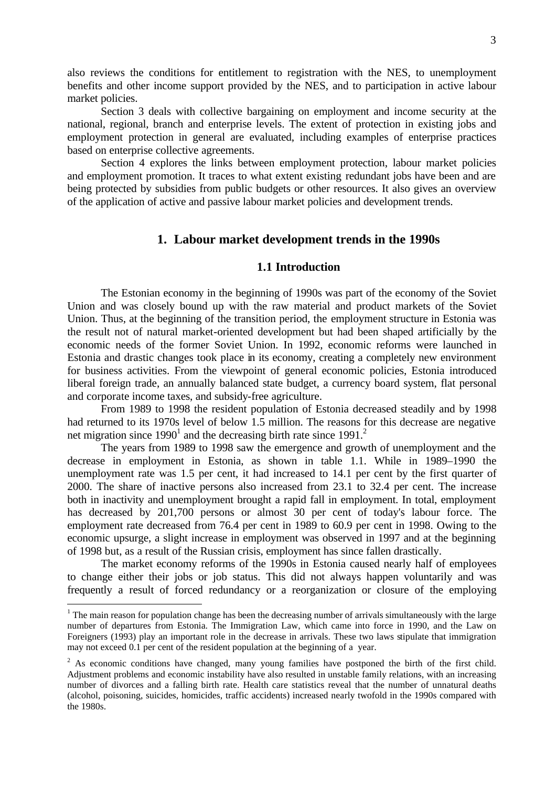also reviews the conditions for entitlement to registration with the NES, to unemployment benefits and other income support provided by the NES, and to participation in active labour market policies.

Section 3 deals with collective bargaining on employment and income security at the national, regional, branch and enterprise levels. The extent of protection in existing jobs and employment protection in general are evaluated, including examples of enterprise practices based on enterprise collective agreements.

Section 4 explores the links between employment protection, labour market policies and employment promotion. It traces to what extent existing redundant jobs have been and are being protected by subsidies from public budgets or other resources. It also gives an overview of the application of active and passive labour market policies and development trends.

## **1. Labour market development trends in the 1990s**

## **1.1 Introduction**

The Estonian economy in the beginning of 1990s was part of the economy of the Soviet Union and was closely bound up with the raw material and product markets of the Soviet Union. Thus, at the beginning of the transition period, the employment structure in Estonia was the result not of natural market-oriented development but had been shaped artificially by the economic needs of the former Soviet Union. In 1992, economic reforms were launched in Estonia and drastic changes took place in its economy, creating a completely new environment for business activities. From the viewpoint of general economic policies, Estonia introduced liberal foreign trade, an annually balanced state budget, a currency board system, flat personal and corporate income taxes, and subsidy-free agriculture.

From 1989 to 1998 the resident population of Estonia decreased steadily and by 1998 had returned to its 1970s level of below 1.5 million. The reasons for this decrease are negative net migration since  $1990<sup>1</sup>$  and the decreasing birth rate since  $1991<sup>2</sup>$ 

The years from 1989 to 1998 saw the emergence and growth of unemployment and the decrease in employment in Estonia, as shown in table 1.1. While in 1989–1990 the unemployment rate was 1.5 per cent, it had increased to 14.1 per cent by the first quarter of 2000. The share of inactive persons also increased from 23.1 to 32.4 per cent. The increase both in inactivity and unemployment brought a rapid fall in employment. In total, employment has decreased by 201,700 persons or almost 30 per cent of today's labour force. The employment rate decreased from 76.4 per cent in 1989 to 60.9 per cent in 1998. Owing to the economic upsurge, a slight increase in employment was observed in 1997 and at the beginning of 1998 but, as a result of the Russian crisis, employment has since fallen drastically.

The market economy reforms of the 1990s in Estonia caused nearly half of employees to change either their jobs or job status. This did not always happen voluntarily and was frequently a result of forced redundancy or a reorganization or closure of the employing

 $\overline{a}$ 

<sup>&</sup>lt;sup>1</sup> The main reason for population change has been the decreasing number of arrivals simultaneously with the large number of departures from Estonia. The Immigration Law, which came into force in 1990, and the Law on Foreigners (1993) play an important role in the decrease in arrivals. These two laws stipulate that immigration may not exceed 0.1 per cent of the resident population at the beginning of a year.

 $2^2$  As economic conditions have changed, many young families have postponed the birth of the first child. Adjustment problems and economic instability have also resulted in unstable family relations, with an increasing number of divorces and a falling birth rate. Health care statistics reveal that the number of unnatural deaths (alcohol, poisoning, suicides, homicides, traffic accidents) increased nearly twofold in the 1990s compared with the 1980s.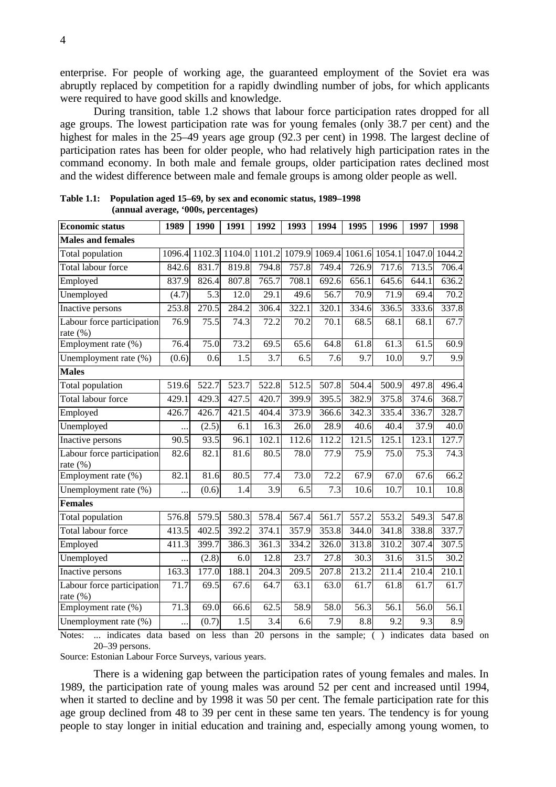enterprise. For people of working age, the guaranteed employment of the Soviet era was abruptly replaced by competition for a rapidly dwindling number of jobs, for which applicants were required to have good skills and knowledge.

During transition, table 1.2 shows that labour force participation rates dropped for all age groups. The lowest participation rate was for young females (only 38.7 per cent) and the highest for males in the 25–49 years age group (92.3 per cent) in 1998. The largest decline of participation rates has been for older people, who had relatively high participation rates in the command economy. In both male and female groups, older participation rates declined most and the widest difference between male and female groups is among older people as well.

| <b>Economic status</b>                    | 1989      | 1990   | 1991  | 1992             | 1993  | 1994              | 1995                        | 1996               | 1997  | 1998             |
|-------------------------------------------|-----------|--------|-------|------------------|-------|-------------------|-----------------------------|--------------------|-------|------------------|
| <b>Males and females</b>                  |           |        |       |                  |       |                   |                             |                    |       |                  |
| Total population                          | 1096.4    | 1102.3 |       | 1104.0 1101.2    |       |                   | 1079.9 1069.4 1061.6 1054.1 |                    |       | 1047.0 1044.2    |
| Total labour force                        | 842.6     | 831.7  | 819.8 | 794.8            | 757.8 | 749.4             | 726.9                       | 717.6              | 713.5 | 706.4            |
| Employed                                  | 837.9     | 826.4  | 807.8 | 765.7            | 708.1 | 692.6             | 656.1                       | 645.6              | 644.1 | 636.2            |
| Unemployed                                | (4.7)     | 5.3    | 12.0  | 29.1             | 49.6  | 56.7              | 70.9                        | 71.9               | 69.4  | 70.2             |
| Inactive persons                          | 253.8     | 270.5  | 284.2 | 306.4            | 322.1 | 320.1             | 334.6                       | 336.5              | 333.6 | 337.8            |
| Labour force participation<br>rate (%)    | 76.9      | 75.5   | 74.3  | 72.2             | 70.2  | 70.1              | 68.5                        | 68.1               | 68.1  | 67.7             |
| Employment rate (%)                       | 76.4      | 75.0   | 73.2  | 69.5             | 65.6  | $64.\overline{8}$ | 61.8                        | 61.3               | 61.5  | 60.9             |
| Unemployment rate (%)                     | (0.6)     | 0.6    | 1.5   | $\overline{3.7}$ | 6.5   | 7.6               | 9.7                         | 10.0               | 9.7   | $\overline{9.9}$ |
| <b>Males</b>                              |           |        |       |                  |       |                   |                             |                    |       |                  |
| Total population                          | 519.6     | 522.7  | 523.7 | 522.8            | 512.5 | 507.8             | 504.4                       | 500.9              | 497.8 | 496.4            |
| Total labour force                        | 429.1     | 429.3  | 427.5 | 420.7            | 399.9 | 395.5             | 382.9                       | 375.8              | 374.6 | 368.7            |
| Employed                                  | 426.7     | 426.7  | 421.5 | 404.4            | 373.9 | 366.6             | 342.3                       | 335.4              | 336.7 | 328.7            |
| Unemployed                                |           | (2.5)  | 6.1   | 16.3             | 26.0  | 28.9              | 40.6                        | 40.4               | 37.9  | 40.0             |
| Inactive persons                          | 90.5      | 93.5   | 96.1  | 102.1            | 112.6 | 112.2             | 121.5                       | 125.1              | 123.1 | 127.7            |
| Labour force participation<br>rate $(\%)$ | 82.6      | 82.1   | 81.6  | 80.5             | 78.0  | 77.9              | 75.9                        | 75.0               | 75.3  | 74.3             |
| Employment rate (%)                       | 82.1      | 81.6   | 80.5  | 77.4             | 73.0  | 72.2              | 67.9                        | 67.0               | 67.6  | 66.2             |
| Unemployment rate (%)                     | $\ddotsc$ | (0.6)  | 1.4   | 3.9              | 6.5   | 7.3               | 10.6                        | 10.7               | 10.1  | 10.8             |
| <b>Females</b>                            |           |        |       |                  |       |                   |                             |                    |       |                  |
| Total population                          | 576.8     | 579.5  | 580.3 | 578.4            | 567.4 | 561.7             | 557.2                       | $5\overline{53.2}$ | 549.3 | 547.8            |
| <b>Total labour force</b>                 | 413.5     | 402.5  | 392.2 | 374.1            | 357.9 | 353.8             | 344.0                       | 341.8              | 338.8 | 337.7            |
| Employed                                  | 411.3     | 399.7  | 386.3 | 361.3            | 334.2 | 326.0             | 313.8                       | 310.2              | 307.4 | 307.5            |
| Unemployed                                |           | (2.8)  | 6.0   | 12.8             | 23.7  | 27.8              | 30.3                        | 31.6               | 31.5  | 30.2             |
| Inactive persons                          | 163.3     | 177.0  | 188.1 | 204.3            | 209.5 | 207.8             | 213.2                       | 211.4              | 210.4 | 210.1            |
| Labour force participation<br>rate (%)    | 71.7      | 69.5   | 67.6  | 64.7             | 63.1  | 63.0              | 61.7                        | 61.8               | 61.7  | 61.7             |
| Employment rate (%)                       | 71.3      | 69.0   | 66.6  | 62.5             | 58.9  | 58.0              | 56.3                        | 56.1               | 56.0  | 56.1             |
| Unemployment rate (%)                     | .         | (0.7)  | 1.5   | 3.4              | 6.6   | 7.9               | 8.8                         | 9.2                | 9.3   | $\overline{8.9}$ |

**Table 1.1: Population aged 15–69, by sex and economic status, 1989–1998 (annual average, '000s, percentages)**

Notes: ... indicates data based on less than 20 persons in the sample; ( ) indicates data based on 20–39 persons.

Source: Estonian Labour Force Surveys, various years.

There is a widening gap between the participation rates of young females and males. In 1989, the participation rate of young males was around 52 per cent and increased until 1994, when it started to decline and by 1998 it was 50 per cent. The female participation rate for this age group declined from 48 to 39 per cent in these same ten years. The tendency is for young people to stay longer in initial education and training and, especially among young women, to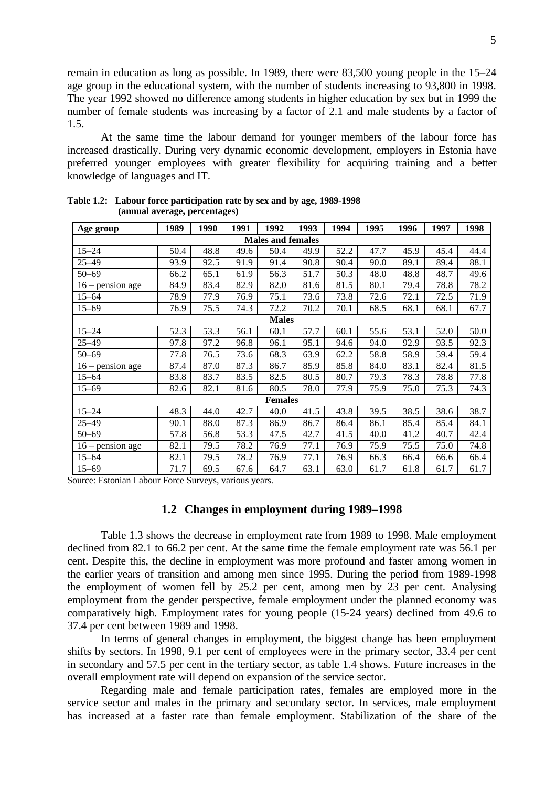remain in education as long as possible. In 1989, there were 83,500 young people in the 15–24 age group in the educational system, with the number of students increasing to 93,800 in 1998. The year 1992 showed no difference among students in higher education by sex but in 1999 the number of female students was increasing by a factor of 2.1 and male students by a factor of 1.5.

At the same time the labour demand for younger members of the labour force has increased drastically. During very dynamic economic development, employers in Estonia have preferred younger employees with greater flexibility for acquiring training and a better knowledge of languages and IT.

| Age group          | 1989 | 1990 | 1991 | 1992                     | 1993 | 1994 | 1995 | 1996 | 1997 | 1998 |
|--------------------|------|------|------|--------------------------|------|------|------|------|------|------|
|                    |      |      |      | <b>Males and females</b> |      |      |      |      |      |      |
| $15 - 24$          | 50.4 | 48.8 | 49.6 | 50.4                     | 49.9 | 52.2 | 47.7 | 45.9 | 45.4 | 44.4 |
| $25 - 49$          | 93.9 | 92.5 | 91.9 | 91.4                     | 90.8 | 90.4 | 90.0 | 89.1 | 89.4 | 88.1 |
| $50 - 69$          | 66.2 | 65.1 | 61.9 | 56.3                     | 51.7 | 50.3 | 48.0 | 48.8 | 48.7 | 49.6 |
| $16$ – pension age | 84.9 | 83.4 | 82.9 | 82.0                     | 81.6 | 81.5 | 80.1 | 79.4 | 78.8 | 78.2 |
| $15 - 64$          | 78.9 | 77.9 | 76.9 | 75.1                     | 73.6 | 73.8 | 72.6 | 72.1 | 72.5 | 71.9 |
| $15 - 69$          | 76.9 | 75.5 | 74.3 | 72.2                     | 70.2 | 70.1 | 68.5 | 68.1 | 68.1 | 67.7 |
|                    |      |      |      | <b>Males</b>             |      |      |      |      |      |      |
| $15 - 24$          | 52.3 | 53.3 | 56.1 | 60.1                     | 57.7 | 60.1 | 55.6 | 53.1 | 52.0 | 50.0 |
| $25 - 49$          | 97.8 | 97.2 | 96.8 | 96.1                     | 95.1 | 94.6 | 94.0 | 92.9 | 93.5 | 92.3 |
| 50–69              | 77.8 | 76.5 | 73.6 | 68.3                     | 63.9 | 62.2 | 58.8 | 58.9 | 59.4 | 59.4 |
| $16$ – pension age | 87.4 | 87.0 | 87.3 | 86.7                     | 85.9 | 85.8 | 84.0 | 83.1 | 82.4 | 81.5 |
| $15 - 64$          | 83.8 | 83.7 | 83.5 | 82.5                     | 80.5 | 80.7 | 79.3 | 78.3 | 78.8 | 77.8 |
| $15 - 69$          | 82.6 | 82.1 | 81.6 | 80.5                     | 78.0 | 77.9 | 75.9 | 75.0 | 75.3 | 74.3 |
|                    |      |      |      | <b>Females</b>           |      |      |      |      |      |      |
| $15 - 24$          | 48.3 | 44.0 | 42.7 | 40.0                     | 41.5 | 43.8 | 39.5 | 38.5 | 38.6 | 38.7 |
| $25 - 49$          | 90.1 | 88.0 | 87.3 | 86.9                     | 86.7 | 86.4 | 86.1 | 85.4 | 85.4 | 84.1 |
| 50-69              | 57.8 | 56.8 | 53.3 | 47.5                     | 42.7 | 41.5 | 40.0 | 41.2 | 40.7 | 42.4 |
| $16$ – pension age | 82.1 | 79.5 | 78.2 | 76.9                     | 77.1 | 76.9 | 75.9 | 75.5 | 75.0 | 74.8 |
| $15 - 64$          | 82.1 | 79.5 | 78.2 | 76.9                     | 77.1 | 76.9 | 66.3 | 66.4 | 66.6 | 66.4 |
| $15 - 69$          | 71.7 | 69.5 | 67.6 | 64.7                     | 63.1 | 63.0 | 61.7 | 61.8 | 61.7 | 61.7 |

**Table 1.2: Labour force participation rate by sex and by age, 1989-1998 (annual average, percentages)**

Source: Estonian Labour Force Surveys, various years.

## **1.2 Changes in employment during 1989–1998**

Table 1.3 shows the decrease in employment rate from 1989 to 1998. Male employment declined from 82.1 to 66.2 per cent. At the same time the female employment rate was 56.1 per cent. Despite this, the decline in employment was more profound and faster among women in the earlier years of transition and among men since 1995. During the period from 1989-1998 the employment of women fell by 25.2 per cent, among men by 23 per cent. Analysing employment from the gender perspective, female employment under the planned economy was comparatively high. Employment rates for young people (15-24 years) declined from 49.6 to 37.4 per cent between 1989 and 1998.

In terms of general changes in employment, the biggest change has been employment shifts by sectors. In 1998, 9.1 per cent of employees were in the primary sector, 33.4 per cent in secondary and 57.5 per cent in the tertiary sector, as table 1.4 shows. Future increases in the overall employment rate will depend on expansion of the service sector.

Regarding male and female participation rates, females are employed more in the service sector and males in the primary and secondary sector. In services, male employment has increased at a faster rate than female employment. Stabilization of the share of the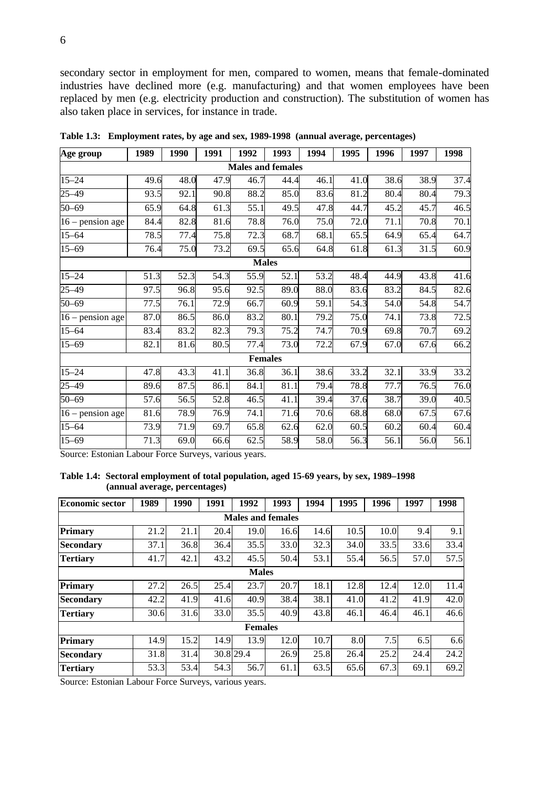secondary sector in employment for men, compared to women, means that female-dominated industries have declined more (e.g. manufacturing) and that women employees have been replaced by men (e.g. electricity production and construction). The substitution of women has also taken place in services, for instance in trade.

| Age group          | 1989 | 1990 | 1991 | 1992 | 1993                     | 1994              | 1995 | 1996 | 1997 | 1998              |
|--------------------|------|------|------|------|--------------------------|-------------------|------|------|------|-------------------|
|                    |      |      |      |      | <b>Males and females</b> |                   |      |      |      |                   |
| $15 - 24$          | 49.6 | 48.0 | 47.9 | 46.7 | 44.4                     | 46.1              | 41.0 | 38.6 | 38.9 | 37.4              |
| $25 - 49$          | 93.5 | 92.1 | 90.8 | 88.2 | 85.0                     | 83.6              | 81.2 | 80.4 | 80.4 | 79.3              |
| $50 - 69$          | 65.9 | 64.8 | 61.3 | 55.1 | 49.5                     | 47.8              | 44.7 | 45.2 | 45.7 | 46.5              |
| $16$ – pension age | 84.4 | 82.8 | 81.6 | 78.8 | 76.0                     | 75.0              | 72.0 | 71.1 | 70.8 | 70.1              |
| $15 - 64$          | 78.5 | 77.4 | 75.8 | 72.3 | 68.7                     | 68.1              | 65.5 | 64.9 | 65.4 | 64.7              |
| $15 - 69$          | 76.4 | 75.0 | 73.2 | 69.5 | 65.6                     | 64.8              | 61.8 | 61.3 | 31.5 | 60.9              |
|                    |      |      |      |      | <b>Males</b>             |                   |      |      |      |                   |
| $15 - 24$          | 51.3 | 52.3 | 54.3 | 55.9 | 52.1                     | $\overline{53.2}$ | 48.4 | 44.9 | 43.8 | 41.6              |
| $25 - 49$          | 97.5 | 96.8 | 95.6 | 92.5 | 89.0                     | 88.0              | 83.6 | 83.2 | 84.5 | 82.6              |
| $50 - 69$          | 77.5 | 76.1 | 72.9 | 66.7 | 60.9                     | 59.1              | 54.3 | 54.0 | 54.8 | 54.7              |
| $16$ – pension age | 87.0 | 86.5 | 86.0 | 83.2 | 80.1                     | 79.2              | 75.0 | 74.1 | 73.8 | 72.5              |
| $15 - 64$          | 83.4 | 83.2 | 82.3 | 79.3 | 75.2                     | 74.7              | 70.9 | 69.8 | 70.7 | 69.2              |
| $15 - 69$          | 82.1 | 81.6 | 80.5 | 77.4 | 73.0                     | 72.2              | 67.9 | 67.0 | 67.6 | 66.2              |
|                    |      |      |      |      | <b>Females</b>           |                   |      |      |      |                   |
| $15 - 24$          | 47.8 | 43.3 | 41.1 | 36.8 | 36.1                     | 38.6              | 33.2 | 32.1 | 33.9 | 33.2              |
| $25 - 49$          | 89.6 | 87.5 | 86.1 | 84.1 | 81.1                     | 79.4              | 78.8 | 77.7 | 76.5 | $\overline{7}6.0$ |
| $50 - 69$          | 57.6 | 56.5 | 52.8 | 46.5 | 41.1                     | 39.4              | 37.6 | 38.7 | 39.0 | 40.5              |
| $16$ – pension age | 81.6 | 78.9 | 76.9 | 74.1 | 71.6                     | 70.6              | 68.8 | 68.0 | 67.5 | 67.6              |
| $15 - 64$          | 73.9 | 71.9 | 69.7 | 65.8 | 62.6                     | 62.0              | 60.5 | 60.2 | 60.4 | 60.4              |
| $15 - 69$          | 71.3 | 69.0 | 66.6 | 62.5 | 58.9                     | 58.0              | 56.3 | 56.1 | 56.0 | 56.1              |

**Table 1.3: Employment rates, by age and sex, 1989-1998 (annual average, percentages)**

Source: Estonian Labour Force Surveys, various years.

**Table 1.4: Sectoral employment of total population, aged 15-69 years, by sex, 1989–1998 (annual average, percentages)**

| <b>Economic sector</b> | 1989 | 1990 | 1991 | 1992                     | 1993 | 1994 | 1995 | 1996 | 1997 | 1998 |  |
|------------------------|------|------|------|--------------------------|------|------|------|------|------|------|--|
|                        |      |      |      | <b>Males and females</b> |      |      |      |      |      |      |  |
| <b>Primary</b>         | 21.2 | 21.1 | 20.4 | 19.0                     | 16.6 | 14.6 | 10.5 | 10.0 | 9.4  | 9.1  |  |
| <b>Secondary</b>       | 37.1 | 36.8 | 36.4 | 35.5                     | 33.0 | 32.3 | 34.0 | 33.5 | 33.6 | 33.4 |  |
| <b>Tertiary</b>        | 41.7 | 42.1 | 43.2 | 45.5                     | 50.4 | 53.1 | 55.4 | 56.5 | 57.0 | 57.5 |  |
| <b>Males</b>           |      |      |      |                          |      |      |      |      |      |      |  |
| Primary                | 27.2 | 26.5 | 25.4 | 23.7                     | 20.7 | 18.1 | 12.8 | 12.4 | 12.0 | 11.4 |  |
| <b>Secondary</b>       | 42.2 | 41.9 | 41.6 | 40.9                     | 38.4 | 38.1 | 41.0 | 41.2 | 41.9 | 42.0 |  |
| <b>Tertiary</b>        | 30.6 | 31.6 | 33.0 | 35.5                     | 40.9 | 43.8 | 46.1 | 46.4 | 46.1 | 46.6 |  |
|                        |      |      |      | <b>Females</b>           |      |      |      |      |      |      |  |
| Primary                | 14.9 | 15.2 | 14.9 | 13.9                     | 12.0 | 10.7 | 8.0  | 7.5  | 6.5  | 6.6  |  |
| <b>Secondary</b>       | 31.8 | 31.4 |      | 30.8 29.4                | 26.9 | 25.8 | 26.4 | 25.2 | 24.4 | 24.2 |  |
| <b>Tertiary</b>        | 53.3 | 53.4 | 54.3 | 56.7                     | 61.1 | 63.5 | 65.6 | 67.3 | 69.1 | 69.2 |  |

Source: Estonian Labour Force Surveys, various years.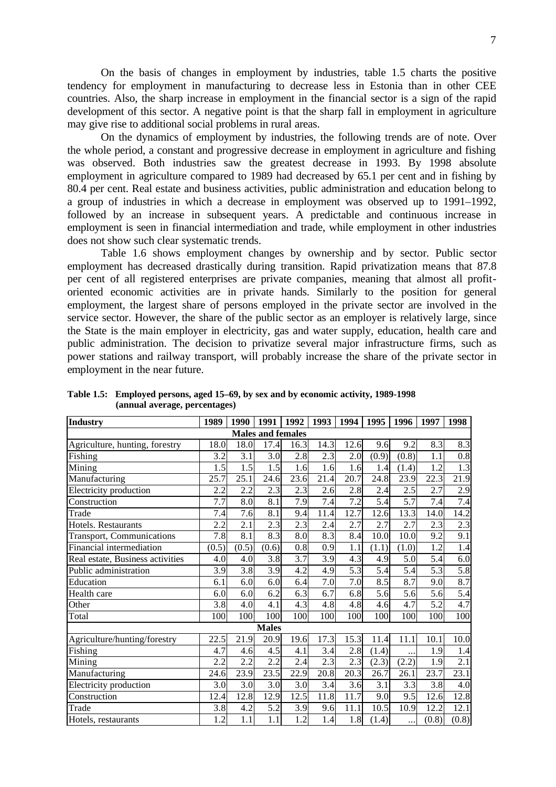On the basis of changes in employment by industries, table 1.5 charts the positive tendency for employment in manufacturing to decrease less in Estonia than in other CEE countries. Also, the sharp increase in employment in the financial sector is a sign of the rapid development of this sector. A negative point is that the sharp fall in employment in agriculture may give rise to additional social problems in rural areas.

On the dynamics of employment by industries, the following trends are of note. Over the whole period, a constant and progressive decrease in employment in agriculture and fishing was observed. Both industries saw the greatest decrease in 1993. By 1998 absolute employment in agriculture compared to 1989 had decreased by 65.1 per cent and in fishing by 80.4 per cent. Real estate and business activities, public administration and education belong to a group of industries in which a decrease in employment was observed up to 1991–1992, followed by an increase in subsequent years. A predictable and continuous increase in employment is seen in financial intermediation and trade, while employment in other industries does not show such clear systematic trends.

Table 1.6 shows employment changes by ownership and by sector. Public sector employment has decreased drastically during transition. Rapid privatization means that 87.8 per cent of all registered enterprises are private companies, meaning that almost all profitoriented economic activities are in private hands. Similarly to the position for general employment, the largest share of persons employed in the private sector are involved in the service sector. However, the share of the public sector as an employer is relatively large, since the State is the main employer in electricity, gas and water supply, education, health care and public administration. The decision to privatize several major infrastructure firms, such as power stations and railway transport, will probably increase the share of the private sector in employment in the near future.

| <b>Industry</b>                  | 1989  | 1990             | 1991                     | 1992             |                  | 1993 1994 | 1995  | 1996             | 1997  | 1998               |
|----------------------------------|-------|------------------|--------------------------|------------------|------------------|-----------|-------|------------------|-------|--------------------|
|                                  |       |                  | <b>Males and females</b> |                  |                  |           |       |                  |       |                    |
| Agriculture, hunting, forestry   | 18.0  | 18.0             | 17.4                     | 16.3             | 14.3             | 12.6      | 9.6   | 9.2              | 8.3   | 8.3                |
| Fishing                          | 3.2   | 3.1              | 3.0                      | 2.8              | 2.3              | 2.0       | (0.9) | (0.8)            | 1.1   | $0.8\,$            |
| Mining                           | 1.5   | 1.5              | 1.5                      | 1.6              | 1.6              | 1.6       | 1.4   | (1.4)            | 1.2   | $\overline{1.3}$   |
| Manufacturing                    | 25.7  | 25.1             | 24.6                     | 23.6             | 21.4             | 20.7      | 24.8  | 23.9             | 22.3  | 21.9               |
| Electricity production           | 2.2   | 2.2              | 2.3                      | 2.3              | 2.6              | 2.8       | 2.4   | 2.5              | 2.7   | 2.9                |
| Construction                     | 7.7   | 8.0              | 8.1                      | 7.9              | $\overline{7.4}$ | 7.2       | 5.4   | $\overline{5.7}$ | 7.4   | 7.4                |
| Trade                            | 7.4   | 7.6              | 8.1                      | 9.4              | 11.4             | 12.7      | 12.6  | 13.3             | 14.0  | 14.2               |
| Hotels. Restaurants              | 2.2   | 2.1              | 2.3                      | 2.3              | 2.4              | 2.7       | 2.7   | 2.7              | 2.3   | 2.3                |
| <b>Transport, Communications</b> | 7.8   | $\overline{8.1}$ | 8.3                      | $\overline{8.0}$ | 8.3              | 8.4       | 10.0  | 10.0             | 9.2   | $\overline{9.1}$   |
| Financial intermediation         | (0.5) | (0.5)            | (0.6)                    | 0.8              | 0.9              | 1.1       | (1.1) | (1.0)            | 1.2   | 1.4                |
| Real estate, Business activities | 4.0   | 4.0              | 3.8                      | 3.7              | 3.9              | 4.3       | 4.9   | 5.0              | 5.4   | 6.0                |
| Public administration            | 3.9   | 3.8              | 3.9                      | 4.2              | 4.9              | 5.3       | 5.4   | 5.4              | 5.3   | $\overline{5.8}$   |
| Education                        | 6.1   | 6.0              | 6.0                      | 6.4              | 7.0              | 7.0       | 8.5   | 8.7              | 9.0   | $\overline{8.7}$   |
| Health care                      | 6.0   | 6.0              | 6.2                      | 6.3              | 6.7              | 6.8       | 5.6   | 5.6              | 5.6   | 5.4                |
| Other                            | 3.8   | 4.0              | 4.1                      | 4.3              | 4.8              | 4.8       | 4.6   | 4.7              | 5.2   | 4.7                |
| Total                            | 100   | 100              | 100                      | 100              | 100              | 100       | 100   | 100              | 100   | 100                |
|                                  |       |                  | <b>Males</b>             |                  |                  |           |       |                  |       |                    |
| Agriculture/hunting/forestry     | 22.5  | 21.9             | 20.9                     | 19.6             | 17.3             | 15.3      | 11.4  | 11.1             | 10.1  | 10.0               |
| Fishing                          | 4.7   | 4.6              | 4.5                      | 4.1              | 3.4              | 2.8       | (1.4) | $\ddotsc$        | 1.9   | 1.4                |
| Mining                           | 2.2   | 2.2              | 2.2                      | 2.4              | 2.3              | 2.3       | (2.3) | (2.2)            | 1.9   | $\overline{2.1}$   |
| Manufacturing                    | 24.6  | 23.9             | 23.5                     | 22.9             | 20.8             | 20.3      | 26.7  | 26.1             | 23.7  | $\overline{23.1}$  |
| Electricity production           | 3.0   | 3.0              | 3.0                      | 3.0              | 3.4              | 3.6       | 3.1   | 3.3              | 3.8   | 4.0                |
| Construction                     | 12.4  | 12.8             | 12.9                     | 12.5             | 11.8             | 11.7      | 9.0   | 9.5              | 12.6  | 12.8               |
| Trade                            | 3.8   | 4.2              | 5.2                      | 3.9              | 9.6              | 11.1      | 10.5  | 10.9             | 12.2  | 12.1               |
| Hotels, restaurants              | 1.2   | 1.1              | $\overline{1.1}$         | 1.2              | 1.4              | 1.8       | (1.4) | .                | (0.8) | $\overline{(0.8)}$ |

**Table 1.5: Employed persons, aged 15–69, by sex and by economic activity, 1989-1998 (annual average, percentages)**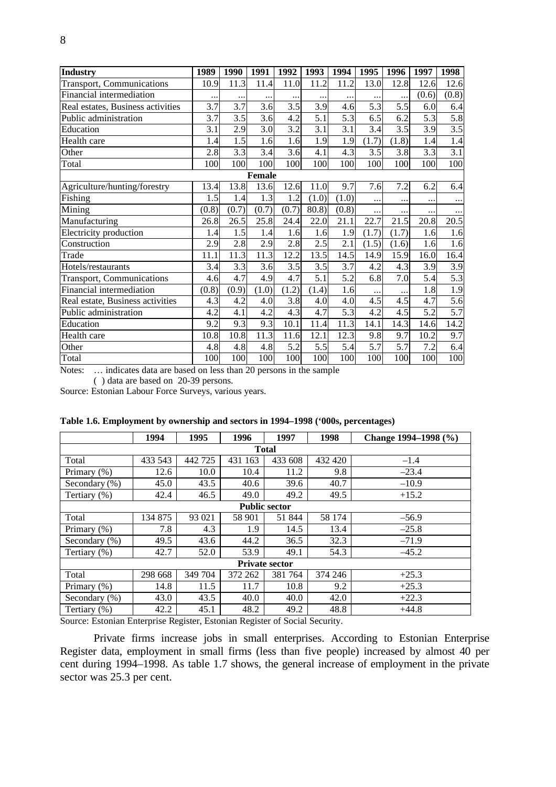| <b>Industry</b>                   | 1989  | 1990  | 1991          | 1992             | 1993      | 1994  | 1995     | 1996  | 1997  | 1998             |
|-----------------------------------|-------|-------|---------------|------------------|-----------|-------|----------|-------|-------|------------------|
| <b>Transport, Communications</b>  | 10.9  | 11.3  | 11.4          | 11.0             | 11.2      | 11.2  | 13.0     | 12.8  | 12.6  | 12.6             |
| Financial intermediation          |       |       |               |                  | $\ddotsc$ |       |          |       | (0.6) | (0.8)            |
| Real estates, Business activities | 3.7   | 3.7   | 3.6           | 3.5              | 3.9       | 4.6   | 5.3      | 5.5   | 6.0   | 6.4              |
| Public administration             | 3.7   | 3.5   | 3.6           | 4.2              | 5.1       | 5.3   | 6.5      | 6.2   | 5.3   | 5.8              |
| Education                         | 3.1   | 2.9   | 3.0           | 3.2              | 3.1       | 3.1   | 3.4      | 3.5   | 3.9   | 3.5              |
| Health care                       | 1.4   | 1.5   | 1.6           | 1.6              | 1.9       | 1.9   | (1.7)    | (1.8) | 1.4   | 1.4              |
| Other                             | 2.8   | 3.3   | 3.4           | 3.6              | 4.1       | 4.3   | 3.5      | 3.8   | 3.3   | 3.1              |
| Total                             | 100   | 100   | 100           | 100              | 100       | 100   | 100      | 100   | 100   | 100              |
|                                   |       |       | <b>Female</b> |                  |           |       |          |       |       |                  |
| Agriculture/hunting/forestry      | 13.4  | 13.8  | 13.6          | 12.6             | 11.0      | 9.7   | 7.6      | 7.2   | 6.2   | 6.4              |
| Fishing                           | 1.5   | 1.4   | 1.3           | 1.2              | (1.0)     | (1.0) |          |       |       | $\cdots$         |
| Mining                            | (0.8) | (0.7) | (0.7)         | (0.7)            | 80.8)     | (0.8) | $\cdots$ |       |       | $\cdots$         |
| Manufacturing                     | 26.8  | 26.5  | 25.8          | 24.4             | 22.0      | 21.1  | 22.7     | 21.5  | 20.8  | 20.5             |
| Electricity production            | 1.4   | 1.5   | 1.4           | 1.6              | 1.6       | 1.9   | (1.7)    | (1.7) | 1.6   | 1.6              |
| Construction                      | 2.9   | 2.8   | 2.9           | 2.8              | 2.5       | 2.1   | (1.5)    | (1.6) | 1.6   | 1.6              |
| Trade                             | 11.1  | 11.3  | 11.3          | 12.2             | 13.5      | 14.5  | 14.9     | 15.9  | 16.0  | 16.4             |
| Hotels/restaurants                | 3.4   | 3.3   | 3.6           | 3.5              | 3.5       | 3.7   | 4.2      | 4.3   | 3.9   | 3.9              |
| <b>Transport, Communications</b>  | 4.6   | 4.7   | 4.9           | 4.7              | 5.1       | 5.2   | 6.8      | 7.0   | 5.4   | $\overline{5.3}$ |
| Financial intermediation          | (0.8) | (0.9) | (1.0)         | (1.2)            | (1.4)     | 1.6   |          |       | 1.8   | 1.9              |
| Real estate, Business activities  | 4.3   | 4.2   | 4.0           | $\overline{3.8}$ | 4.0       | 4.0   | 4.5      | 4.5   | 4.7   | 5.6              |
| Public administration             | 4.2   | 4.1   | 4.2           | 4.3              | 4.7       | 5.3   | 4.2      | 4.5   | 5.2   | 5.7              |
| Education                         | 9.2   | 9.3   | 9.3           | 10.1             | 11.4      | 11.3  | 14.1     | 14.3  | 14.6  | 14.2             |
| Health care                       | 10.8  | 10.8  | 11.3          | 11.6             | 12.1      | 12.3  | 9.8      | 9.7   | 10.2  | 9.7              |
| Other                             | 4.8   | 4.8   | 4.8           | 5.2              | 5.5       | 5.4   | 5.7      | 5.7   | 7.2   | 6.4              |
| Total                             | 100   | 100   | 100           | 100              | 100       | 100   | 100      | 100   | 100   | 100              |

Notes: … indicates data are based on less than 20 persons in the sample

( ) data are based on 20-39 persons.

Source: Estonian Labour Force Surveys, various years.

|                  | 1994    | 1995    | 1996    | 1997                  | 1998    | Change 1994–1998 (%) |
|------------------|---------|---------|---------|-----------------------|---------|----------------------|
|                  |         |         |         | <b>Total</b>          |         |                      |
| Total            | 433 543 | 442 725 | 431 163 | 433 608               | 432 420 | $-1.4$               |
| Primary (%)      | 12.6    | 10.0    | 10.4    | 11.2                  | 9.8     | $-23.4$              |
| Secondary $(\%)$ | 45.0    | 43.5    | 40.6    | 39.6                  | 40.7    | $-10.9$              |
| Tertiary (%)     | 42.4    | 46.5    | 49.0    | 49.2                  | 49.5    | $+15.2$              |
|                  |         |         |         | <b>Public sector</b>  |         |                      |
| Total            | 134 875 | 93 021  | 58 901  | 51 844                | 58 174  | $-56.9$              |
| Primary (%)      | 7.8     | 4.3     | 1.9     | 14.5                  | 13.4    | $-25.8$              |
| Secondary (%)    | 49.5    | 43.6    | 44.2    | 36.5                  | 32.3    | $-71.9$              |
| Tertiary (%)     | 42.7    | 52.0    | 53.9    | 49.1                  | 54.3    | $-45.2$              |
|                  |         |         |         | <b>Private sector</b> |         |                      |
| Total            | 298 668 | 349 704 | 372 262 | 381 764               | 374 246 | $+25.3$              |
| Primary $(\%)$   | 14.8    | 11.5    | 11.7    | 10.8                  | 9.2     | $+25.3$              |
| Secondary (%)    | 43.0    | 43.5    | 40.0    | 40.0                  | 42.0    | $+22.3$              |
| Tertiary (%)     | 42.2    | 45.1    | 48.2    | 49.2                  | 48.8    | $+44.8$              |

| Table 1.6. Employment by ownership and sectors in 1994–1998 ('000s, percentages) |  |  |  |  |  |  |
|----------------------------------------------------------------------------------|--|--|--|--|--|--|
|----------------------------------------------------------------------------------|--|--|--|--|--|--|

Source: Estonian Enterprise Register, Estonian Register of Social Security.

Private firms increase jobs in small enterprises. According to Estonian Enterprise Register data, employment in small firms (less than five people) increased by almost 40 per cent during 1994–1998. As table 1.7 shows, the general increase of employment in the private sector was 25.3 per cent.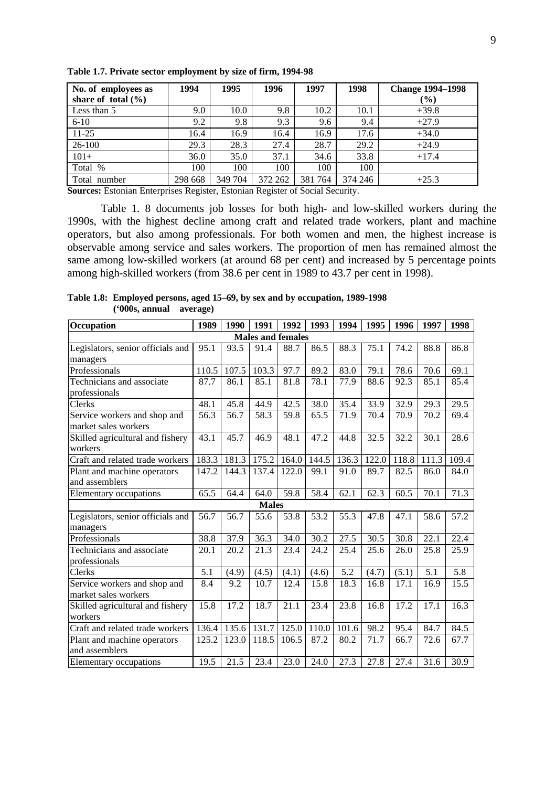| No. of employees as    | 1994    | 1995    | 1996    | 1997    | 1998    | <b>Change 1994-1998</b> |
|------------------------|---------|---------|---------|---------|---------|-------------------------|
| share of total $(\% )$ |         |         |         |         |         | $\frac{9}{6}$           |
| Less than 5            | 9.0     | 10.0    | 9.8     | 10.2    | 10.1    | $+39.8$                 |
| $6 - 10$               | 9.2     | 9.8     | 9.3     | 9.6     | 9.4     | $+27.9$                 |
| $11-25$                | 16.4    | 16.9    | 16.4    | 16.9    | 17.6    | $+34.0$                 |
| 26-100                 | 29.3    | 28.3    | 27.4    | 28.7    | 29.2    | $+24.9$                 |
| $101+$                 | 36.0    | 35.0    | 37.1    | 34.6    | 33.8    | $+17.4$                 |
| Total %                | 100     | 100     | 100     | 100     | 100     |                         |
| Total number           | 298 668 | 349 704 | 372 262 | 381 764 | 374 246 | $+25.3$                 |

**Table 1.7. Private sector employment by size of firm, 1994-98**

**Sources:** Estonian Enterprises Register, Estonian Register of Social Security.

Table 1. 8 documents job losses for both high- and low-skilled workers during the 1990s, with the highest decline among craft and related trade workers, plant and machine operators, but also among professionals. For both women and men, the highest increase is observable among service and sales workers. The proportion of men has remained almost the same among low-skilled workers (at around 68 per cent) and increased by 5 percentage points among high-skilled workers (from 38.6 per cent in 1989 to 43.7 per cent in 1998).

**Table 1.8: Employed persons, aged 15–69, by sex and by occupation, 1989-1998 ('000s, annual average)**

| Occupation                                           | 1989  | 1990  | 1991         | 1992                     | 1993  | 1994  | 1995  | 1996  | 1997  | 1998  |
|------------------------------------------------------|-------|-------|--------------|--------------------------|-------|-------|-------|-------|-------|-------|
|                                                      |       |       |              | <b>Males and females</b> |       |       |       |       |       |       |
| Legislators, senior officials and                    | 95.1  | 93.5  | 91.4         | 88.7                     | 86.5  | 88.3  | 75.1  | 74.2  | 88.8  | 86.8  |
| managers                                             |       |       |              |                          |       |       |       |       |       |       |
| Professionals                                        | 110.5 | 107.5 | 103.3        | 97.7                     | 89.2  | 83.0  | 79.1  | 78.6  | 70.6  | 69.1  |
| Technicians and associate                            | 87.7  | 86.1  | 85.1         | 81.8                     | 78.1  | 77.9  | 88.6  | 92.3  | 85.1  | 85.4  |
| professionals                                        |       |       |              |                          |       |       |       |       |       |       |
| Clerks                                               | 48.1  | 45.8  | 44.9         | 42.5                     | 38.0  | 35.4  | 33.9  | 32.9  | 29.3  | 29.5  |
| Service workers and shop and<br>market sales workers | 56.3  | 56.7  | 58.3         | 59.8                     | 65.5  | 71.9  | 70.4  | 70.9  | 70.2  | 69.4  |
| Skilled agricultural and fishery<br>workers          | 43.1  | 45.7  | 46.9         | 48.1                     | 47.2  | 44.8  | 32.5  | 32.2  | 30.1  | 28.6  |
| Craft and related trade workers                      | 183.3 | 181.3 | 175.2        | 164.0                    | 144.5 | 136.3 | 122.0 | 118.8 | 111.3 | 109.4 |
| Plant and machine operators                          | 147.2 | 144.3 | 137.4        | 122.0                    | 99.1  | 91.0  | 89.7  | 82.5  | 86.0  | 84.0  |
| and assemblers                                       |       |       |              |                          |       |       |       |       |       |       |
| Elementary occupations                               | 65.5  | 64.4  | 64.0         | 59.8                     | 58.4  | 62.1  | 62.3  | 60.5  | 70.1  | 71.3  |
|                                                      |       |       | <b>Males</b> |                          |       |       |       |       |       |       |
| Legislators, senior officials and                    | 56.7  | 56.7  | 55.6         | 53.8                     | 53.2  | 55.3  | 47.8  | 47.1  | 58.6  | 57.2  |
| managers                                             |       |       |              |                          |       |       |       |       |       |       |
| Professionals                                        | 38.8  | 37.9  | 36.3         | 34.0                     | 30.2  | 27.5  | 30.5  | 30.8  | 22.1  | 22.4  |
| Technicians and associate                            | 20.1  | 20.2  | 21.3         | 23.4                     | 24.2  | 25.4  | 25.6  | 26.0  | 25.8  | 25.9  |
| professionals                                        |       |       |              |                          |       |       |       |       |       |       |
| Clerks                                               | 5.1   | (4.9) | (4.5)        | (4.1)                    | (4.6) | 5.2   | (4.7) | (5.1) | 5.1   | 5.8   |
| Service workers and shop and<br>market sales workers | 8.4   | 9.2   | 10.7         | 12.4                     | 15.8  | 18.3  | 16.8  | 17.1  | 16.9  | 15.5  |
| Skilled agricultural and fishery                     | 15.8  | 17.2  | 18.7         | 21.1                     | 23.4  | 23.8  | 16.8  | 17.2  | 17.1  | 16.3  |
| workers                                              |       |       |              |                          |       |       |       |       |       |       |
| Craft and related trade workers                      | 136.4 | 135.6 | 131.7        | 125.0                    | 110.0 | 101.6 | 98.2  | 95.4  | 84.7  | 84.5  |
| Plant and machine operators<br>and assemblers        | 125.2 | 123.0 | 118.5        | 106.5                    | 87.2  | 80.2  | 71.7  | 66.7  | 72.6  | 67.7  |
| Elementary occupations                               | 19.5  | 21.5  | 23.4         | 23.0                     | 24.0  | 27.3  | 27.8  | 27.4  | 31.6  | 30.9  |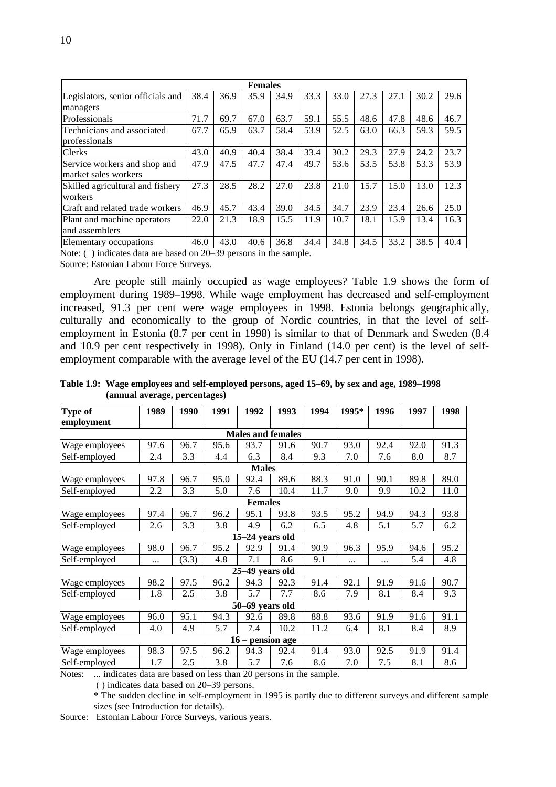|                                   | <b>Females</b> |      |      |      |      |      |      |      |      |      |  |  |
|-----------------------------------|----------------|------|------|------|------|------|------|------|------|------|--|--|
| Legislators, senior officials and | 38.4           | 36.9 | 35.9 | 34.9 | 33.3 | 33.0 | 27.3 | 27.1 | 30.2 | 29.6 |  |  |
| managers                          |                |      |      |      |      |      |      |      |      |      |  |  |
| Professionals                     | 71.7           | 69.7 | 67.0 | 63.7 | 59.1 | 55.5 | 48.6 | 47.8 | 48.6 | 46.7 |  |  |
| Technicians and associated        | 67.7           | 65.9 | 63.7 | 58.4 | 53.9 | 52.5 | 63.0 | 66.3 | 59.3 | 59.5 |  |  |
| professionals                     |                |      |      |      |      |      |      |      |      |      |  |  |
| <b>Clerks</b>                     | 43.0           | 40.9 | 40.4 | 38.4 | 33.4 | 30.2 | 29.3 | 27.9 | 24.2 | 23.7 |  |  |
| Service workers and shop and      | 47.9           | 47.5 | 47.7 | 47.4 | 49.7 | 53.6 | 53.5 | 53.8 | 53.3 | 53.9 |  |  |
| market sales workers              |                |      |      |      |      |      |      |      |      |      |  |  |
| Skilled agricultural and fishery  | 27.3           | 28.5 | 28.2 | 27.0 | 23.8 | 21.0 | 15.7 | 15.0 | 13.0 | 12.3 |  |  |
| workers                           |                |      |      |      |      |      |      |      |      |      |  |  |
| Craft and related trade workers   | 46.9           | 45.7 | 43.4 | 39.0 | 34.5 | 34.7 | 23.9 | 23.4 | 26.6 | 25.0 |  |  |
| Plant and machine operators       | 22.0           | 21.3 | 18.9 | 15.5 | 11.9 | 10.7 | 18.1 | 15.9 | 13.4 | 16.3 |  |  |
| and assemblers                    |                |      |      |      |      |      |      |      |      |      |  |  |
| Elementary occupations            | 46.0           | 43.0 | 40.6 | 36.8 | 34.4 | 34.8 | 34.5 | 33.2 | 38.5 | 40.4 |  |  |

Note: ( ) indicates data are based on 20–39 persons in the sample. Source: Estonian Labour Force Surveys.

Are people still mainly occupied as wage employees? Table 1.9 shows the form of employment during 1989–1998. While wage employment has decreased and self-employment increased, 91.3 per cent were wage employees in 1998. Estonia belongs geographically, culturally and economically to the group of Nordic countries, in that the level of selfemployment in Estonia (8.7 per cent in 1998) is similar to that of Denmark and Sweden (8.4 and 10.9 per cent respectively in 1998). Only in Finland (14.0 per cent) is the level of selfemployment comparable with the average level of the EU (14.7 per cent in 1998).

**Table 1.9: Wage employees and self-employed persons, aged 15–69, by sex and age, 1989–1998 (annual average, percentages)**

| <b>Type of</b>           | 1989     | 1990  | 1991 | 1992               | 1993 | 1994 | 1995*    | 1996     | 1997 | 1998 |  |
|--------------------------|----------|-------|------|--------------------|------|------|----------|----------|------|------|--|
| employment               |          |       |      |                    |      |      |          |          |      |      |  |
| <b>Males and females</b> |          |       |      |                    |      |      |          |          |      |      |  |
| Wage employees           | 97.6     | 96.7  | 95.6 | 93.7               | 91.6 | 90.7 | 93.0     | 92.4     | 92.0 | 91.3 |  |
| Self-employed            | 2.4      | 3.3   | 4.4  | 6.3                | 8.4  | 9.3  | 7.0      | 7.6      | 8.0  | 8.7  |  |
|                          |          |       |      | <b>Males</b>       |      |      |          |          |      |      |  |
| Wage employees           | 97.8     | 96.7  | 95.0 | 92.4               | 89.6 | 88.3 | 91.0     | 90.1     | 89.8 | 89.0 |  |
| Self-employed            | 2.2      | 3.3   | 5.0  | 7.6                | 10.4 | 11.7 | 9.0      | 9.9      | 10.2 | 11.0 |  |
|                          |          |       |      | <b>Females</b>     |      |      |          |          |      |      |  |
| Wage employees           | 97.4     | 96.7  | 96.2 | 95.1               | 93.8 | 93.5 | 95.2     | 94.9     | 94.3 | 93.8 |  |
| Self-employed            | 2.6      | 3.3   | 3.8  | 4.9                | 6.2  | 6.5  | 4.8      | 5.1      | 5.7  | 6.2  |  |
|                          |          |       |      | 15-24 years old    |      |      |          |          |      |      |  |
| Wage employees           | 98.0     | 96.7  | 95.2 | 92.9               | 91.4 | 90.9 | 96.3     | 95.9     | 94.6 | 95.2 |  |
| Self-employed            | $\cdots$ | (3.3) | 4.8  | 7.1                | 8.6  | 9.1  | $\cdots$ | $\cdots$ | 5.4  | 4.8  |  |
|                          |          |       |      | 25-49 years old    |      |      |          |          |      |      |  |
| Wage employees           | 98.2     | 97.5  | 96.2 | 94.3               | 92.3 | 91.4 | 92.1     | 91.9     | 91.6 | 90.7 |  |
| Self-employed            | 1.8      | 2.5   | 3.8  | 5.7                | 7.7  | 8.6  | 7.9      | 8.1      | 8.4  | 9.3  |  |
|                          |          |       |      | 50-69 years old    |      |      |          |          |      |      |  |
| Wage employees           | 96.0     | 95.1  | 94.3 | 92.6               | 89.8 | 88.8 | 93.6     | 91.9     | 91.6 | 91.1 |  |
| Self-employed            | 4.0      | 4.9   | 5.7  | 7.4                | 10.2 | 11.2 | 6.4      | 8.1      | 8.4  | 8.9  |  |
|                          |          |       |      | $16$ – pension age |      |      |          |          |      |      |  |
| Wage employees           | 98.3     | 97.5  | 96.2 | 94.3               | 92.4 | 91.4 | 93.0     | 92.5     | 91.9 | 91.4 |  |
| Self-employed            | 1.7      | 2.5   | 3.8  | 5.7                | 7.6  | 8.6  | 7.0      | 7.5      | 8.1  | 8.6  |  |

Notes: ... indicates data are based on less than 20 persons in the sample.

( ) indicates data based on 20–39 persons.

\* The sudden decline in self-employment in 1995 is partly due to different surveys and different sample sizes (see Introduction for details).

Source: Estonian Labour Force Surveys, various years.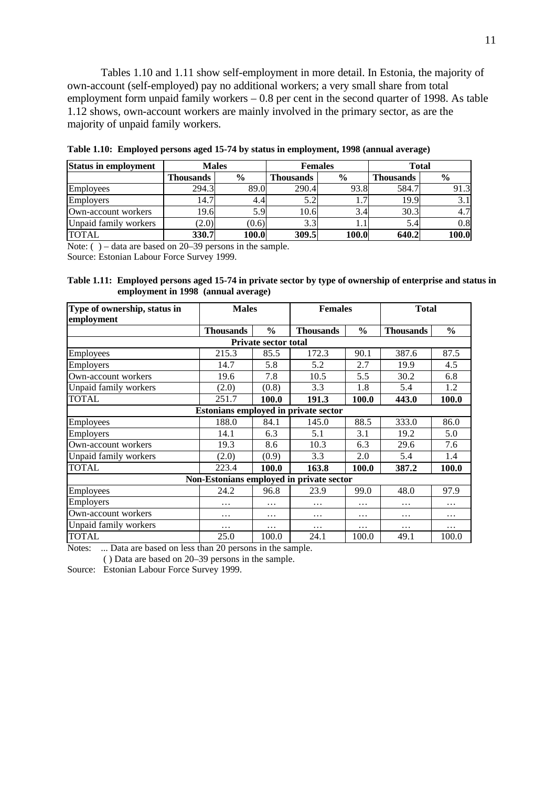Tables 1.10 and 1.11 show self-employment in more detail. In Estonia, the majority of own-account (self-employed) pay no additional workers; a very small share from total employment form unpaid family workers – 0.8 per cent in the second quarter of 1998. As table 1.12 shows, own-account workers are mainly involved in the primary sector, as are the majority of unpaid family workers.

| <b>Status in employment</b> | <b>Males</b>     |               |                  | <b>Females</b> | <b>Total</b>     |               |  |
|-----------------------------|------------------|---------------|------------------|----------------|------------------|---------------|--|
|                             | <b>Thousands</b> | $\frac{6}{9}$ | <b>Thousands</b> | $\frac{6}{6}$  | <b>Thousands</b> | $\frac{6}{9}$ |  |
| Employees                   | 294.3            | 89.0          | 290.4            | 93.8           | 584.7            | 91.3          |  |
| Employers                   | 14.7             | 4.41          |                  |                | 19.9             | 3.1           |  |
| Own-account workers         | 19.6             | 5.9           | 10.6             | 3.4            | 30.3             | 4.7           |  |
| Unpaid family workers       | (2.0)            | (0.6)         | 3.3              |                | 5.4              | 0.8           |  |
| <b>TOTAL</b>                | 330.7            | 100.0         | 309.5            | 100.0          | 640.2            | 100.0         |  |

**Table 1.10: Employed persons aged 15-74 by status in employment, 1998 (annual average)**

Note: () – data are based on 20–39 persons in the sample.

Source: Estonian Labour Force Survey 1999.

**Table 1.11: Employed persons aged 15-74 in private sector by type of ownership of enterprise and status in employment in 1998 (annual average)**

| Type of ownership, status in | <b>Males</b>                         |                             | <b>Females</b>                           |               | <b>Total</b>     |               |  |
|------------------------------|--------------------------------------|-----------------------------|------------------------------------------|---------------|------------------|---------------|--|
| employment                   |                                      |                             |                                          |               |                  |               |  |
|                              | <b>Thousands</b>                     | $\frac{0}{0}$               | <b>Thousands</b>                         | $\frac{6}{6}$ | <b>Thousands</b> | $\frac{6}{6}$ |  |
|                              |                                      | <b>Private sector total</b> |                                          |               |                  |               |  |
| <b>Employees</b>             | 215.3                                | 85.5                        | 172.3                                    | 90.1          | 387.6            | 87.5          |  |
| Employers                    | 14.7                                 | 5.8                         | 5.2                                      | 2.7           | 19.9             | 4.5           |  |
| Own-account workers          | 19.6                                 | 7.8                         | 10.5                                     | 5.5           | 30.2             | 6.8           |  |
| Unpaid family workers        | (2.0)                                | (0.8)                       | 3.3                                      | 1.8           | 5.4              | 1.2           |  |
| <b>TOTAL</b>                 | 251.7                                | 100.0                       | 191.3                                    | 100.0         | 443.0            | 100.0         |  |
|                              | Estonians employed in private sector |                             |                                          |               |                  |               |  |
| Employees                    | 188.0                                | 84.1                        | 145.0                                    | 88.5          | 333.0            | 86.0          |  |
| Employers                    | 14.1                                 | 6.3                         | 5.1                                      | 3.1           | 19.2             | 5.0           |  |
| Own-account workers          | 19.3                                 | 8.6                         | 10.3                                     | 6.3           | 29.6             | 7.6           |  |
| Unpaid family workers        | (2.0)                                | (0.9)                       | 3.3                                      | 2.0           | 5.4              | 1.4           |  |
| <b>TOTAL</b>                 | 223.4                                | 100.0                       | 163.8                                    | 100.0         | 387.2            | 100.0         |  |
|                              |                                      |                             | Non-Estonians employed in private sector |               |                  |               |  |
| Employees                    | 24.2                                 | 96.8                        | 23.9                                     | 99.0          | 48.0             | 97.9          |  |
| Employers                    | .                                    | $\cdots$                    | $\ddotsc$                                | .             | .                | .             |  |
| Own-account workers          | .                                    | $\ddotsc$                   | $\cdots$                                 | $\cdots$      | .                | .             |  |
| Unpaid family workers        | $\cdots$                             | $\cdots$                    | $\cdots$                                 | $\cdots$      | $\cdots$         | .             |  |
| <b>TOTAL</b>                 | 25.0                                 | 100.0                       | 24.1                                     | 100.0         | 49.1             | 100.0         |  |

Notes: ... Data are based on less than 20 persons in the sample.

( ) Data are based on 20–39 persons in the sample.

Source: Estonian Labour Force Survey 1999.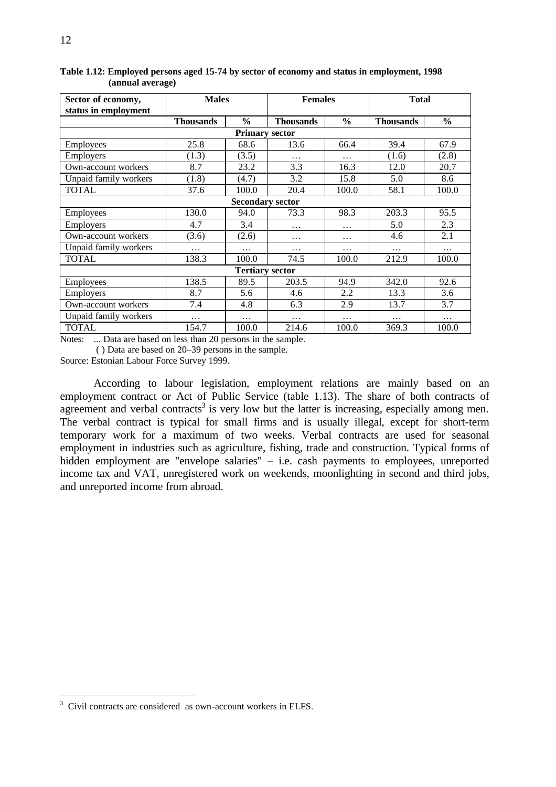| Sector of economy,<br>status in employment | <b>Males</b>     |                        | <b>Females</b>   |               | <b>Total</b>     |               |  |  |  |
|--------------------------------------------|------------------|------------------------|------------------|---------------|------------------|---------------|--|--|--|
|                                            | <b>Thousands</b> | $\frac{0}{0}$          | <b>Thousands</b> | $\frac{6}{6}$ | <b>Thousands</b> | $\frac{0}{0}$ |  |  |  |
|                                            |                  | <b>Primary sector</b>  |                  |               |                  |               |  |  |  |
| <b>Employees</b>                           | 25.8             | 68.6                   | 13.6             | 66.4          | 39.4             | 67.9          |  |  |  |
| Employers                                  | (1.3)            | (3.5)                  | $\cdots$         | .             | (1.6)            | (2.8)         |  |  |  |
| Own-account workers                        | 8.7              | 23.2                   | 3.3              | 16.3          | 12.0             | 20.7          |  |  |  |
| Unpaid family workers                      | (1.8)            | (4.7)                  | 3.2              | 15.8          | 5.0              | 8.6           |  |  |  |
| <b>TOTAL</b>                               | 37.6             | 100.0                  | 20.4             | 100.0         | 58.1             | 100.0         |  |  |  |
| <b>Secondary sector</b>                    |                  |                        |                  |               |                  |               |  |  |  |
| Employees                                  | 130.0            | 94.0                   | 73.3             | 98.3          | 203.3            | 95.5          |  |  |  |
| <b>Employers</b>                           | 4.7              | 3.4                    | .                | .             | 5.0              | 2.3           |  |  |  |
| Own-account workers                        | (3.6)            | (2.6)                  | $\cdots$         | $\cdots$      | 4.6              | 2.1           |  |  |  |
| Unpaid family workers                      | $\ddotsc$        | .                      | $\cdots$         | .             | .                | $\cdots$      |  |  |  |
| <b>TOTAL</b>                               | 138.3            | 100.0                  | 74.5             | 100.0         | 212.9            | 100.0         |  |  |  |
|                                            |                  | <b>Tertiary sector</b> |                  |               |                  |               |  |  |  |
| <b>Employees</b>                           | 138.5            | 89.5                   | 203.5            | 94.9          | 342.0            | 92.6          |  |  |  |
| Employers                                  | 8.7              | 5.6                    | 4.6              | 2.2           | 13.3             | 3.6           |  |  |  |
| Own-account workers                        | 7.4              | 4.8                    | 6.3              | 2.9           | 13.7             | 3.7           |  |  |  |
| Unpaid family workers                      | $\cdots$         | $\cdots$               | $\cdots$         | $\cdots$      | .                | $\cdots$      |  |  |  |
| <b>TOTAL</b>                               | 154.7            | 100.0                  | 214.6            | 100.0         | 369.3            | 100.0         |  |  |  |

**Table 1.12: Employed persons aged 15-74 by sector of economy and status in employment, 1998 (annual average)**

Notes: ... Data are based on less than 20 persons in the sample.

( ) Data are based on 20–39 persons in the sample.

Source: Estonian Labour Force Survey 1999.

According to labour legislation, employment relations are mainly based on an employment contract or Act of Public Service (table 1.13). The share of both contracts of agreement and verbal contracts<sup>3</sup> is very low but the latter is increasing, especially among men. The verbal contract is typical for small firms and is usually illegal, except for short-term temporary work for a maximum of two weeks. Verbal contracts are used for seasonal employment in industries such as agriculture, fishing, trade and construction. Typical forms of hidden employment are "envelope salaries" – i.e. cash payments to employees, unreported income tax and VAT, unregistered work on weekends, moonlighting in second and third jobs, and unreported income from abroad.

 3 Civil contracts are considered as own-account workers in ELFS.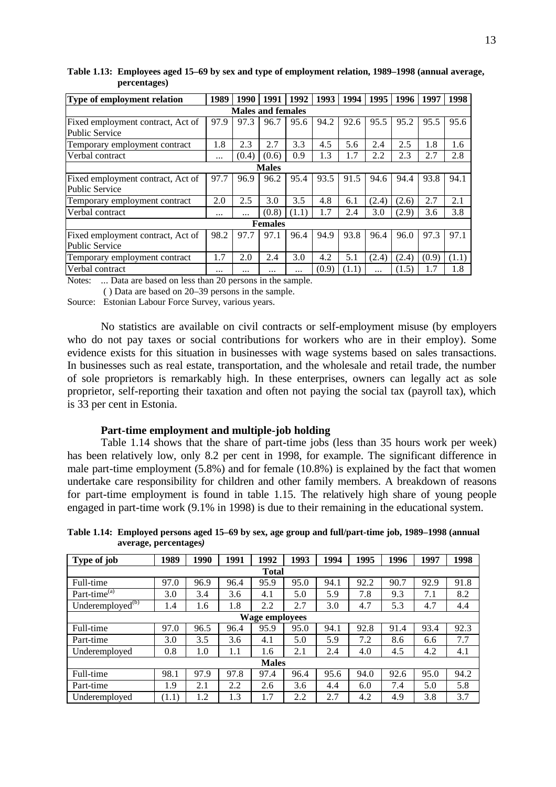| Type of employment relation                         | 1989     | 1990  | 1991           | 1992  | 1993  | 1994  | 1995  | 1996  | 1997  | 1998  |  |
|-----------------------------------------------------|----------|-------|----------------|-------|-------|-------|-------|-------|-------|-------|--|
| <b>Males and females</b>                            |          |       |                |       |       |       |       |       |       |       |  |
| Fixed employment contract, Act of<br>Public Service | 97.9     | 97.3  | 96.7           | 95.6  | 94.2  | 92.6  | 95.5  | 95.2  | 95.5  | 95.6  |  |
| Temporary employment contract                       | 1.8      | 2.3   | 2.7            | 3.3   | 4.5   | 5.6   | 2.4   | 2.5   | 1.8   | 1.6   |  |
| Verbal contract                                     | $\cdots$ | (0.4) | (0.6)          | 0.9   | 1.3   | 1.7   | 2.2   | 2.3   | 2.7   | 2.8   |  |
| <b>Males</b>                                        |          |       |                |       |       |       |       |       |       |       |  |
| Fixed employment contract, Act of<br>Public Service | 97.7     | 96.9  | 96.2           | 95.4  | 93.5  | 91.5  | 94.6  | 94.4  | 93.8  | 94.1  |  |
| Temporary employment contract                       | 2.0      | 2.5   | 3.0            | 3.5   | 4.8   | 6.1   | (2.4) | (2.6) | 2.7   | 2.1   |  |
| Verbal contract                                     | $\cdots$ |       | (0.8)          | (1.1) | 1.7   | 2.4   | 3.0   | (2.9) | 3.6   | 3.8   |  |
|                                                     |          |       | <b>Females</b> |       |       |       |       |       |       |       |  |
| Fixed employment contract, Act of<br>Public Service | 98.2     | 97.7  | 97.1           | 96.4  | 94.9  | 93.8  | 96.4  | 96.0  | 97.3  | 97.1  |  |
| Temporary employment contract                       | 1.7      | 2.0   | 2.4            | 3.0   | 4.2   | 5.1   | (2.4) | (2.4) | (0.9) | (1.1) |  |
| Verbal contract                                     |          |       |                |       | (0.9) | (1.1) | .     | (1.5) | 1.7   | 1.8   |  |

**Table 1.13: Employees aged 15–69 by sex and type of employment relation, 1989–1998 (annual average, percentages)**

Notes: ... Data are based on less than 20 persons in the sample.

( ) Data are based on 20–39 persons in the sample.

Source: Estonian Labour Force Survey, various years.

No statistics are available on civil contracts or self-employment misuse (by employers who do not pay taxes or social contributions for workers who are in their employ). Some evidence exists for this situation in businesses with wage systems based on sales transactions. In businesses such as real estate, transportation, and the wholesale and retail trade, the number of sole proprietors is remarkably high. In these enterprises, owners can legally act as sole proprietor, self-reporting their taxation and often not paying the social tax (payroll tax), which is 33 per cent in Estonia.

#### **Part-time employment and multiple-job holding**

Table 1.14 shows that the share of part-time jobs (less than 35 hours work per week) has been relatively low, only 8.2 per cent in 1998, for example. The significant difference in male part-time employment (5.8%) and for female (10.8%) is explained by the fact that women undertake care responsibility for children and other family members. A breakdown of reasons for part-time employment is found in table 1.15. The relatively high share of young people engaged in part-time work (9.1% in 1998) is due to their remaining in the educational system.

| Table 1.14: Employed persons aged 15–69 by sex, age group and full/part-time job, 1989–1998 (annual<br>average, percentages) |      |      |      |      |      |      |      |      |      |      |
|------------------------------------------------------------------------------------------------------------------------------|------|------|------|------|------|------|------|------|------|------|
| Type of <i>job</i>                                                                                                           | 1989 | 1990 | 1991 | 1992 | 1993 | 1994 | 1995 | 1996 | 1997 | 1998 |

| Type of job                    | 1989  | 1990 | 1991 | 1992         | 1993 | 1994 | 1995 | 1996 | 1997 | 1998 |  |
|--------------------------------|-------|------|------|--------------|------|------|------|------|------|------|--|
| <b>Total</b>                   |       |      |      |              |      |      |      |      |      |      |  |
| Full-time                      | 97.0  | 96.9 | 96.4 | 95.9         | 95.0 | 94.1 | 92.2 | 90.7 | 92.9 | 91.8 |  |
| Part-time $\overline{e^{(a)}}$ | 3.0   | 3.4  | 3.6  | 4.1          | 5.0  | 5.9  | 7.8  | 9.3  | 7.1  | 8.2  |  |
| Underemployed $^{(b)}$         | 1.4   | 1.6  | 1.8  | 2.2          | 2.7  | 3.0  | 4.7  | 5.3  | 4.7  | 4.4  |  |
| <b>Wage employees</b>          |       |      |      |              |      |      |      |      |      |      |  |
| Full-time                      | 97.0  | 96.5 | 96.4 | 95.9         | 95.0 | 94.1 | 92.8 | 91.4 | 93.4 | 92.3 |  |
| Part-time                      | 3.0   | 3.5  | 3.6  | 4.1          | 5.0  | 5.9  | 7.2  | 8.6  | 6.6  | 7.7  |  |
| Underemployed                  | 0.8   | 1.0  | 1.1  | 1.6          | 2.1  | 2.4  | 4.0  | 4.5  | 4.2  | 4.1  |  |
|                                |       |      |      | <b>Males</b> |      |      |      |      |      |      |  |
| Full-time                      | 98.1  | 97.9 | 97.8 | 97.4         | 96.4 | 95.6 | 94.0 | 92.6 | 95.0 | 94.2 |  |
| Part-time                      | 1.9   | 2.1  | 2.2  | 2.6          | 3.6  | 4.4  | 6.0  | 7.4  | 5.0  | 5.8  |  |
| Underemployed                  | (1.1) | 1.2  | 1.3  | 1.7          | 2.2  | 2.7  | 4.2  | 4.9  | 3.8  | 3.7  |  |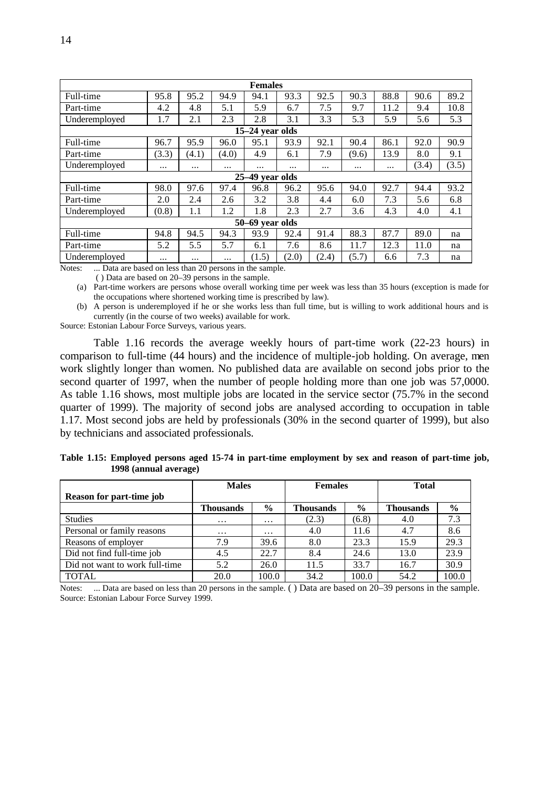| <b>Females</b>                                                                             |          |          |       |                 |          |          |          |          |       |       |  |
|--------------------------------------------------------------------------------------------|----------|----------|-------|-----------------|----------|----------|----------|----------|-------|-------|--|
| Full-time                                                                                  | 95.8     | 95.2     | 94.9  | 94.1            | 93.3     | 92.5     | 90.3     | 88.8     | 90.6  | 89.2  |  |
| Part-time                                                                                  | 4.2      | 4.8      | 5.1   | 5.9             | 6.7      | 7.5      | 9.7      | 11.2     | 9.4   | 10.8  |  |
| Underemployed                                                                              | 1.7      | 2.1      | 2.3   | 2.8             | 3.1      | 3.3      | 5.3      | 5.9      | 5.6   | 5.3   |  |
| 15-24 year olds                                                                            |          |          |       |                 |          |          |          |          |       |       |  |
| Full-time                                                                                  | 96.7     | 95.9     | 96.0  | 95.1            | 93.9     | 92.1     | 90.4     | 86.1     | 92.0  | 90.9  |  |
| Part-time                                                                                  | (3.3)    | (4.1)    | (4.0) | 4.9             | 6.1      | 7.9      | (9.6)    | 13.9     | 8.0   | 9.1   |  |
| Underemployed                                                                              | $\cdots$ | $\cdots$ |       | $\cdots$        | $\cdots$ | $\cdots$ | $\cdots$ | $\cdots$ | (3.4) | (3.5) |  |
|                                                                                            |          |          |       | 25-49 year olds |          |          |          |          |       |       |  |
| Full-time                                                                                  | 98.0     | 97.6     | 97.4  | 96.8            | 96.2     | 95.6     | 94.0     | 92.7     | 94.4  | 93.2  |  |
| Part-time                                                                                  | 2.0      | 2.4      | 2.6   | 3.2             | 3.8      | 4.4      | 6.0      | 7.3      | 5.6   | 6.8   |  |
| Underemployed                                                                              | (0.8)    | 1.1      | 1.2   | 1.8             | 2.3      | 2.7      | 3.6      | 4.3      | 4.0   | 4.1   |  |
|                                                                                            |          |          |       | 50-69 year olds |          |          |          |          |       |       |  |
| Full-time                                                                                  | 94.8     | 94.5     | 94.3  | 93.9            | 92.4     | 91.4     | 88.3     | 87.7     | 89.0  | na    |  |
| Part-time                                                                                  | 5.2      | 5.5      | 5.7   | 6.1             | 7.6      | 8.6      | 11.7     | 12.3     | 11.0  | na    |  |
| Underemployed<br>Dete and hazed on loss than 20 noncons in the consula<br>$N_{\text{max}}$ | $\cdots$ | $\cdots$ |       | (1.5)           | (2.0)    | (2.4)    | (5.7)    | 6.6      | 7.3   | na    |  |

Notes: ... Data are based on less than 20 persons in the sample. ( ) Data are based on 20–39 persons in the sample.

(a) Part-time workers are persons whose overall working time per week was less than 35 hours (exception is made for the occupations where shortened working time is prescribed by law).

(b) A person is underemployed if he or she works less than full time, but is willing to work additional hours and is currently (in the course of two weeks) available for work.

Source: Estonian Labour Force Surveys, various years.

Table 1.16 records the average weekly hours of part-time work (22-23 hours) in comparison to full-time (44 hours) and the incidence of multiple-job holding. On average, men work slightly longer than women. No published data are available on second jobs prior to the second quarter of 1997, when the number of people holding more than one job was 57,0000. As table 1.16 shows, most multiple jobs are located in the service sector (75.7% in the second quarter of 1999). The majority of second jobs are analysed according to occupation in table 1.17. Most second jobs are held by professionals (30% in the second quarter of 1999), but also by technicians and associated professionals.

**Table 1.15: Employed persons aged 15-74 in part-time employment by sex and reason of part-time job, 1998 (annual average)**

|                                 | <b>Males</b> |               | <b>Females</b> |               | <b>Total</b>     |               |  |
|---------------------------------|--------------|---------------|----------------|---------------|------------------|---------------|--|
| <b>Reason for part-time job</b> |              |               |                |               |                  |               |  |
|                                 | Thousands    | $\frac{6}{9}$ | Thousands      | $\frac{0}{0}$ | <b>Thousands</b> | $\frac{6}{6}$ |  |
| <b>Studies</b>                  | $\cdots$     | $\ddotsc$     | (2.3)          | (6.8)         | 4.0              | 7.3           |  |
| Personal or family reasons      | $\cdots$     | $\cdots$      | 4.0            | 11.6          | 4.7              | 8.6           |  |
| Reasons of employer             | 7.9          | 39.6          | 8.0            | 23.3          | 15.9             | 29.3          |  |
| Did not find full-time job      | 4.5          | 22.7          | 8.4            | 24.6          | 13.0             | 23.9          |  |
| Did not want to work full-time  | 5.2          | 26.0          | 11.5           | 33.7          | 16.7             | 30.9          |  |
| <b>TOTAL</b>                    | 20.0         | 100.0         | 34.2           | 100.0         | 54.2             | 100.0         |  |

Notes: ... Data are based on less than 20 persons in the sample. ( ) Data are based on 20–39 persons in the sample. Source: Estonian Labour Force Survey 1999.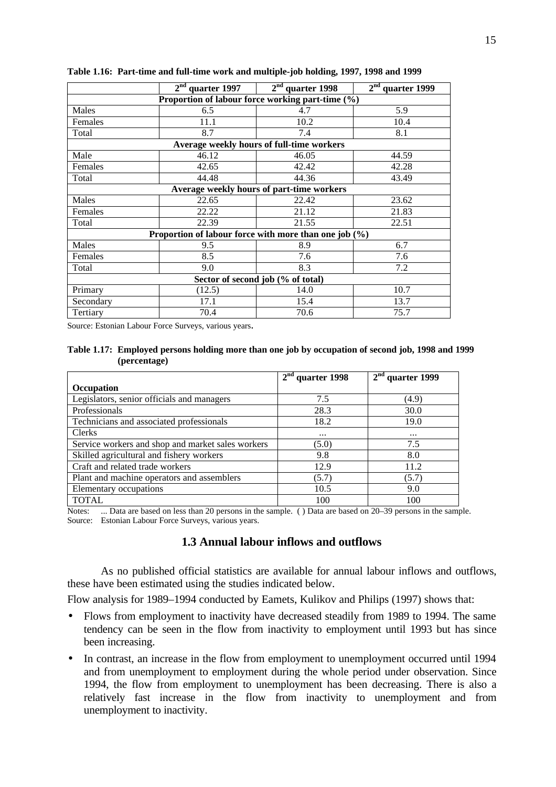|           | 2 <sup>nd</sup><br>quarter 1997                           | $2nd$ quarter 1998                        | 2 <sup>nd</sup><br>quarter 1999 |
|-----------|-----------------------------------------------------------|-------------------------------------------|---------------------------------|
|           | Proportion of labour force working part-time (%)          |                                           |                                 |
| Males     | 6.5                                                       | 4.7                                       | 5.9                             |
| Females   | 11.1                                                      | 10.2                                      | 10.4                            |
| Total     | 8.7                                                       | 7.4                                       | 8.1                             |
|           |                                                           | Average weekly hours of full-time workers |                                 |
| Male      | 46.12                                                     | 46.05                                     | 44.59                           |
| Females   | 42.65                                                     | 42.42                                     | 42.28                           |
| Total     | 44.48                                                     | 44.36                                     | 43.49                           |
|           |                                                           | Average weekly hours of part-time workers |                                 |
| Males     | 22.65                                                     | 22.42                                     | 23.62                           |
| Females   | 22.22                                                     | 21.12                                     | 21.83                           |
| Total     | 22.39                                                     | 21.55                                     | 22.51                           |
|           | Proportion of labour force with more than one job $(\% )$ |                                           |                                 |
| Males     | 9.5                                                       | 8.9                                       | 6.7                             |
| Females   | 8.5                                                       | 7.6                                       | 7.6                             |
| Total     | 9.0                                                       | 8.3                                       | 7.2                             |
|           |                                                           | Sector of second job (% of total)         |                                 |
| Primary   | (12.5)                                                    | 14.0                                      | 10.7                            |
| Secondary | 17.1                                                      | 15.4                                      | 13.7                            |
| Tertiary  | 70.4                                                      | 70.6                                      | 75.7                            |

#### **Table 1.16: Part-time and full-time work and multiple-job holding, 1997, 1998 and 1999**

Source: Estonian Labour Force Surveys, various years.

#### **Table 1.17: Employed persons holding more than one job by occupation of second job, 1998 and 1999 (percentage)**

|                                                   | $2nd$ quarter 1998 | $2nd$ quarter 1999 |
|---------------------------------------------------|--------------------|--------------------|
| <b>Occupation</b>                                 |                    |                    |
| Legislators, senior officials and managers        | 7.5                | (4.9)              |
| Professionals                                     | 28.3               | 30.0               |
| Technicians and associated professionals          | 18.2               | 19.0               |
| <b>Clerks</b>                                     |                    | $\cdots$           |
| Service workers and shop and market sales workers | (5.0)              | 7.5                |
| Skilled agricultural and fishery workers          | 9.8                | 8.0                |
| Craft and related trade workers                   | 12.9               | 11.2               |
| Plant and machine operators and assemblers        | (5.7)              | (5.7)              |
| Elementary occupations                            | 10.5               | 9.0                |
| <b>TOTAL</b>                                      | 100                | 100                |

Notes: ... Data are based on less than 20 persons in the sample. ( ) Data are based on 20–39 persons in the sample. Source: Estonian Labour Force Surveys, various years.

## **1.3 Annual labour inflows and outflows**

As no published official statistics are available for annual labour inflows and outflows, these have been estimated using the studies indicated below.

Flow analysis for 1989–1994 conducted by Eamets, Kulikov and Philips (1997) shows that:

- Flows from employment to inactivity have decreased steadily from 1989 to 1994. The same tendency can be seen in the flow from inactivity to employment until 1993 but has since been increasing.
- In contrast, an increase in the flow from employment to unemployment occurred until 1994 and from unemployment to employment during the whole period under observation. Since 1994, the flow from employment to unemployment has been decreasing. There is also a relatively fast increase in the flow from inactivity to unemployment and from unemployment to inactivity.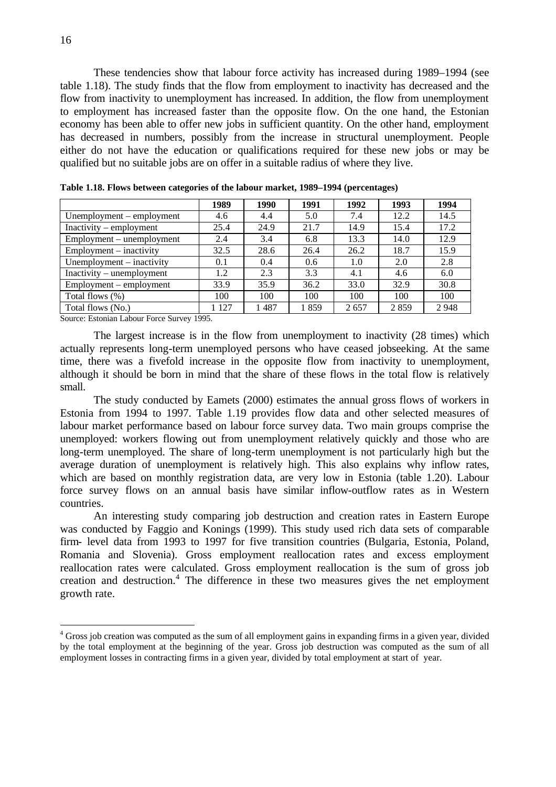These tendencies show that labour force activity has increased during 1989–1994 (see table 1.18). The study finds that the flow from employment to inactivity has decreased and the flow from inactivity to unemployment has increased. In addition, the flow from unemployment to employment has increased faster than the opposite flow. On the one hand, the Estonian economy has been able to offer new jobs in sufficient quantity. On the other hand, employment has decreased in numbers, possibly from the increase in structural unemployment. People either do not have the education or qualifications required for these new jobs or may be qualified but no suitable jobs are on offer in a suitable radius of where they live.

|                             | 1989  | 1990 | 1991 | 1992 | 1993 | 1994 |
|-----------------------------|-------|------|------|------|------|------|
| Unemployment – employment   | 4.6   | 4.4  | 5.0  | 7.4  | 12.2 | 14.5 |
| Inactivity – employment     | 25.4  | 24.9 | 21.7 | 14.9 | 15.4 | 17.2 |
| $Employment$ – unemployment | 2.4   | 3.4  | 6.8  | 13.3 | 14.0 | 12.9 |
| $Employment - inactivity$   | 32.5  | 28.6 | 26.4 | 26.2 | 18.7 | 15.9 |
| Unemployment – inactivity   | 0.1   | 0.4  | 0.6  | 1.0  | 2.0  | 2.8  |
| Inactivity – unemployment   | 1.2   | 2.3  | 3.3  | 4.1  | 4.6  | 6.0  |
| $Employment - employment$   | 33.9  | 35.9 | 36.2 | 33.0 | 32.9 | 30.8 |
| Total flows (%)             | 100   | 100  | 100  | 100  | 100  | 100  |
| Total flows (No.)           | 1 127 | 1487 | 1859 | 2657 | 2859 | 2948 |

Source: Estonian Labour Force Survey 1995.

The largest increase is in the flow from unemployment to inactivity (28 times) which actually represents long-term unemployed persons who have ceased jobseeking. At the same time, there was a fivefold increase in the opposite flow from inactivity to unemployment, although it should be born in mind that the share of these flows in the total flow is relatively small.

The study conducted by Eamets (2000) estimates the annual gross flows of workers in Estonia from 1994 to 1997. Table 1.19 provides flow data and other selected measures of labour market performance based on labour force survey data. Two main groups comprise the unemployed: workers flowing out from unemployment relatively quickly and those who are long-term unemployed. The share of long-term unemployment is not particularly high but the average duration of unemployment is relatively high. This also explains why inflow rates, which are based on monthly registration data, are very low in Estonia (table 1.20). Labour force survey flows on an annual basis have similar inflow-outflow rates as in Western countries.

An interesting study comparing job destruction and creation rates in Eastern Europe was conducted by Faggio and Konings (1999). This study used rich data sets of comparable firm- level data from 1993 to 1997 for five transition countries (Bulgaria, Estonia, Poland, Romania and Slovenia). Gross employment reallocation rates and excess employment reallocation rates were calculated. Gross employment reallocation is the sum of gross job creation and destruction.<sup>4</sup> The difference in these two measures gives the net employment growth rate.

 4 Gross job creation was computed as the sum of all employment gains in expanding firms in a given year, divided by the total employment at the beginning of the year. Gross job destruction was computed as the sum of all employment losses in contracting firms in a given year, divided by total employment at start of year.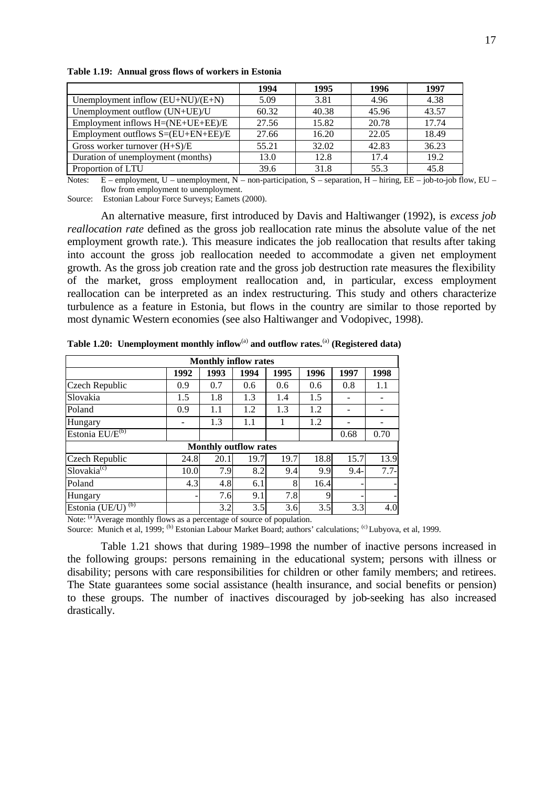|                                     | 1994  | 1995  | 1996  | 1997  |
|-------------------------------------|-------|-------|-------|-------|
| Unemployment inflow $(EU+NU)/(E+N)$ | 5.09  | 3.81  | 4.96  | 4.38  |
| Unemployment outflow (UN+UE)/U      | 60.32 | 40.38 | 45.96 | 43.57 |
| Employment inflows H=(NE+UE+EE)/E   | 27.56 | 15.82 | 20.78 | 17.74 |
| Employment outflows S=(EU+EN+EE)/E  | 27.66 | 16.20 | 22.05 | 18.49 |
| Gross worker turnover $(H+S)/E$     | 55.21 | 32.02 | 42.83 | 36.23 |
| Duration of unemployment (months)   | 13.0  | 12.8  | 17.4  | 19.2  |
| Proportion of LTU                   | 39.6  | 31.8  | 55.3  | 45.8  |

**Table 1.19: Annual gross flows of workers in Estonia**

Notes: E – employment, U – unemployment, N – non-participation, S – separation, H – hiring, EE – job-to-job flow, EU – flow from employment to unemployment.

Source: Estonian Labour Force Surveys; Eamets (2000).

An alternative measure, first introduced by Davis and Haltiwanger (1992), is *excess job reallocation rate* defined as the gross job reallocation rate minus the absolute value of the net employment growth rate.). This measure indicates the job reallocation that results after taking into account the gross job reallocation needed to accommodate a given net employment growth. As the gross job creation rate and the gross job destruction rate measures the flexibility of the market, gross employment reallocation and, in particular, excess employment reallocation can be interpreted as an index restructuring. This study and others characterize turbulence as a feature in Estonia, but flows in the country are similar to those reported by most dynamic Western economies (see also Haltiwanger and Vodopivec, 1998).

| <b>Monthly inflow rates</b>              |      |      |                              |      |      |         |        |  |  |  |  |
|------------------------------------------|------|------|------------------------------|------|------|---------|--------|--|--|--|--|
|                                          | 1992 | 1993 | 1994                         | 1995 | 1996 | 1997    | 1998   |  |  |  |  |
| Czech Republic                           | 0.9  | 0.7  | 0.6                          | 0.6  | 0.6  | 0.8     | 1.1    |  |  |  |  |
| Slovakia                                 | 1.5  | 1.8  | 1.3                          | 1.4  | 1.5  |         |        |  |  |  |  |
| Poland                                   | 0.9  | 1.1  | 1.2                          | 1.3  | 1.2  |         |        |  |  |  |  |
| Hungary                                  |      | 1.3  | 1.1                          |      | 1.2  |         |        |  |  |  |  |
| Estonia EU/E <sup>(b)</sup>              |      |      |                              |      |      | 0.68    | 0.70   |  |  |  |  |
|                                          |      |      | <b>Monthly outflow rates</b> |      |      |         |        |  |  |  |  |
| Czech Republic                           | 24.8 | 20.1 | 19.7                         | 19.7 | 18.8 | 15.7    | 13.9   |  |  |  |  |
| Slovakia <sup>(c)</sup>                  | 10.0 | 7.9  | 8.2                          | 9.4  | 9.9  | $9.4 -$ | $7.7-$ |  |  |  |  |
| Poland                                   | 4.3  | 4.8  | 6.1                          | 8    | 16.4 |         |        |  |  |  |  |
| Hungary                                  |      | 7.6  | 9.1                          | 7.8  | 9    | -       |        |  |  |  |  |
| Estonia (UE/U) <sup>(b)</sup><br>$(a)$ . |      | 3.2  | 3.5                          | 3.6  | 3.5  | 3.3     | 4.0    |  |  |  |  |

**Table 1.20: Unemployment monthly inflow**(a) **and outflow rates.**(a) **(Registered data)** 

Note: <sup>(a)</sup>Average monthly flows as a percentage of source of population.

Source: Munich et al, 1999; (b) Estonian Labour Market Board; authors' calculations; (c) Lubyova, et al, 1999.

Table 1.21 shows that during 1989–1998 the number of inactive persons increased in the following groups: persons remaining in the educational system; persons with illness or disability; persons with care responsibilities for children or other family members; and retirees. The State guarantees some social assistance (health insurance, and social benefits or pension) to these groups. The number of inactives discouraged by job-seeking has also increased drastically.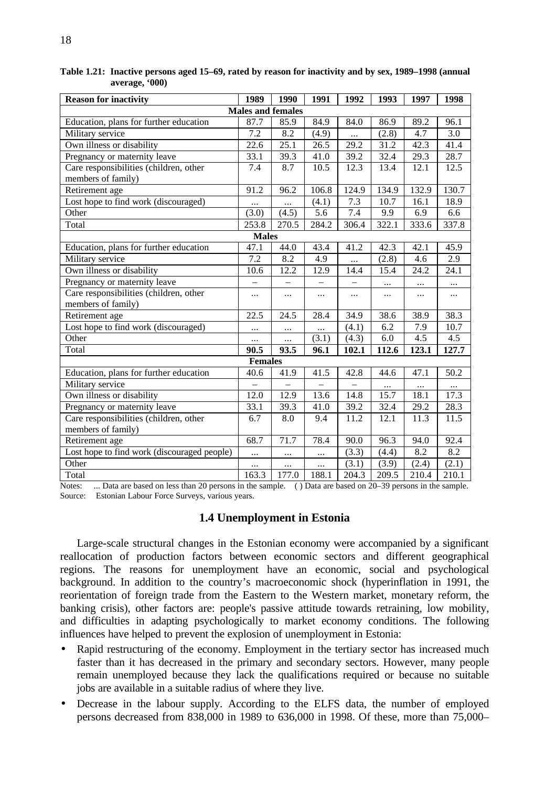| <b>Reason for inactivity</b>                | 1989                     | 1990                     | 1991     | 1992      | 1993     | 1997     | 1998     |
|---------------------------------------------|--------------------------|--------------------------|----------|-----------|----------|----------|----------|
|                                             | <b>Males and females</b> |                          |          |           |          |          |          |
| Education, plans for further education      | $\overline{87.7}$        | 85.9                     | 84.9     | 84.0      | 86.9     | 89.2     | 96.1     |
| Military service                            | 7.2                      | 8.2                      | (4.9)    | $\cdots$  | (2.8)    | 4.7      | 3.0      |
| Own illness or disability                   | 22.6                     | 25.1                     | 26.5     | 29.2      | 31.2     | 42.3     | 41.4     |
| Pregnancy or maternity leave                | 33.1                     | 39.3                     | 41.0     | 39.2      | 32.4     | 29.3     | 28.7     |
| Care responsibilities (children, other      | 7.4                      | 8.7                      | 10.5     | 12.3      | 13.4     | 12.1     | 12.5     |
| members of family)                          |                          |                          |          |           |          |          |          |
| Retirement age                              | 91.2                     | 96.2                     | 106.8    | 124.9     | 134.9    | 132.9    | 130.7    |
| Lost hope to find work (discouraged)        |                          | $\cdots$                 | (4.1)    | 7.3       | 10.7     | 16.1     | 18.9     |
| Other                                       | (3.0)                    | (4.5)                    | 5.6      | 7.4       | 9.9      | 6.9      | 6.6      |
| Total                                       | 253.8                    | 270.5                    | 284.2    | 306.4     | 322.1    | 333.6    | 337.8    |
|                                             | <b>Males</b>             |                          |          |           |          |          |          |
| Education, plans for further education      | 47.1                     | 44.0                     | 43.4     | 41.2      | 42.3     | 42.1     | 45.9     |
| Military service                            | 7.2                      | 8.2                      | 4.9      | $\ddotsc$ | (2.8)    | 4.6      | 2.9      |
| Own illness or disability                   | 10.6                     | 12.2                     | 12.9     | 14.4      | 15.4     | 24.2     | 24.1     |
| Pregnancy or maternity leave                |                          |                          |          |           | $\cdots$ | $\ldots$ |          |
| Care responsibilities (children, other      |                          | $\cdots$                 | $\cdots$ | $\cdots$  | $\cdots$ | $\ldots$ | $\cdots$ |
| members of family)                          |                          |                          |          |           |          |          |          |
| Retirement age                              | $\overline{22.5}$        | 24.5                     | 28.4     | 34.9      | 38.6     | 38.9     | 38.3     |
| Lost hope to find work (discouraged)        |                          | $\cdots$                 | $\cdots$ | (4.1)     | 6.2      | 7.9      | 10.7     |
| Other                                       | $\ldots$                 |                          | (3.1)    | (4.3)     | 6.0      | 4.5      | 4.5      |
| Total                                       | 90.5                     | 93.5                     | 96.1     | 102.1     | 112.6    | 123.1    | 127.7    |
|                                             | <b>Females</b>           |                          |          |           |          |          |          |
| Education, plans for further education      | 40.6                     | 41.9                     | 41.5     | 42.8      | 44.6     | 47.1     | 50.2     |
| Military service                            | $\overline{\phantom{0}}$ | $\overline{\phantom{0}}$ |          |           | $\cdots$ | $\cdots$ |          |
| Own illness or disability                   | 12.0                     | 12.9                     | 13.6     | 14.8      | 15.7     | 18.1     | 17.3     |
| Pregnancy or maternity leave                | 33.1                     | 39.3                     | 41.0     | 39.2      | 32.4     | 29.2     | 28.3     |
| Care responsibilities (children, other      | 6.7                      | 8.0                      | 9.4      | 11.2      | 12.1     | 11.3     | 11.5     |
| members of family)                          |                          |                          |          |           |          |          |          |
| Retirement age                              | 68.7                     | 71.7                     | 78.4     | 90.0      | 96.3     | 94.0     | 92.4     |
| Lost hope to find work (discouraged people) |                          | $\ldots$                 | $\ldots$ | (3.3)     | (4.4)    | 8.2      | 8.2      |
| Other                                       | $\cdots$                 | $\cdots$                 | $\cdots$ | (3.1)     | (3.9)    | (2.4)    | (2.1)    |
| Total                                       | 163.3                    | 177.0                    | 188.1    | 204.3     | 209.5    | 210.4    | 210.1    |

**Table 1.21: Inactive persons aged 15–69, rated by reason for inactivity and by sex, 1989–1998 (annual average, '000)**

Notes: ... Data are based on less than 20 persons in the sample. ( ) Data are based on 20–39 persons in the sample. Source: Estonian Labour Force Surveys, various years.

## **1.4 Unemployment in Estonia**

Large-scale structural changes in the Estonian economy were accompanied by a significant reallocation of production factors between economic sectors and different geographical regions. The reasons for unemployment have an economic, social and psychological background. In addition to the country's macroeconomic shock (hyperinflation in 1991, the reorientation of foreign trade from the Eastern to the Western market, monetary reform, the banking crisis), other factors are: people's passive attitude towards retraining, low mobility, and difficulties in adapting psychologically to market economy conditions. The following influences have helped to prevent the explosion of unemployment in Estonia:

- Rapid restructuring of the economy. Employment in the tertiary sector has increased much faster than it has decreased in the primary and secondary sectors. However, many people remain unemployed because they lack the qualifications required or because no suitable jobs are available in a suitable radius of where they live.
- Decrease in the labour supply. According to the ELFS data, the number of employed persons decreased from 838,000 in 1989 to 636,000 in 1998. Of these, more than 75,000–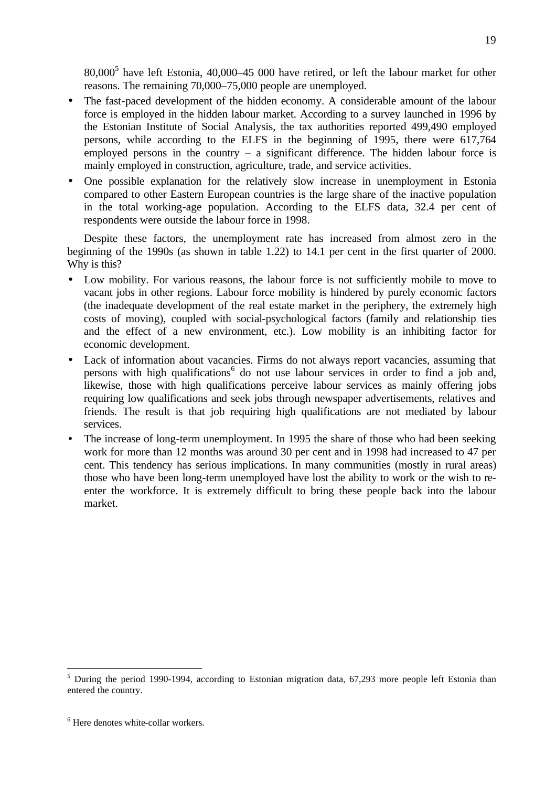80,000<sup>5</sup> have left Estonia, 40,000–45 000 have retired, or left the labour market for other reasons. The remaining 70,000–75,000 people are unemployed.

- The fast-paced development of the hidden economy. A considerable amount of the labour force is employed in the hidden labour market. According to a survey launched in 1996 by the Estonian Institute of Social Analysis, the tax authorities reported 499,490 employed persons, while according to the ELFS in the beginning of 1995, there were 617,764 employed persons in the country  $-$  a significant difference. The hidden labour force is mainly employed in construction, agriculture, trade, and service activities.
- One possible explanation for the relatively slow increase in unemployment in Estonia compared to other Eastern European countries is the large share of the inactive population in the total working-age population. According to the ELFS data, 32.4 per cent of respondents were outside the labour force in 1998.

Despite these factors, the unemployment rate has increased from almost zero in the beginning of the 1990s (as shown in table 1.22) to 14.1 per cent in the first quarter of 2000. Why is this?

- Low mobility. For various reasons, the labour force is not sufficiently mobile to move to vacant jobs in other regions. Labour force mobility is hindered by purely economic factors (the inadequate development of the real estate market in the periphery, the extremely high costs of moving), coupled with social-psychological factors (family and relationship ties and the effect of a new environment, etc.). Low mobility is an inhibiting factor for economic development.
- Lack of information about vacancies. Firms do not always report vacancies, assuming that persons with high qualifications<sup>6</sup> do not use labour services in order to find a job and, likewise, those with high qualifications perceive labour services as mainly offering jobs requiring low qualifications and seek jobs through newspaper advertisements, relatives and friends. The result is that job requiring high qualifications are not mediated by labour services.
- The increase of long-term unemployment. In 1995 the share of those who had been seeking work for more than 12 months was around 30 per cent and in 1998 had increased to 47 per cent. This tendency has serious implications. In many communities (mostly in rural areas) those who have been long-term unemployed have lost the ability to work or the wish to reenter the workforce. It is extremely difficult to bring these people back into the labour market.

 $\overline{a}$ 

<sup>&</sup>lt;sup>5</sup> During the period 1990-1994, according to Estonian migration data, 67,293 more people left Estonia than entered the country.

<sup>6</sup> Here denotes white-collar workers.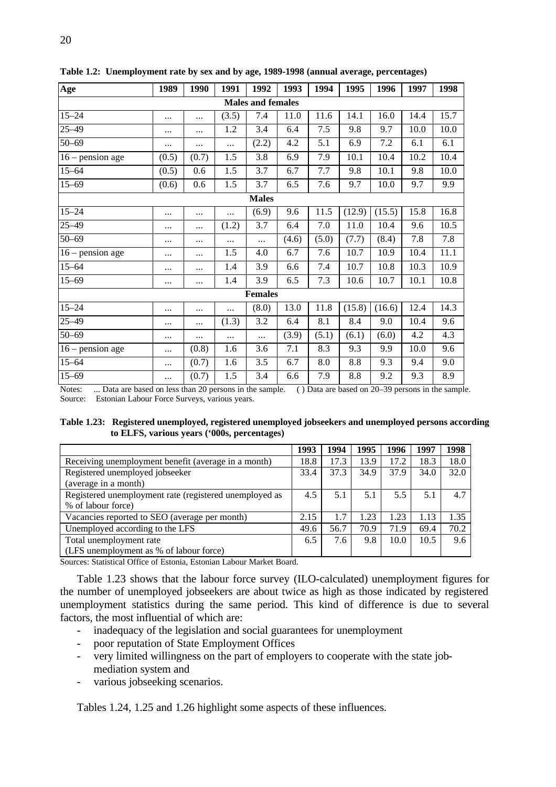| Age                | 1989     | 1990  | 1991     | 1992                     | 1993  | 1994  | 1995   | 1996   | 1997 | 1998 |  |  |  |
|--------------------|----------|-------|----------|--------------------------|-------|-------|--------|--------|------|------|--|--|--|
|                    |          |       |          | <b>Males and females</b> |       |       |        |        |      |      |  |  |  |
| $15 - 24$          | $\cdots$ | .     | (3.5)    | 7.4                      | 11.0  | 11.6  | 14.1   | 16.0   | 14.4 | 15.7 |  |  |  |
| $25 - 49$          | $\cdots$ |       | 1.2      | 3.4                      | 6.4   | 7.5   | 9.8    | 9.7    | 10.0 | 10.0 |  |  |  |
| $50 - 69$          |          | .     |          | (2.2)                    | 4.2   | 5.1   | 6.9    | 7.2    | 6.1  | 6.1  |  |  |  |
| $16$ – pension age | (0.5)    | (0.7) | 1.5      | 3.8                      | 6.9   | 7.9   | 10.1   | 10.4   | 10.2 | 10.4 |  |  |  |
| $15 - 64$          | (0.5)    | 0.6   | 1.5      | 3.7                      | 6.7   | 7.7   | 9.8    | 10.1   | 9.8  | 10.0 |  |  |  |
| $15 - 69$          | (0.6)    | 0.6   | 1.5      | 3.7                      | 6.5   | 7.6   | 9.7    | 10.0   | 9.7  | 9.9  |  |  |  |
| <b>Males</b>       |          |       |          |                          |       |       |        |        |      |      |  |  |  |
| $15 - 24$          | $\cdots$ |       | $\cdots$ | (6.9)                    | 9.6   | 11.5  | (12.9) | (15.5) | 15.8 | 16.8 |  |  |  |
| $25 - 49$          | $\cdots$ |       | (1.2)    | 3.7                      | 6.4   | 7.0   | 11.0   | 10.4   | 9.6  | 10.5 |  |  |  |
| $50 - 69$          | $\cdots$ |       |          | .                        | (4.6) | (5.0) | (7.7)  | (8.4)  | 7.8  | 7.8  |  |  |  |
| $16$ – pension age |          | .     | 1.5      | 4.0                      | 6.7   | 7.6   | 10.7   | 10.9   | 10.4 | 11.1 |  |  |  |
| $15 - 64$          | $\cdots$ |       | 1.4      | 3.9                      | 6.6   | 7.4   | 10.7   | 10.8   | 10.3 | 10.9 |  |  |  |
| $15 - 69$          | $\cdots$ |       | 1.4      | 3.9                      | 6.5   | 7.3   | 10.6   | 10.7   | 10.1 | 10.8 |  |  |  |
|                    |          |       |          | <b>Females</b>           |       |       |        |        |      |      |  |  |  |
| $15 - 24$          | $\cdots$ |       | $\cdots$ | (8.0)                    | 13.0  | 11.8  | (15.8) | (16.6) | 12.4 | 14.3 |  |  |  |
| $25 - 49$          | $\cdots$ | .     | (1.3)    | 3.2                      | 6.4   | 8.1   | 8.4    | 9.0    | 10.4 | 9.6  |  |  |  |
| $50 - 69$          | $\cdots$ | .     | $\cdots$ | .                        | (3.9) | (5.1) | (6.1)  | (6.0)  | 4.2  | 4.3  |  |  |  |
| $16$ – pension age |          | (0.8) | 1.6      | 3.6                      | 7.1   | 8.3   | 9.3    | 9.9    | 10.0 | 9.6  |  |  |  |
| $15 - 64$          |          | (0.7) | 1.6      | 3.5                      | 6.7   | 8.0   | 8.8    | 9.3    | 9.4  | 9.0  |  |  |  |
| $15 - 69$          | $\cdots$ | (0.7) | 1.5      | 3.4                      | 6.6   | 7.9   | 8.8    | 9.2    | 9.3  | 8.9  |  |  |  |

**Table 1.2: Unemployment rate by sex and by age, 1989-1998 (annual average, percentages)**

Notes: ... Data are based on less than 20 persons in the sample. ( ) Data are based on 20–39 persons in the sample. Source: Estonian Labour Force Surveys, various years.

**Table 1.23: Registered unemployed, registered unemployed jobseekers and unemployed persons according to ELFS, various years ('000s, percentages)**

|                                                        | 1993 | 1994 | 1995 | 1996 | 1997 | 1998 |
|--------------------------------------------------------|------|------|------|------|------|------|
| Receiving unemployment benefit (average in a month)    | 18.8 | 17.3 | 13.9 | 17.2 | 18.3 | 18.0 |
| Registered unemployed jobseeker                        | 33.4 | 37.3 | 34.9 | 37.9 | 34.0 | 32.0 |
| (average in a month)                                   |      |      |      |      |      |      |
| Registered unemployment rate (registered unemployed as | 4.5  | 5.1  | 5.1  | 5.5  | 5.1  | 4.7  |
| % of labour force)                                     |      |      |      |      |      |      |
| Vacancies reported to SEO (average per month)          | 2.15 |      | 1.23 | 1.23 | 1.13 | 1.35 |
| Unemployed according to the LFS                        | 49.6 | 56.7 | 70.9 | 71.9 | 69.4 | 70.2 |
| Total unemployment rate                                | 6.5  | 7.6  | 9.8  | 10.0 | 10.5 | 9.6  |
| (LFS unemployment as % of labour force)                |      |      |      |      |      |      |

Sources: Statistical Office of Estonia, Estonian Labour Market Board.

Table 1.23 shows that the labour force survey (ILO-calculated) unemployment figures for the number of unemployed jobseekers are about twice as high as those indicated by registered unemployment statistics during the same period. This kind of difference is due to several factors, the most influential of which are:

- inadequacy of the legislation and social guarantees for unemployment
- poor reputation of State Employment Offices
- very limited willingness on the part of employers to cooperate with the state jobmediation system and
- various jobseeking scenarios.

Tables 1.24, 1.25 and 1.26 highlight some aspects of these influences.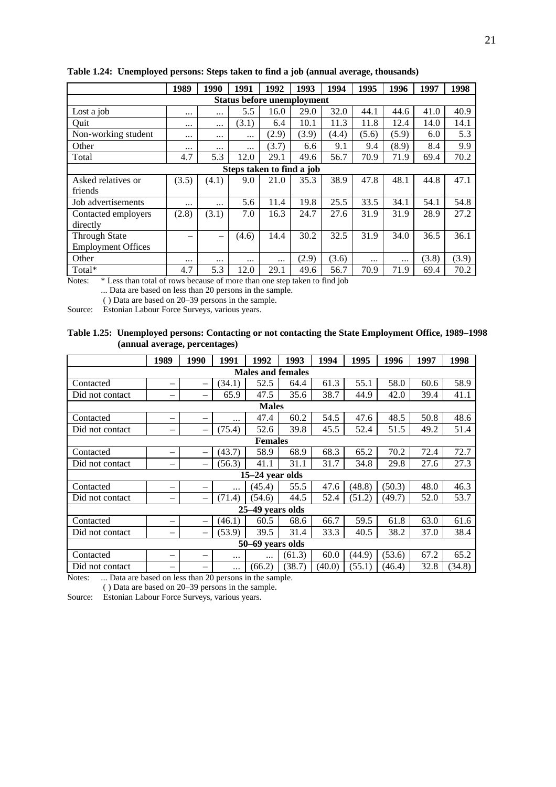|                                                   | 1989          | 1990     | 1991     | 1992                              | 1993  | 1994             | 1995     | 1996  | 1997  | 1998  |  |  |
|---------------------------------------------------|---------------|----------|----------|-----------------------------------|-------|------------------|----------|-------|-------|-------|--|--|
|                                                   |               |          |          | <b>Status before unemployment</b> |       |                  |          |       |       |       |  |  |
| Lost a job                                        | $\cdots$      | $\cdots$ | 5.5      | 16.0                              | 29.0  | 32.0             | 44.1     | 44.6  | 41.0  | 40.9  |  |  |
| Quit                                              | $\cdots$      | $\cdots$ | (3.1)    | 6.4                               | 10.1  | 11.3             | 11.8     | 12.4  | 14.0  | 14.1  |  |  |
| Non-working student                               | $\cdots$      | $\cdots$ | $\cdots$ | (2.9)                             | (3.9) | (4.4)            | (5.6)    | (5.9) | 6.0   | 5.3   |  |  |
| Other                                             | $\cdots$      | $\cdots$ | $\cdots$ | (3.7)                             | 6.6   | 9.1              | 9.4      | (8.9) | 8.4   | 9.9   |  |  |
| Total                                             | 4.7           | 5.3      | 12.0     | 29.1                              | 49.6  | 56.7             | 70.9     | 71.9  | 69.4  | 70.2  |  |  |
| Steps taken to find a job                         |               |          |          |                                   |       |                  |          |       |       |       |  |  |
| Asked relatives or                                | (3.5)         | (4.1)    | 9.0      | 21.0                              | 35.3  | 38.9             | 47.8     | 48.1  | 44.8  | 47.1  |  |  |
| friends                                           |               |          |          |                                   |       |                  |          |       |       |       |  |  |
| Job advertisements                                | $\cdots$      | $\cdots$ | 5.6      | 11.4                              | 19.8  | 25.5             | 33.5     | 34.1  | 54.1  | 54.8  |  |  |
| Contacted employers                               | (2.8)         | (3.1)    | 7.0      | 16.3                              | 24.7  | 27.6             | 31.9     | 31.9  | 28.9  | 27.2  |  |  |
| directly                                          |               |          |          |                                   |       |                  |          |       |       |       |  |  |
| <b>Through State</b>                              |               | -        | (4.6)    | 14.4                              | 30.2  | 32.5             | 31.9     | 34.0  | 36.5  | 36.1  |  |  |
| <b>Employment Offices</b>                         |               |          |          |                                   |       |                  |          |       |       |       |  |  |
| Other                                             | $\cdots$      | $\cdots$ | $\cdots$ |                                   | (2.9) | (3.6)            | $\cdots$ |       | (3.8) | (3.9) |  |  |
| Total*<br>$\sim$ $\sim$<br>$\sim$<br>$\mathbf{a}$ | 4.7<br>$\sim$ | 5.3      | 12.0     | 29.1                              | 49.6  | 56.7<br>$\cdots$ | 70.9     | 71.9  | 69.4  | 70.2  |  |  |

## **Table 1.24: Unemployed persons: Steps taken to find a job (annual average, thousands)**

Notes: \* Less than total of rows because of more than one step taken to find job

... Data are based on less than 20 persons in the sample.

( ) Data are based on 20–39 persons in the sample.

Source: Estonian Labour Force Surveys, various years.

#### **Table 1.25: Unemployed persons: Contacting or not contacting the State Employment Office, 1989–1998 (annual average, percentages)**

|                  | 1989                     | 1990                     | 1991     | 1992                     | 1993   | 1994   | 1995   | 1996   | 1997 | 1998   |  |  |  |
|------------------|--------------------------|--------------------------|----------|--------------------------|--------|--------|--------|--------|------|--------|--|--|--|
|                  |                          |                          |          | <b>Males and females</b> |        |        |        |        |      |        |  |  |  |
| Contacted        | —                        |                          | (34.1)   | 52.5                     | 64.4   | 61.3   | 55.1   | 58.0   | 60.6 | 58.9   |  |  |  |
| Did not contact  | —                        | —                        | 65.9     | 47.5                     | 35.6   | 38.7   | 44.9   | 42.0   | 39.4 | 41.1   |  |  |  |
| <b>Males</b>     |                          |                          |          |                          |        |        |        |        |      |        |  |  |  |
| Contacted        | -                        | -                        | $\cdots$ | 47.4                     | 60.2   | 54.5   | 47.6   | 48.5   | 50.8 | 48.6   |  |  |  |
| Did not contact  |                          | -                        | (75.4)   | 52.6                     | 39.8   | 45.5   | 52.4   | 51.5   | 49.2 | 51.4   |  |  |  |
| <b>Females</b>   |                          |                          |          |                          |        |        |        |        |      |        |  |  |  |
| Contacted        |                          |                          | (43.7)   | 58.9                     | 68.9   | 68.3   | 65.2   | 70.2   | 72.4 | 72.7   |  |  |  |
| Did not contact  |                          | —                        | (56.3)   | 41.1                     | 31.1   | 31.7   | 34.8   | 29.8   | 27.6 | 27.3   |  |  |  |
|                  |                          |                          |          | 15-24 year olds          |        |        |        |        |      |        |  |  |  |
| Contacted        | $\overline{\phantom{0}}$ | —                        | $\cdots$ | (45.4)                   | 55.5   | 47.6   | (48.8) | (50.3) | 48.0 | 46.3   |  |  |  |
| Did not contact  |                          | $\overline{\phantom{0}}$ | (71.4)   | (54.6)                   | 44.5   | 52.4   | (51.2) | (49.7) | 52.0 | 53.7   |  |  |  |
|                  |                          |                          |          | 25-49 years olds         |        |        |        |        |      |        |  |  |  |
| Contacted        |                          | -                        | (46.1)   | 60.5                     | 68.6   | 66.7   | 59.5   | 61.8   | 63.0 | 61.6   |  |  |  |
| Did not contact  |                          | -                        | (53.9)   | 39.5                     | 31.4   | 33.3   | 40.5   | 38.2   | 37.0 | 38.4   |  |  |  |
| 50-69 years olds |                          |                          |          |                          |        |        |        |        |      |        |  |  |  |
| Contacted        | —                        | -                        | $\cdots$ | $\cdots$                 | (61.3) | 60.0   | (44.9) | (53.6) | 67.2 | 65.2   |  |  |  |
| Did not contact  |                          |                          | $\cdots$ | (66.2)                   | (38.7) | (40.0) | (55.1) | (46.4) | 32.8 | (34.8) |  |  |  |

Notes: ... Data are based on less than 20 persons in the sample.

( ) Data are based on 20–39 persons in the sample.

Source: Estonian Labour Force Surveys, various years.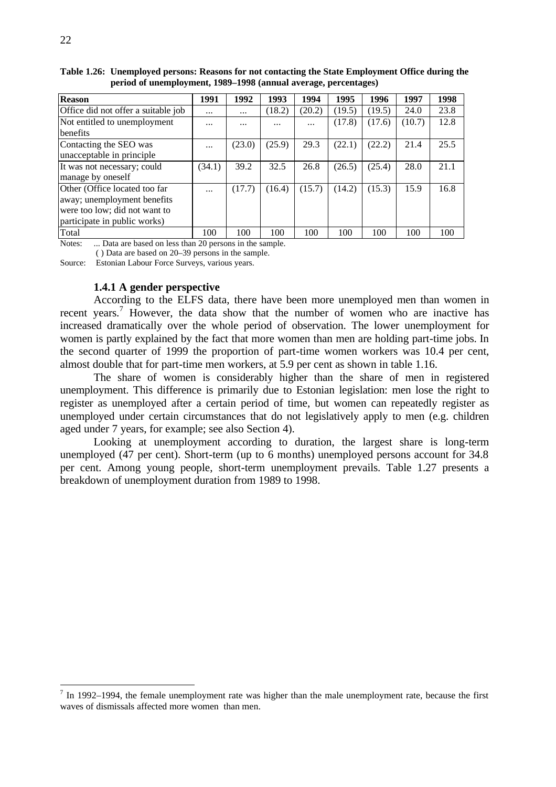| <b>Reason</b>                       | 1991     | 1992     | 1993     | 1994     | 1995   | 1996   | 1997   | 1998 |
|-------------------------------------|----------|----------|----------|----------|--------|--------|--------|------|
| Office did not offer a suitable job | $\cdots$ | $\cdots$ | (18.2)   | (20.2)   | (19.5) | (19.5) | 24.0   | 23.8 |
| Not entitled to unemployment        | $\cdots$ | $\cdots$ | $\cdots$ | $\cdots$ | (17.8) | (17.6) | (10.7) | 12.8 |
| <b>benefits</b>                     |          |          |          |          |        |        |        |      |
| Contacting the SEO was              | $\cdots$ | (23.0)   | (25.9)   | 29.3     | (22.1) | (22.2) | 21.4   | 25.5 |
| unacceptable in principle           |          |          |          |          |        |        |        |      |
| It was not necessary; could         | (34.1)   | 39.2     | 32.5     | 26.8     | (26.5) | (25.4) | 28.0   | 21.1 |
| manage by oneself                   |          |          |          |          |        |        |        |      |
| Other (Office located too far       | $\cdots$ | (17.7)   | (16.4)   | (15.7)   | (14.2) | (15.3) | 15.9   | 16.8 |
| away; unemployment benefits         |          |          |          |          |        |        |        |      |
| were too low; did not want to       |          |          |          |          |        |        |        |      |
| participate in public works)        |          |          |          |          |        |        |        |      |
| Total                               | 100      | 100      | 100      | 100      | 100    | 100    | 100    | 100  |

**Table 1.26: Unemployed persons: Reasons for not contacting the State Employment Office during the period of unemployment, 1989–1998 (annual average, percentages)**

Notes: ... Data are based on less than 20 persons in the sample.

( ) Data are based on 20–39 persons in the sample.

Source: Estonian Labour Force Surveys, various years.

### **1.4.1 A gender perspective**

According to the ELFS data, there have been more unemployed men than women in recent years.<sup>7</sup> However, the data show that the number of women who are inactive has increased dramatically over the whole period of observation. The lower unemployment for women is partly explained by the fact that more women than men are holding part-time jobs. In the second quarter of 1999 the proportion of part-time women workers was 10.4 per cent, almost double that for part-time men workers, at 5.9 per cent as shown in table 1.16.

The share of women is considerably higher than the share of men in registered unemployment. This difference is primarily due to Estonian legislation: men lose the right to register as unemployed after a certain period of time, but women can repeatedly register as unemployed under certain circumstances that do not legislatively apply to men (e.g. children aged under 7 years, for example; see also Section 4).

Looking at unemployment according to duration, the largest share is long-term unemployed (47 per cent). Short-term (up to 6 months) unemployed persons account for 34.8 per cent. Among young people, short-term unemployment prevails. Table 1.27 presents a breakdown of unemployment duration from 1989 to 1998.

<sup>&</sup>lt;sup>7</sup> In 1992–1994, the female unemployment rate was higher than the male unemployment rate, because the first waves of dismissals affected more women than men.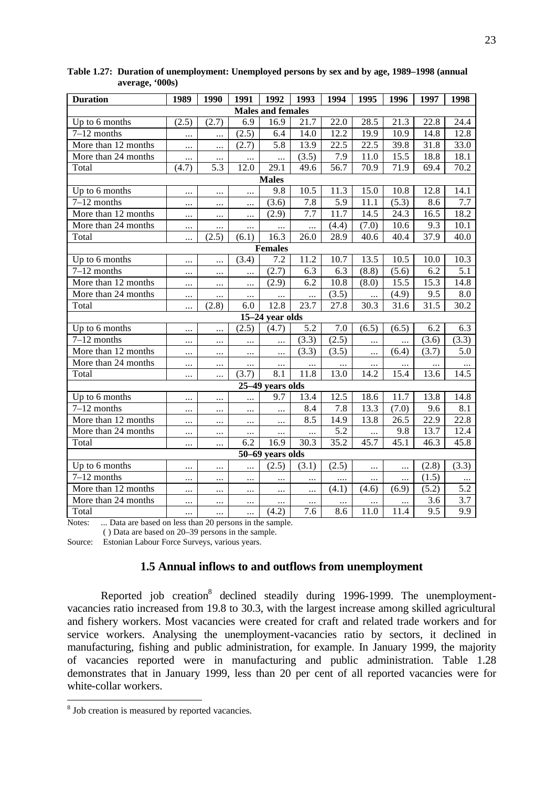| <b>Duration</b>                                                                               | 1989                               | 1990         | 1991             | 1992                     | 1993     | 1994              | 1995     | 1996     | 1997              | 1998              |
|-----------------------------------------------------------------------------------------------|------------------------------------|--------------|------------------|--------------------------|----------|-------------------|----------|----------|-------------------|-------------------|
|                                                                                               |                                    |              |                  | <b>Males and females</b> |          |                   |          |          |                   |                   |
| Up to 6 months                                                                                | (2.5)                              | (2.7)        | $\overline{6.9}$ | 16.9                     | 21.7     | $\overline{22.0}$ | 28.5     | 21.3     | 22.8              | 24.4              |
| $7-12$ months                                                                                 | $\cdots$                           | $\ddotsc$    | (2.5)            | 6.4                      | 14.0     | 12.2              | 19.9     | 10.9     | 14.8              | 12.8              |
| More than 12 months                                                                           | $\cdots$                           |              | (2.7)            | 5.8                      | 13.9     | 22.5              | 22.5     | 39.8     | 31.8              | 33.0              |
| More than 24 months                                                                           | $\cdots$                           | $\ldots$     | $\ldots$         | $\cdots$                 | (3.5)    | 7.9               | 11.0     | 15.5     | 18.8              | 18.1              |
| Total                                                                                         | (4.7)                              | 5.3          | 12.0             | 29.1                     | 49.6     | 56.7              | 70.9     | 71.9     | 69.4              | 70.2              |
|                                                                                               |                                    |              |                  | <b>Males</b>             |          |                   |          |          |                   |                   |
| Up to 6 months                                                                                | $\cdots$                           |              | $\ldots$         | 9.8                      | 10.5     | 11.3              | 15.0     | 10.8     | 12.8              | 14.1              |
| $7-12$ months                                                                                 | $\cdots$                           |              | $\cdots$         | (3.6)                    | 7.8      | 5.9               | 11.1     | (5.3)    | 8.6               | 7.7               |
| More than 12 months                                                                           |                                    |              | $\cdots$         | (2.9)                    | 7.7      | 11.7              | 14.5     | 24.3     | 16.5              | 18.2              |
| More than 24 months                                                                           | $\cdots$                           | $\cdots$     | $\cdots$         | $\cdots$                 | $\cdots$ | (4.4)             | (7.0)    | 10.6     | 9.3               | 10.1              |
| Total                                                                                         |                                    | (2.5)        | (6.1)            | 16.3                     | 26.0     | 28.9              | 40.6     | 40.4     | 37.9              | 40.0              |
|                                                                                               |                                    |              |                  | <b>Females</b>           |          |                   |          |          |                   |                   |
| Up to 6 months                                                                                |                                    | $\cdots$     | (3.4)            | 7.2                      | 11.2     | 10.7              | 13.5     | 10.5     | 10.0              | 10.3              |
| $7-12$ months                                                                                 | $\cdots$                           | $\cdots$     | $\cdots$         | (2.7)                    | 6.3      | 6.3               | (8.8)    | (5.6)    | 6.2               | 5.1               |
| More than 12 months                                                                           | $\cdots$                           | $\cdots$     | $\cdots$         | (2.9)                    | 6.2      | 10.8              | (8.0)    | 15.5     | $15.\overline{3}$ | 14.8              |
| More than 24 months                                                                           | $\cdots$                           | $\ddotsc$    | $\cdots$         | $\cdots$                 | $\cdots$ | (3.5)             | $\cdots$ | (4.9)    | 9.5               | 8.0               |
| Total                                                                                         | $\cdots$                           | (2.8)        | 6.0              | 12.8                     | 23.7     | 27.8              | 30.3     | 31.6     | $31.\overline{5}$ | $30.\overline{2}$ |
|                                                                                               |                                    |              |                  | 15-24 year olds          |          |                   |          |          |                   |                   |
| Up to 6 months                                                                                | $\ddotsc$                          |              | (2.5)            | (4.7)                    | 5.2      | 7.0               | (6.5)    | (6.5)    | 6.2               | 6.3               |
| $7-12$ months                                                                                 | $\cdots$                           | $\cdots$     | $\cdots$         | $\cdots$                 | (3.3)    | (2.5)             | $\cdots$ | $\cdots$ | (3.6)             | (3.3)             |
| More than 12 months                                                                           | $\cdots$                           |              | $\cdots$         | $\cdots$                 | (3.3)    | (3.5)             |          | (6.4)    | (3.7)             | 5.0               |
| More than 24 months                                                                           | $\cdots$                           |              | $\cdots$         | $\cdots$                 |          | $\cdots$          | $\cdots$ | $\cdots$ |                   |                   |
| Total                                                                                         | $\cdots$                           |              | (3.7)            | 8.1                      | 11.8     | 13.0              | 14.2     | 15.4     | 13.6              | 14.5              |
|                                                                                               |                                    |              |                  | 25-49 years olds         |          |                   |          |          |                   |                   |
| Up to 6 months                                                                                | $\cdots$                           | $\cdots$     | $\cdots$         | 9.7                      | 13.4     | 12.5              | 18.6     | 11.7     | 13.8              | 14.8              |
| $7-12$ months                                                                                 | $\ldots$                           | $\cdots$     | $\ldots$         | $\cdots$                 | 8.4      | 7.8               | 13.3     | (7.0)    | 9.6               | 8.1               |
| More than 12 months                                                                           | $\cdots$                           | $\cdots$     | $\ldots$         | $\cdots$                 | 8.5      | 14.9              | 13.8     | 26.5     | 22.9              | 22.8              |
| More than 24 months                                                                           | $\cdots$                           | $\cdots$     | $\ldots$         | $\cdots$                 | $\cdots$ | 5.2               |          | 9.8      | 13.7              | 12.4              |
| Total                                                                                         | $\cdots$                           |              | 6.2              | 16.9                     | 30.3     | 35.2              | 45.7     | 45.1     | 46.3              | 45.8              |
|                                                                                               |                                    |              |                  | 50-69 years olds         |          |                   |          |          |                   |                   |
| Up to 6 months                                                                                |                                    |              | $\cdots$         | (2.5)                    | (3.1)    | (2.5)             |          | $\cdots$ | (2.8)             | (3.3)             |
| $7-12$ months                                                                                 | $\cdots$                           |              | $\cdots$         | $\cdots$                 | $\cdots$ | .                 | $\cdots$ | $\cdots$ | (1.5)             | $\cdots$          |
| More than 12 months                                                                           |                                    |              | $\cdots$         | $\cdots$                 | $\cdots$ | (4.1)             | (4.6)    | (6.9)    | (5.2)             | 5.2               |
| More than 24 months                                                                           |                                    |              | $\cdots$         |                          | $\cdots$ | $\cdots$          |          | $\cdots$ | 3.6               | 3.7               |
| Total<br>$D_{1}$ and $D_{2}$ and $D_{3}$ and $D_{4}$ and $D_{5}$<br>$\mathbf{X}$ $\mathbf{Y}$ | $\cdots$<br>1.1.<br>$\overline{1}$ | <br>$\Delta$ |                  | (4.2)                    | 7.6      | 8.6               | 11.0     | 11.4     | 9.5               | 9.9               |

**Table 1.27: Duration of unemployment: Unemployed persons by sex and by age, 1989–1998 (annual average, '000s)** 

Notes: ... Data are based on less than 20 persons in the sample.

( ) Data are based on 20–39 persons in the sample.

Source: Estonian Labour Force Surveys, various years.

## **1.5 Annual inflows to and outflows from unemployment**

Reported job creation<sup>8</sup> declined steadily during 1996-1999. The unemploymentvacancies ratio increased from 19.8 to 30.3, with the largest increase among skilled agricultural and fishery workers. Most vacancies were created for craft and related trade workers and for service workers. Analysing the unemployment-vacancies ratio by sectors, it declined in manufacturing, fishing and public administration, for example. In January 1999, the majority of vacancies reported were in manufacturing and public administration. Table 1.28 demonstrates that in January 1999, less than 20 per cent of all reported vacancies were for white-collar workers.

 8 Job creation is measured by reported vacancies.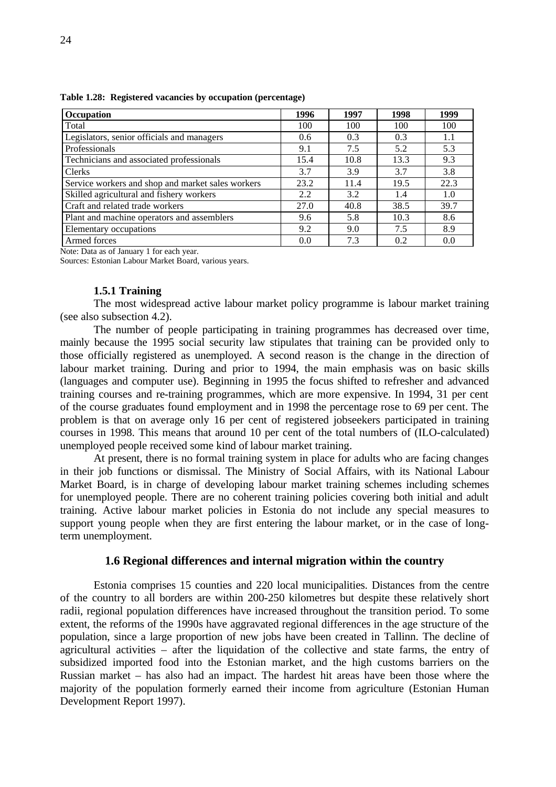| Occupation                                        | 1996 | 1997 | 1998 | 1999 |
|---------------------------------------------------|------|------|------|------|
| Total                                             | 100  | 100  | 100  | 100  |
| Legislators, senior officials and managers        | 0.6  | 0.3  | 0.3  | 1.1  |
| Professionals                                     | 9.1  | 7.5  | 5.2  | 5.3  |
| Technicians and associated professionals          | 15.4 | 10.8 | 13.3 | 9.3  |
| Clerks                                            | 3.7  | 3.9  | 3.7  | 3.8  |
| Service workers and shop and market sales workers | 23.2 | 11.4 | 19.5 | 22.3 |
| Skilled agricultural and fishery workers          | 2.2  | 3.2  | 1.4  | 1.0  |
| Craft and related trade workers                   | 27.0 | 40.8 | 38.5 | 39.7 |
| Plant and machine operators and assemblers        | 9.6  | 5.8  | 10.3 | 8.6  |
| Elementary occupations                            | 9.2  | 9.0  | 7.5  | 8.9  |
| Armed forces                                      | 0.0  | 7.3  | 0.2  | 0.0  |

**Table 1.28: Registered vacancies by occupation (percentage)**

Note: Data as of January 1 for each year.

Sources: Estonian Labour Market Board, various years.

#### **1.5.1 Training**

The most widespread active labour market policy programme is labour market training (see also subsection 4.2).

The number of people participating in training programmes has decreased over time, mainly because the 1995 social security law stipulates that training can be provided only to those officially registered as unemployed. A second reason is the change in the direction of labour market training. During and prior to 1994, the main emphasis was on basic skills (languages and computer use). Beginning in 1995 the focus shifted to refresher and advanced training courses and re-training programmes, which are more expensive. In 1994, 31 per cent of the course graduates found employment and in 1998 the percentage rose to 69 per cent. The problem is that on average only 16 per cent of registered jobseekers participated in training courses in 1998. This means that around 10 per cent of the total numbers of (ILO-calculated) unemployed people received some kind of labour market training.

At present, there is no formal training system in place for adults who are facing changes in their job functions or dismissal. The Ministry of Social Affairs, with its National Labour Market Board, is in charge of developing labour market training schemes including schemes for unemployed people. There are no coherent training policies covering both initial and adult training. Active labour market policies in Estonia do not include any special measures to support young people when they are first entering the labour market, or in the case of longterm unemployment.

#### **1.6 Regional differences and internal migration within the country**

Estonia comprises 15 counties and 220 local municipalities. Distances from the centre of the country to all borders are within 200-250 kilometres but despite these relatively short radii, regional population differences have increased throughout the transition period. To some extent, the reforms of the 1990s have aggravated regional differences in the age structure of the population, since a large proportion of new jobs have been created in Tallinn. The decline of agricultural activities – after the liquidation of the collective and state farms, the entry of subsidized imported food into the Estonian market, and the high customs barriers on the Russian market – has also had an impact. The hardest hit areas have been those where the majority of the population formerly earned their income from agriculture (Estonian Human Development Report 1997).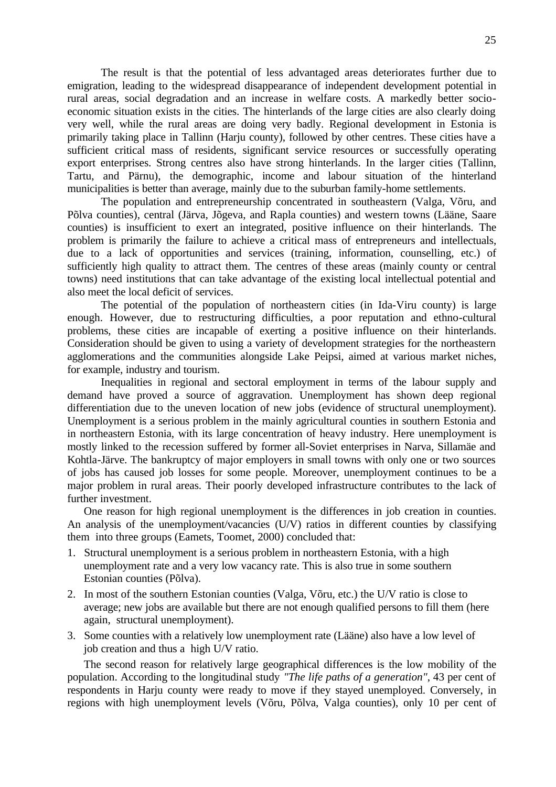The result is that the potential of less advantaged areas deteriorates further due to emigration, leading to the widespread disappearance of independent development potential in rural areas, social degradation and an increase in welfare costs. A markedly better socioeconomic situation exists in the cities. The hinterlands of the large cities are also clearly doing very well, while the rural areas are doing very badly. Regional development in Estonia is primarily taking place in Tallinn (Harju county), followed by other centres. These cities have a sufficient critical mass of residents, significant service resources or successfully operating export enterprises. Strong centres also have strong hinterlands. In the larger cities (Tallinn, Tartu, and Pärnu), the demographic, income and labour situation of the hinterland municipalities is better than average, mainly due to the suburban family-home settlements.

The population and entrepreneurship concentrated in southeastern (Valga, Võru, and Põlva counties), central (Järva, Jõgeva, and Rapla counties) and western towns (Lääne, Saare counties) is insufficient to exert an integrated, positive influence on their hinterlands. The problem is primarily the failure to achieve a critical mass of entrepreneurs and intellectuals, due to a lack of opportunities and services (training, information, counselling, etc.) of sufficiently high quality to attract them. The centres of these areas (mainly county or central towns) need institutions that can take advantage of the existing local intellectual potential and also meet the local deficit of services.

The potential of the population of northeastern cities (in Ida-Viru county) is large enough. However, due to restructuring difficulties, a poor reputation and ethno-cultural problems, these cities are incapable of exerting a positive influence on their hinterlands. Consideration should be given to using a variety of development strategies for the northeastern agglomerations and the communities alongside Lake Peipsi, aimed at various market niches, for example, industry and tourism.

Inequalities in regional and sectoral employment in terms of the labour supply and demand have proved a source of aggravation. Unemployment has shown deep regional differentiation due to the uneven location of new jobs (evidence of structural unemployment). Unemployment is a serious problem in the mainly agricultural counties in southern Estonia and in northeastern Estonia, with its large concentration of heavy industry. Here unemployment is mostly linked to the recession suffered by former all-Soviet enterprises in Narva, Sillamäe and Kohtla-Järve. The bankruptcy of major employers in small towns with only one or two sources of jobs has caused job losses for some people. Moreover, unemployment continues to be a major problem in rural areas. Their poorly developed infrastructure contributes to the lack of further investment.

One reason for high regional unemployment is the differences in job creation in counties. An analysis of the unemployment/vacancies (U/V) ratios in different counties by classifying them into three groups (Eamets, Toomet, 2000) concluded that:

- 1. Structural unemployment is a serious problem in northeastern Estonia, with a high unemployment rate and a very low vacancy rate. This is also true in some southern Estonian counties (Põlva).
- 2. In most of the southern Estonian counties (Valga, Võru, etc.) the U/V ratio is close to average; new jobs are available but there are not enough qualified persons to fill them (here again, structural unemployment).
- 3. Some counties with a relatively low unemployment rate (Lääne) also have a low level of job creation and thus a high U/V ratio.

The second reason for relatively large geographical differences is the low mobility of the population. According to the longitudinal study *"The life paths of a generation"*, 43 per cent of respondents in Harju county were ready to move if they stayed unemployed. Conversely, in regions with high unemployment levels (Võru, Põlva, Valga counties), only 10 per cent of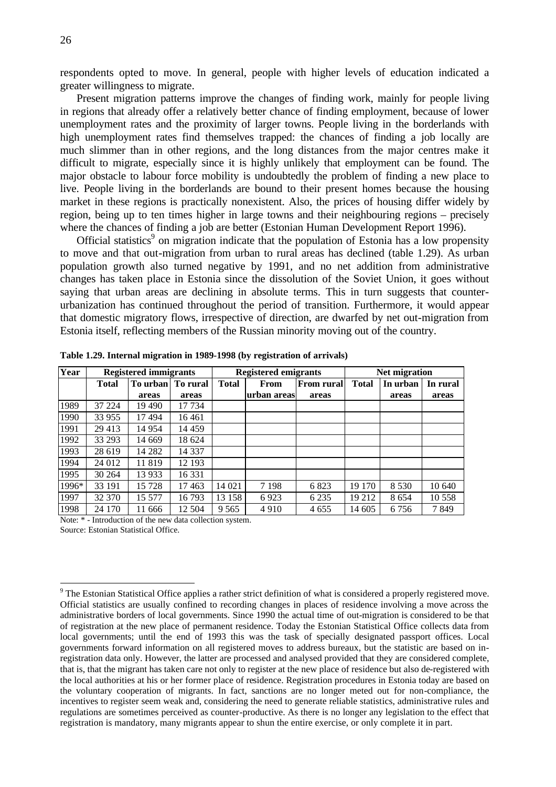respondents opted to move. In general, people with higher levels of education indicated a greater willingness to migrate.

Present migration patterns improve the changes of finding work, mainly for people living in regions that already offer a relatively better chance of finding employment, because of lower unemployment rates and the proximity of larger towns. People living in the borderlands with high unemployment rates find themselves trapped: the chances of finding a job locally are much slimmer than in other regions, and the long distances from the major centres make it difficult to migrate, especially since it is highly unlikely that employment can be found. The major obstacle to labour force mobility is undoubtedly the problem of finding a new place to live. People living in the borderlands are bound to their present homes because the housing market in these regions is practically nonexistent. Also, the prices of housing differ widely by region, being up to ten times higher in large towns and their neighbouring regions – precisely where the chances of finding a job are better (Estonian Human Development Report 1996).

Official statistics<sup>9</sup> on migration indicate that the population of Estonia has a low propensity to move and that out-migration from urban to rural areas has declined (table 1.29). As urban population growth also turned negative by 1991, and no net addition from administrative changes has taken place in Estonia since the dissolution of the Soviet Union, it goes without saying that urban areas are declining in absolute terms. This in turn suggests that counterurbanization has continued throughout the period of transition. Furthermore, it would appear that domestic migratory flows, irrespective of direction, are dwarfed by net out-migration from Estonia itself, reflecting members of the Russian minority moving out of the country.

| Year  |              | <b>Registered immigrants</b> |         | <b>Registered emigrants</b> |             |                   | <b>Net migration</b> |          |          |
|-------|--------------|------------------------------|---------|-----------------------------|-------------|-------------------|----------------------|----------|----------|
|       | <b>Total</b> | To urban   To rural          |         | <b>Total</b>                | From        | <b>From rural</b> | <b>Total</b>         | In urban | In rural |
|       |              | areas                        | areas   |                             | urban areas | areas             |                      | areas    | areas    |
| 1989  | 37 224       | 19 490                       | 17 734  |                             |             |                   |                      |          |          |
| 1990  | 33 955       | 17494                        | 16461   |                             |             |                   |                      |          |          |
| 1991  | 29 413       | 14 9 54                      | 14 459  |                             |             |                   |                      |          |          |
| 1992  | 33 293       | 14 669                       | 18 624  |                             |             |                   |                      |          |          |
| 1993  | 28 619       | 14 282                       | 14 337  |                             |             |                   |                      |          |          |
| 1994  | 24 012       | 11819                        | 12 193  |                             |             |                   |                      |          |          |
| 1995  | 30 264       | 13 9 33                      | 16 3 31 |                             |             |                   |                      |          |          |
| 1996* | 33 191       | 15 728                       | 17463   | 14 0 21                     | 7 1 9 8     | 6823              | 19 170               | 8 5 3 0  | 10 640   |
| 1997  | 32 370       | 15 577                       | 16793   | 13 158                      | 6923        | 6 2 3 5           | 19 212               | 8654     | 10 558   |
| 1998  | 24 170       | 11 666                       | 12 504  | 9 5 6 5                     | 4910        | 4 6 5 5           | 14 605               | 6756     | 7849     |

**Table 1.29. Internal migration in 1989-1998 (by registration of arrivals)**

Note: \* - Introduction of the new data collection system.

Source: Estonian Statistical Office.

 $\overline{a}$ 

<sup>&</sup>lt;sup>9</sup> The Estonian Statistical Office applies a rather strict definition of what is considered a properly registered move. Official statistics are usually confined to recording changes in places of residence involving a move across the administrative borders of local governments. Since 1990 the actual time of out-migration is considered to be that of registration at the new place of permanent residence. Today the Estonian Statistical Office collects data from local governments; until the end of 1993 this was the task of specially designated passport offices. Local governments forward information on all registered moves to address bureaux, but the statistic are based on inregistration data only. However, the latter are processed and analysed provided that they are considered complete, that is, that the migrant has taken care not only to register at the new place of residence but also de-registered with the local authorities at his or her former place of residence. Registration procedures in Estonia today are based on the voluntary cooperation of migrants. In fact, sanctions are no longer meted out for non-compliance, the incentives to register seem weak and, considering the need to generate reliable statistics, administrative rules and regulations are sometimes perceived as counter-productive. As there is no longer any legislation to the effect that registration is mandatory, many migrants appear to shun the entire exercise, or only complete it in part.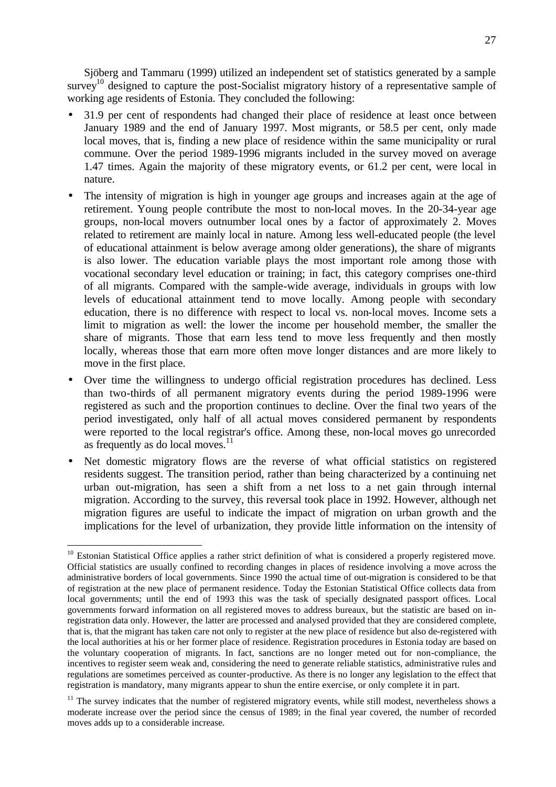Sjöberg and Tammaru (1999) utilized an independent set of statistics generated by a sample survey<sup>10</sup> designed to capture the post-Socialist migratory history of a representative sample of working age residents of Estonia. They concluded the following:

- 31.9 per cent of respondents had changed their place of residence at least once between January 1989 and the end of January 1997. Most migrants, or 58.5 per cent, only made local moves, that is, finding a new place of residence within the same municipality or rural commune. Over the period 1989-1996 migrants included in the survey moved on average 1.47 times. Again the majority of these migratory events, or 61.2 per cent, were local in nature.
- The intensity of migration is high in younger age groups and increases again at the age of retirement. Young people contribute the most to non-local moves. In the 20-34-year age groups, non-local movers outnumber local ones by a factor of approximately 2. Moves related to retirement are mainly local in nature. Among less well-educated people (the level of educational attainment is below average among older generations), the share of migrants is also lower. The education variable plays the most important role among those with vocational secondary level education or training; in fact, this category comprises one-third of all migrants. Compared with the sample-wide average, individuals in groups with low levels of educational attainment tend to move locally. Among people with secondary education, there is no difference with respect to local vs. non-local moves. Income sets a limit to migration as well: the lower the income per household member, the smaller the share of migrants. Those that earn less tend to move less frequently and then mostly locally, whereas those that earn more often move longer distances and are more likely to move in the first place.
- Over time the willingness to undergo official registration procedures has declined. Less than two-thirds of all permanent migratory events during the period 1989-1996 were registered as such and the proportion continues to decline. Over the final two years of the period investigated, only half of all actual moves considered permanent by respondents were reported to the local registrar's office. Among these, non-local moves go unrecorded as frequently as do local moves. $^{11}$
- Net domestic migratory flows are the reverse of what official statistics on registered residents suggest. The transition period, rather than being characterized by a continuing net urban out-migration, has seen a shift from a net loss to a net gain through internal migration. According to the survey, this reversal took place in 1992. However, although net migration figures are useful to indicate the impact of migration on urban growth and the implications for the level of urbanization, they provide little information on the intensity of

 $\overline{a}$ 

<sup>&</sup>lt;sup>10</sup> Estonian Statistical Office applies a rather strict definition of what is considered a properly registered move. Official statistics are usually confined to recording changes in places of residence involving a move across the administrative borders of local governments. Since 1990 the actual time of out-migration is considered to be that of registration at the new place of permanent residence. Today the Estonian Statistical Office collects data from local governments; until the end of 1993 this was the task of specially designated passport offices. Local governments forward information on all registered moves to address bureaux, but the statistic are based on inregistration data only. However, the latter are processed and analysed provided that they are considered complete, that is, that the migrant has taken care not only to register at the new place of residence but also de-registered with the local authorities at his or her former place of residence. Registration procedures in Estonia today are based on the voluntary cooperation of migrants. In fact, sanctions are no longer meted out for non-compliance, the incentives to register seem weak and, considering the need to generate reliable statistics, administrative rules and regulations are sometimes perceived as counter-productive. As there is no longer any legislation to the effect that registration is mandatory, many migrants appear to shun the entire exercise, or only complete it in part.

<sup>&</sup>lt;sup>11</sup> The survey indicates that the number of registered migratory events, while still modest, nevertheless shows a moderate increase over the period since the census of 1989; in the final year covered, the number of recorded moves adds up to a considerable increase.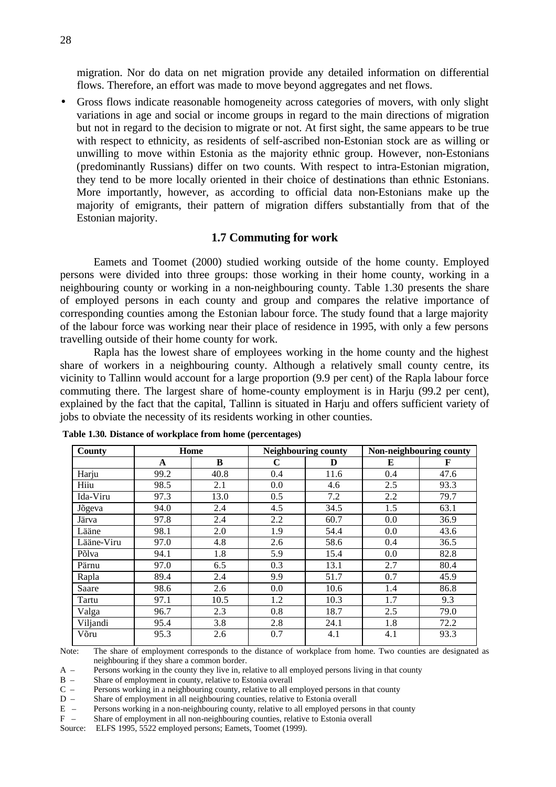migration. Nor do data on net migration provide any detailed information on differential flows. Therefore, an effort was made to move beyond aggregates and net flows.

• Gross flows indicate reasonable homogeneity across categories of movers, with only slight variations in age and social or income groups in regard to the main directions of migration but not in regard to the decision to migrate or not. At first sight, the same appears to be true with respect to ethnicity, as residents of self-ascribed non-Estonian stock are as willing or unwilling to move within Estonia as the majority ethnic group. However, non-Estonians (predominantly Russians) differ on two counts. With respect to intra-Estonian migration, they tend to be more locally oriented in their choice of destinations than ethnic Estonians. More importantly, however, as according to official data non-Estonians make up the majority of emigrants, their pattern of migration differs substantially from that of the Estonian majority.

## **1.7 Commuting for work**

Eamets and Toomet (2000) studied working outside of the home county. Employed persons were divided into three groups: those working in their home county, working in a neighbouring county or working in a non-neighbouring county. Table 1.30 presents the share of employed persons in each county and group and compares the relative importance of corresponding counties among the Estonian labour force. The study found that a large majority of the labour force was working near their place of residence in 1995, with only a few persons travelling outside of their home county for work.

Rapla has the lowest share of employees working in the home county and the highest share of workers in a neighbouring county. Although a relatively small county centre, its vicinity to Tallinn would account for a large proportion (9.9 per cent) of the Rapla labour force commuting there. The largest share of home-county employment is in Harju (99.2 per cent), explained by the fact that the capital, Tallinn is situated in Harju and offers sufficient variety of jobs to obviate the necessity of its residents working in other counties.

| County     | Home |      | Neighbouring county |      | Non-neighbouring county |      |
|------------|------|------|---------------------|------|-------------------------|------|
|            | A    | B    | C                   | D    | E                       | F    |
| Harju      | 99.2 | 40.8 | 0.4                 | 11.6 | 0.4                     | 47.6 |
| Hiiu       | 98.5 | 2.1  | 0.0                 | 4.6  | 2.5                     | 93.3 |
| Ida-Viru   | 97.3 | 13.0 | 0.5                 | 7.2  | 2.2                     | 79.7 |
| Jõgeva     | 94.0 | 2.4  | 4.5                 | 34.5 | 1.5                     | 63.1 |
| Järva      | 97.8 | 2.4  | 2.2                 | 60.7 | 0.0                     | 36.9 |
| Lääne      | 98.1 | 2.0  | 1.9                 | 54.4 | 0.0                     | 43.6 |
| Lääne-Viru | 97.0 | 4.8  | 2.6                 | 58.6 | 0.4                     | 36.5 |
| Põlva      | 94.1 | 1.8  | 5.9                 | 15.4 | 0.0                     | 82.8 |
| Pärnu      | 97.0 | 6.5  | 0.3                 | 13.1 | 2.7                     | 80.4 |
| Rapla      | 89.4 | 2.4  | 9.9                 | 51.7 | 0.7                     | 45.9 |
| Saare      | 98.6 | 2.6  | 0.0                 | 10.6 | 1.4                     | 86.8 |
| Tartu      | 97.1 | 10.5 | 1.2                 | 10.3 | 1.7                     | 9.3  |
| Valga      | 96.7 | 2.3  | 0.8                 | 18.7 | 2.5                     | 79.0 |
| Viljandi   | 95.4 | 3.8  | 2.8                 | 24.1 | 1.8                     | 72.2 |
| Võru       | 95.3 | 2.6  | 0.7                 | 4.1  | 4.1                     | 93.3 |

 **Table 1.30***.* **Distance of workplace from home (percentages)**

Note: The share of employment corresponds to the distance of workplace from home. Two counties are designated as neighbouring if they share a common border.

A – Persons working in the county they live in, relative to all employed persons living in that county

B – Share of employment in county, relative to Estonia overall

C – Persons working in a neighbouring county, relative to all employed persons in that county

D – Share of employment in all neighbouring counties, relative to Estonia overall E – Persons working in a non-neighbouring county, relative to all employed perso Persons working in a non-neighbouring county, relative to all employed persons in that county

F – Share of employment in all non-neighbouring counties, relative to Estonia overall

Source: ELFS 1995, 5522 employed persons; Eamets, Toomet (1999).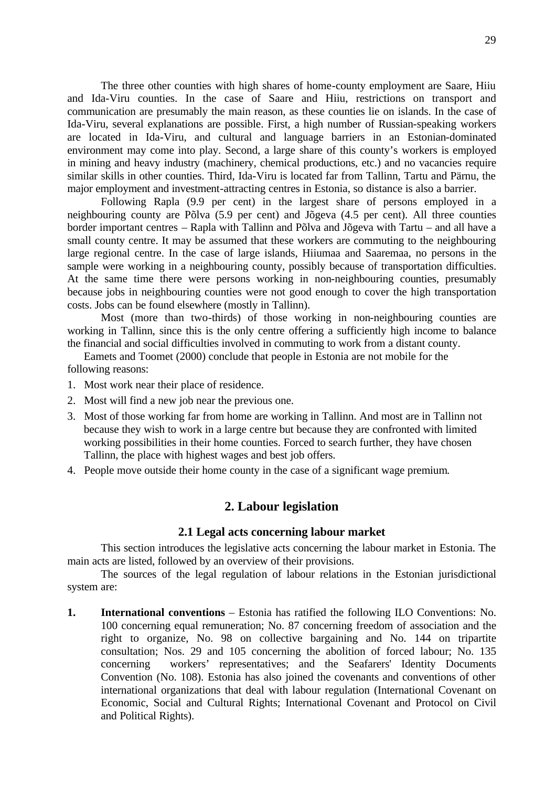The three other counties with high shares of home-county employment are Saare, Hiiu and Ida-Viru counties. In the case of Saare and Hiiu, restrictions on transport and communication are presumably the main reason, as these counties lie on islands. In the case of Ida-Viru, several explanations are possible. First, a high number of Russian-speaking workers are located in Ida-Viru, and cultural and language barriers in an Estonian-dominated environment may come into play. Second, a large share of this county's workers is employed in mining and heavy industry (machinery, chemical productions, etc.) and no vacancies require similar skills in other counties. Third, Ida-Viru is located far from Tallinn, Tartu and Pärnu, the major employment and investment-attracting centres in Estonia, so distance is also a barrier.

Following Rapla (9.9 per cent) in the largest share of persons employed in a neighbouring county are Põlva (5.9 per cent) and Jõgeva (4.5 per cent). All three counties border important centres – Rapla with Tallinn and Põlva and Jõgeva with Tartu – and all have a small county centre. It may be assumed that these workers are commuting to the neighbouring large regional centre. In the case of large islands, Hiiumaa and Saaremaa, no persons in the sample were working in a neighbouring county, possibly because of transportation difficulties. At the same time there were persons working in non-neighbouring counties, presumably because jobs in neighbouring counties were not good enough to cover the high transportation costs. Jobs can be found elsewhere (mostly in Tallinn).

Most (more than two-thirds) of those working in non-neighbouring counties are working in Tallinn, since this is the only centre offering a sufficiently high income to balance the financial and social difficulties involved in commuting to work from a distant county.

Eamets and Toomet (2000) conclude that people in Estonia are not mobile for the following reasons:

- 1. Most work near their place of residence.
- 2. Most will find a new job near the previous one.
- 3. Most of those working far from home are working in Tallinn. And most are in Tallinn not because they wish to work in a large centre but because they are confronted with limited working possibilities in their home counties. Forced to search further, they have chosen Tallinn, the place with highest wages and best job offers.
- 4. People move outside their home county in the case of a significant wage premium.

## **2. Labour legislation**

#### **2.1 Legal acts concerning labour market**

This section introduces the legislative acts concerning the labour market in Estonia. The main acts are listed, followed by an overview of their provisions.

The sources of the legal regulation of labour relations in the Estonian jurisdictional system are:

**1. International conventions** – Estonia has ratified the following ILO Conventions: No. 100 concerning equal remuneration; No. 87 concerning freedom of association and the right to organize, No. 98 on collective bargaining and No. 144 on tripartite consultation; Nos. 29 and 105 concerning the abolition of forced labour; No. 135 concerning workers' representatives; and the Seafarers' Identity Documents Convention (No. 108). Estonia has also joined the covenants and conventions of other international organizations that deal with labour regulation (International Covenant on Economic, Social and Cultural Rights; International Covenant and Protocol on Civil and Political Rights).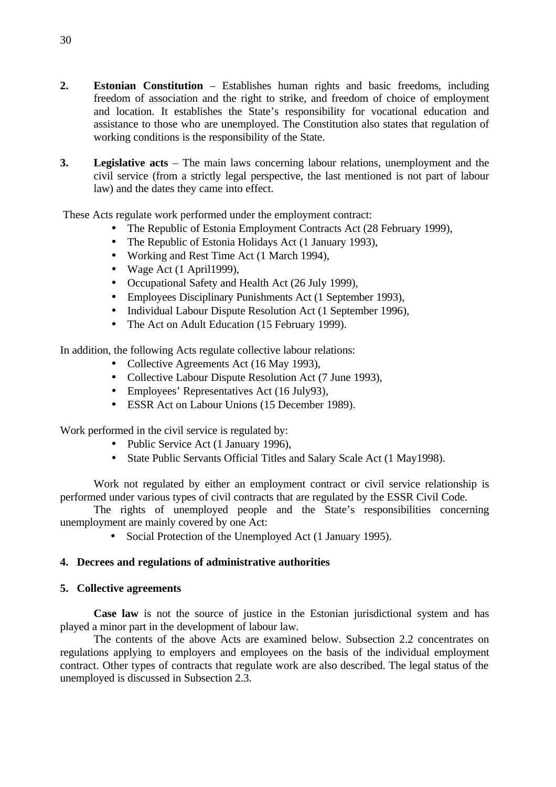- **2. Estonian Constitution** Establishes human rights and basic freedoms, including freedom of association and the right to strike, and freedom of choice of employment and location. It establishes the State's responsibility for vocational education and assistance to those who are unemployed. The Constitution also states that regulation of working conditions is the responsibility of the State.
- **3. Legislative acts** The main laws concerning labour relations, unemployment and the civil service (from a strictly legal perspective, the last mentioned is not part of labour law) and the dates they came into effect.

These Acts regulate work performed under the employment contract:

- The Republic of Estonia Employment Contracts Act (28 February 1999),
- The Republic of Estonia Holidays Act (1 January 1993),
- Working and Rest Time Act (1 March 1994),
- Wage Act (1 April 1999),
- Occupational Safety and Health Act (26 July 1999),
- Employees Disciplinary Punishments Act (1 September 1993),
- Individual Labour Dispute Resolution Act (1 September 1996),
- The Act on Adult Education (15 February 1999).

In addition, the following Acts regulate collective labour relations:

- Collective Agreements Act (16 May 1993).
- Collective Labour Dispute Resolution Act (7 June 1993),
- Employees' Representatives Act (16 July 93),
- ESSR Act on Labour Unions (15 December 1989).

Work performed in the civil service is regulated by:

- Public Service Act (1 January 1996),
- State Public Servants Official Titles and Salary Scale Act (1 May1998).

Work not regulated by either an employment contract or civil service relationship is performed under various types of civil contracts that are regulated by the ESSR Civil Code.

The rights of unemployed people and the State's responsibilities concerning unemployment are mainly covered by one Act:

• Social Protection of the Unemployed Act (1 January 1995).

## **4. Decrees and regulations of administrative authorities**

## **5. Collective agreements**

**Case law** is not the source of justice in the Estonian jurisdictional system and has played a minor part in the development of labour law.

The contents of the above Acts are examined below. Subsection 2.2 concentrates on regulations applying to employers and employees on the basis of the individual employment contract. Other types of contracts that regulate work are also described. The legal status of the unemployed is discussed in Subsection 2.3.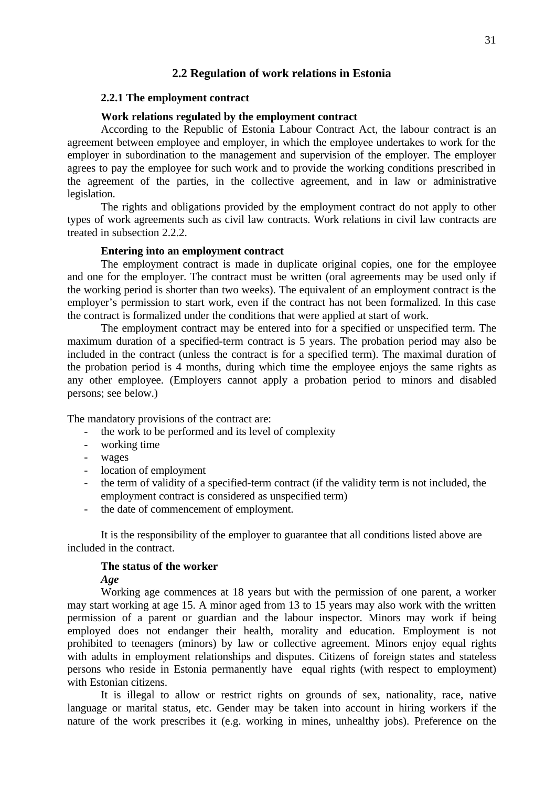#### **2.2 Regulation of work relations in Estonia**

## **2.2.1 The employment contract**

#### **Work relations regulated by the employment contract**

According to the Republic of Estonia Labour Contract Act, the labour contract is an agreement between employee and employer, in which the employee undertakes to work for the employer in subordination to the management and supervision of the employer. The employer agrees to pay the employee for such work and to provide the working conditions prescribed in the agreement of the parties, in the collective agreement, and in law or administrative legislation.

The rights and obligations provided by the employment contract do not apply to other types of work agreements such as civil law contracts. Work relations in civil law contracts are treated in subsection 2.2.2.

#### **Entering into an employment contract**

The employment contract is made in duplicate original copies, one for the employee and one for the employer. The contract must be written (oral agreements may be used only if the working period is shorter than two weeks). The equivalent of an employment contract is the employer's permission to start work, even if the contract has not been formalized. In this case the contract is formalized under the conditions that were applied at start of work.

The employment contract may be entered into for a specified or unspecified term. The maximum duration of a specified-term contract is 5 years. The probation period may also be included in the contract (unless the contract is for a specified term). The maximal duration of the probation period is 4 months, during which time the employee enjoys the same rights as any other employee. (Employers cannot apply a probation period to minors and disabled persons; see below.)

The mandatory provisions of the contract are:

- the work to be performed and its level of complexity
- working time
- wages
- location of employment
- the term of validity of a specified-term contract (if the validity term is not included, the employment contract is considered as unspecified term)
- the date of commencement of employment.

It is the responsibility of the employer to guarantee that all conditions listed above are included in the contract.

#### **The status of the worker**

*Age*

Working age commences at 18 years but with the permission of one parent, a worker may start working at age 15. A minor aged from 13 to 15 years may also work with the written permission of a parent or guardian and the labour inspector. Minors may work if being employed does not endanger their health, morality and education. Employment is not prohibited to teenagers (minors) by law or collective agreement. Minors enjoy equal rights with adults in employment relationships and disputes. Citizens of foreign states and stateless persons who reside in Estonia permanently have equal rights (with respect to employment) with Estonian citizens.

It is illegal to allow or restrict rights on grounds of sex, nationality, race, native language or marital status, etc. Gender may be taken into account in hiring workers if the nature of the work prescribes it (e.g. working in mines, unhealthy jobs). Preference on the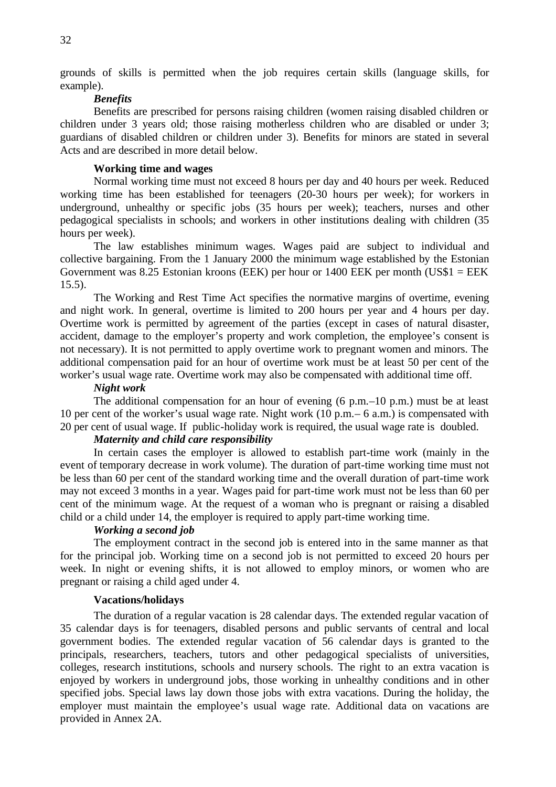grounds of skills is permitted when the job requires certain skills (language skills, for example).

## *Benefits*

Benefits are prescribed for persons raising children (women raising disabled children or children under 3 years old; those raising motherless children who are disabled or under 3; guardians of disabled children or children under 3). Benefits for minors are stated in several Acts and are described in more detail below.

#### **Working time and wages**

Normal working time must not exceed 8 hours per day and 40 hours per week. Reduced working time has been established for teenagers (20-30 hours per week); for workers in underground, unhealthy or specific jobs (35 hours per week); teachers, nurses and other pedagogical specialists in schools; and workers in other institutions dealing with children (35 hours per week).

The law establishes minimum wages. Wages paid are subject to individual and collective bargaining. From the 1 January 2000 the minimum wage established by the Estonian Government was 8.25 Estonian kroons (EEK) per hour or 1400 EEK per month (US\$1 = EEK  $15.5$ ).

The Working and Rest Time Act specifies the normative margins of overtime, evening and night work. In general, overtime is limited to 200 hours per year and 4 hours per day. Overtime work is permitted by agreement of the parties (except in cases of natural disaster, accident, damage to the employer's property and work completion, the employee's consent is not necessary). It is not permitted to apply overtime work to pregnant women and minors. The additional compensation paid for an hour of overtime work must be at least 50 per cent of the worker's usual wage rate. Overtime work may also be compensated with additional time off.

#### *Night work*

The additional compensation for an hour of evening (6 p.m.–10 p.m.) must be at least 10 per cent of the worker's usual wage rate. Night work (10 p.m.– 6 a.m.) is compensated with 20 per cent of usual wage. If public-holiday work is required, the usual wage rate is doubled.

## *Maternity and child care responsibility*

In certain cases the employer is allowed to establish part-time work (mainly in the event of temporary decrease in work volume). The duration of part-time working time must not be less than 60 per cent of the standard working time and the overall duration of part-time work may not exceed 3 months in a year. Wages paid for part-time work must not be less than 60 per cent of the minimum wage. At the request of a woman who is pregnant or raising a disabled child or a child under 14, the employer is required to apply part-time working time.

## *Working a second job*

The employment contract in the second job is entered into in the same manner as that for the principal job. Working time on a second job is not permitted to exceed 20 hours per week. In night or evening shifts, it is not allowed to employ minors, or women who are pregnant or raising a child aged under 4.

### **Vacations/holidays**

The duration of a regular vacation is 28 calendar days. The extended regular vacation of 35 calendar days is for teenagers, disabled persons and public servants of central and local government bodies. The extended regular vacation of 56 calendar days is granted to the principals, researchers, teachers, tutors and other pedagogical specialists of universities, colleges, research institutions, schools and nursery schools. The right to an extra vacation is enjoyed by workers in underground jobs, those working in unhealthy conditions and in other specified jobs. Special laws lay down those jobs with extra vacations. During the holiday, the employer must maintain the employee's usual wage rate. Additional data on vacations are provided in Annex 2A.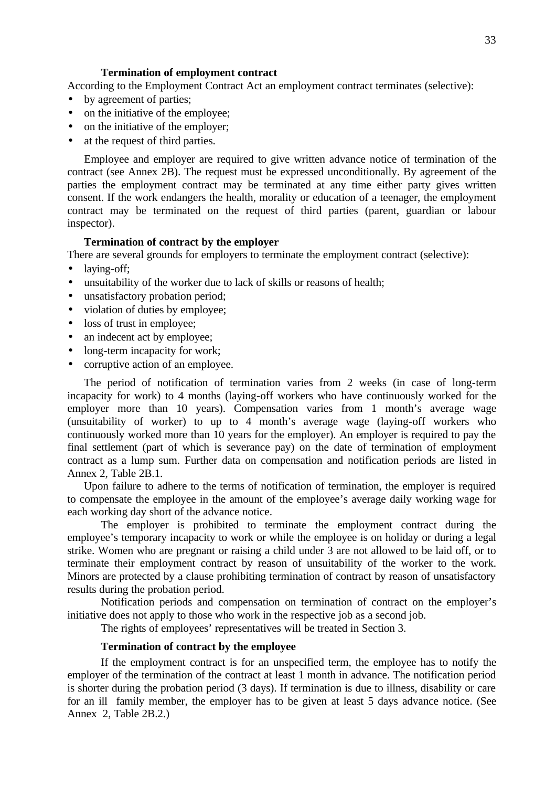### **Termination of employment contract**

According to the Employment Contract Act an employment contract terminates (selective):

- by agreement of parties;
- on the initiative of the employee;
- on the initiative of the employer;
- at the request of third parties.

Employee and employer are required to give written advance notice of termination of the contract (see Annex 2B). The request must be expressed unconditionally. By agreement of the parties the employment contract may be terminated at any time either party gives written consent. If the work endangers the health, morality or education of a teenager, the employment contract may be terminated on the request of third parties (parent, guardian or labour inspector).

### **Termination of contract by the employer**

There are several grounds for employers to terminate the employment contract (selective):

- laying-off;
- unsuitability of the worker due to lack of skills or reasons of health;
- unsatisfactory probation period;
- violation of duties by employee;
- loss of trust in employee;
- an indecent act by employee:
- long-term incapacity for work;
- corruptive action of an employee.

The period of notification of termination varies from 2 weeks (in case of long-term incapacity for work) to 4 months (laying-off workers who have continuously worked for the employer more than 10 years). Compensation varies from 1 month's average wage (unsuitability of worker) to up to 4 month's average wage (laying-off workers who continuously worked more than 10 years for the employer). An employer is required to pay the final settlement (part of which is severance pay) on the date of termination of employment contract as a lump sum. Further data on compensation and notification periods are listed in Annex 2, Table 2B.1.

Upon failure to adhere to the terms of notification of termination, the employer is required to compensate the employee in the amount of the employee's average daily working wage for each working day short of the advance notice.

The employer is prohibited to terminate the employment contract during the employee's temporary incapacity to work or while the employee is on holiday or during a legal strike. Women who are pregnant or raising a child under 3 are not allowed to be laid off, or to terminate their employment contract by reason of unsuitability of the worker to the work. Minors are protected by a clause prohibiting termination of contract by reason of unsatisfactory results during the probation period.

Notification periods and compensation on termination of contract on the employer's initiative does not apply to those who work in the respective job as a second job.

The rights of employees' representatives will be treated in Section 3.

### **Termination of contract by the employee**

If the employment contract is for an unspecified term, the employee has to notify the employer of the termination of the contract at least 1 month in advance. The notification period is shorter during the probation period (3 days). If termination is due to illness, disability or care for an ill family member, the employer has to be given at least 5 days advance notice. (See Annex 2, Table 2B.2.)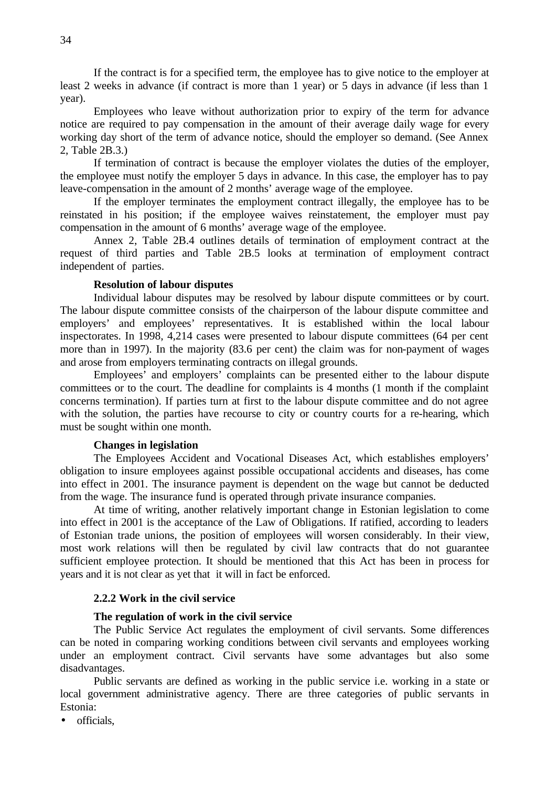If the contract is for a specified term, the employee has to give notice to the employer at least 2 weeks in advance (if contract is more than 1 year) or 5 days in advance (if less than 1 year).

Employees who leave without authorization prior to expiry of the term for advance notice are required to pay compensation in the amount of their average daily wage for every working day short of the term of advance notice, should the employer so demand. (See Annex 2, Table 2B.3.)

If termination of contract is because the employer violates the duties of the employer, the employee must notify the employer 5 days in advance. In this case, the employer has to pay leave-compensation in the amount of 2 months' average wage of the employee.

If the employer terminates the employment contract illegally, the employee has to be reinstated in his position; if the employee waives reinstatement, the employer must pay compensation in the amount of 6 months' average wage of the employee.

Annex 2, Table 2B.4 outlines details of termination of employment contract at the request of third parties and Table 2B.5 looks at termination of employment contract independent of parties.

## **Resolution of labour disputes**

Individual labour disputes may be resolved by labour dispute committees or by court. The labour dispute committee consists of the chairperson of the labour dispute committee and employers' and employees' representatives. It is established within the local labour inspectorates. In 1998, 4,214 cases were presented to labour dispute committees (64 per cent more than in 1997). In the majority (83.6 per cent) the claim was for non-payment of wages and arose from employers terminating contracts on illegal grounds.

Employees' and employers' complaints can be presented either to the labour dispute committees or to the court. The deadline for complaints is 4 months (1 month if the complaint concerns termination). If parties turn at first to the labour dispute committee and do not agree with the solution, the parties have recourse to city or country courts for a re-hearing, which must be sought within one month.

### **Changes in legislation**

The Employees Accident and Vocational Diseases Act, which establishes employers' obligation to insure employees against possible occupational accidents and diseases, has come into effect in 2001. The insurance payment is dependent on the wage but cannot be deducted from the wage. The insurance fund is operated through private insurance companies.

At time of writing, another relatively important change in Estonian legislation to come into effect in 2001 is the acceptance of the Law of Obligations. If ratified, according to leaders of Estonian trade unions, the position of employees will worsen considerably. In their view, most work relations will then be regulated by civil law contracts that do not guarantee sufficient employee protection. It should be mentioned that this Act has been in process for years and it is not clear as yet that it will in fact be enforced.

# **2.2.2 Work in the civil service**

#### **The regulation of work in the civil service**

The Public Service Act regulates the employment of civil servants. Some differences can be noted in comparing working conditions between civil servants and employees working under an employment contract. Civil servants have some advantages but also some disadvantages.

Public servants are defined as working in the public service i.e. working in a state or local government administrative agency. There are three categories of public servants in Estonia:

• officials,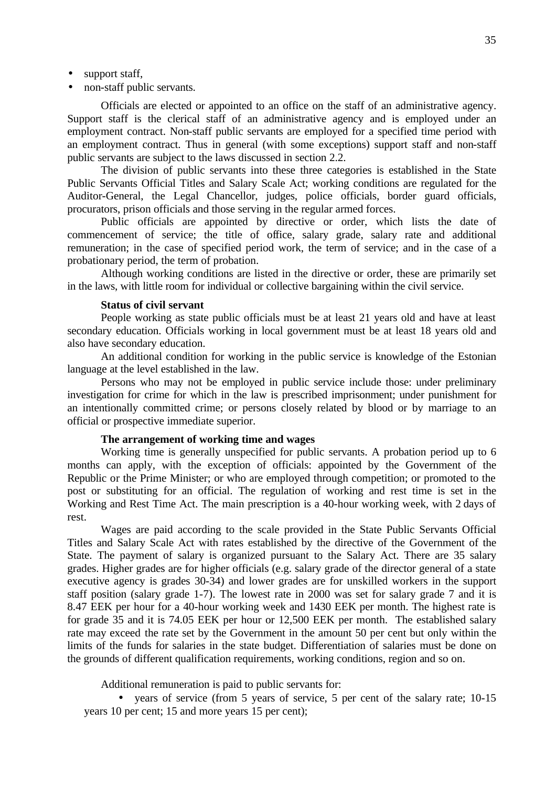- support staff,
- non-staff public servants.

Officials are elected or appointed to an office on the staff of an administrative agency. Support staff is the clerical staff of an administrative agency and is employed under an employment contract. Non-staff public servants are employed for a specified time period with an employment contract. Thus in general (with some exceptions) support staff and non-staff public servants are subject to the laws discussed in section 2.2.

The division of public servants into these three categories is established in the State Public Servants Official Titles and Salary Scale Act; working conditions are regulated for the Auditor-General, the Legal Chancellor, judges, police officials, border guard officials, procurators, prison officials and those serving in the regular armed forces.

Public officials are appointed by directive or order, which lists the date of commencement of service; the title of office, salary grade, salary rate and additional remuneration; in the case of specified period work, the term of service; and in the case of a probationary period, the term of probation.

Although working conditions are listed in the directive or order, these are primarily set in the laws, with little room for individual or collective bargaining within the civil service.

#### **Status of civil servant**

People working as state public officials must be at least 21 years old and have at least secondary education. Officials working in local government must be at least 18 years old and also have secondary education.

An additional condition for working in the public service is knowledge of the Estonian language at the level established in the law.

Persons who may not be employed in public service include those: under preliminary investigation for crime for which in the law is prescribed imprisonment; under punishment for an intentionally committed crime; or persons closely related by blood or by marriage to an official or prospective immediate superior.

### **The arrangement of working time and wages**

Working time is generally unspecified for public servants. A probation period up to 6 months can apply, with the exception of officials: appointed by the Government of the Republic or the Prime Minister; or who are employed through competition; or promoted to the post or substituting for an official. The regulation of working and rest time is set in the Working and Rest Time Act. The main prescription is a 40-hour working week, with 2 days of rest.

Wages are paid according to the scale provided in the State Public Servants Official Titles and Salary Scale Act with rates established by the directive of the Government of the State. The payment of salary is organized pursuant to the Salary Act. There are 35 salary grades. Higher grades are for higher officials (e.g. salary grade of the director general of a state executive agency is grades 30-34) and lower grades are for unskilled workers in the support staff position (salary grade 1-7). The lowest rate in 2000 was set for salary grade 7 and it is 8.47 EEK per hour for a 40-hour working week and 1430 EEK per month. The highest rate is for grade 35 and it is 74.05 EEK per hour or 12,500 EEK per month. The established salary rate may exceed the rate set by the Government in the amount 50 per cent but only within the limits of the funds for salaries in the state budget. Differentiation of salaries must be done on the grounds of different qualification requirements, working conditions, region and so on.

Additional remuneration is paid to public servants for:

• years of service (from 5 years of service, 5 per cent of the salary rate; 10-15 years 10 per cent; 15 and more years 15 per cent);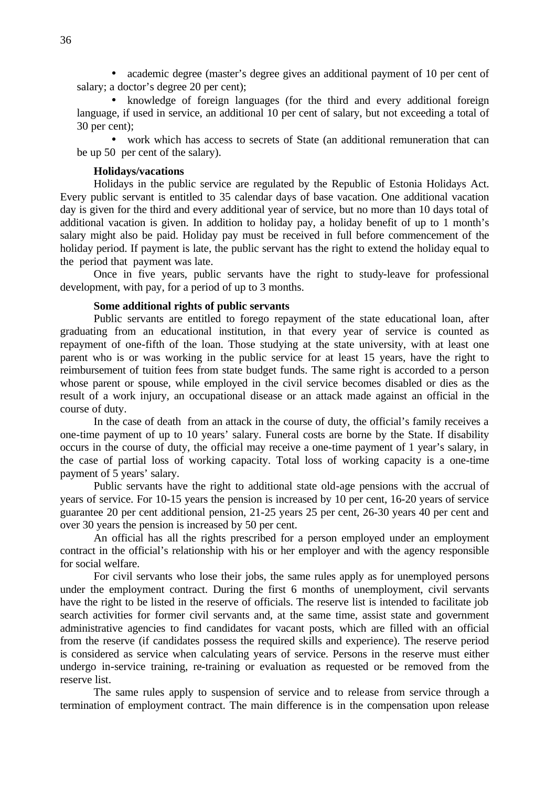• academic degree (master's degree gives an additional payment of 10 per cent of salary; a doctor's degree 20 per cent);

• knowledge of foreign languages (for the third and every additional foreign language, if used in service, an additional 10 per cent of salary, but not exceeding a total of 30 per cent);

• work which has access to secrets of State (an additional remuneration that can be up 50 per cent of the salary).

### **Holidays/vacations**

Holidays in the public service are regulated by the Republic of Estonia Holidays Act. Every public servant is entitled to 35 calendar days of base vacation. One additional vacation day is given for the third and every additional year of service, but no more than 10 days total of additional vacation is given. In addition to holiday pay, a holiday benefit of up to 1 month's salary might also be paid. Holiday pay must be received in full before commencement of the holiday period. If payment is late, the public servant has the right to extend the holiday equal to the period that payment was late.

Once in five years, public servants have the right to study-leave for professional development, with pay, for a period of up to 3 months.

### **Some additional rights of public servants**

Public servants are entitled to forego repayment of the state educational loan, after graduating from an educational institution, in that every year of service is counted as repayment of one-fifth of the loan. Those studying at the state university, with at least one parent who is or was working in the public service for at least 15 years, have the right to reimbursement of tuition fees from state budget funds. The same right is accorded to a person whose parent or spouse, while employed in the civil service becomes disabled or dies as the result of a work injury, an occupational disease or an attack made against an official in the course of duty.

In the case of death from an attack in the course of duty, the official's family receives a one-time payment of up to 10 years' salary. Funeral costs are borne by the State. If disability occurs in the course of duty, the official may receive a one-time payment of 1 year's salary, in the case of partial loss of working capacity. Total loss of working capacity is a one-time payment of 5 years' salary.

Public servants have the right to additional state old-age pensions with the accrual of years of service. For 10-15 years the pension is increased by 10 per cent, 16-20 years of service guarantee 20 per cent additional pension, 21-25 years 25 per cent, 26-30 years 40 per cent and over 30 years the pension is increased by 50 per cent.

An official has all the rights prescribed for a person employed under an employment contract in the official's relationship with his or her employer and with the agency responsible for social welfare.

For civil servants who lose their jobs, the same rules apply as for unemployed persons under the employment contract. During the first 6 months of unemployment, civil servants have the right to be listed in the reserve of officials. The reserve list is intended to facilitate job search activities for former civil servants and, at the same time, assist state and government administrative agencies to find candidates for vacant posts, which are filled with an official from the reserve (if candidates possess the required skills and experience). The reserve period is considered as service when calculating years of service. Persons in the reserve must either undergo in-service training, re-training or evaluation as requested or be removed from the reserve list.

The same rules apply to suspension of service and to release from service through a termination of employment contract. The main difference is in the compensation upon release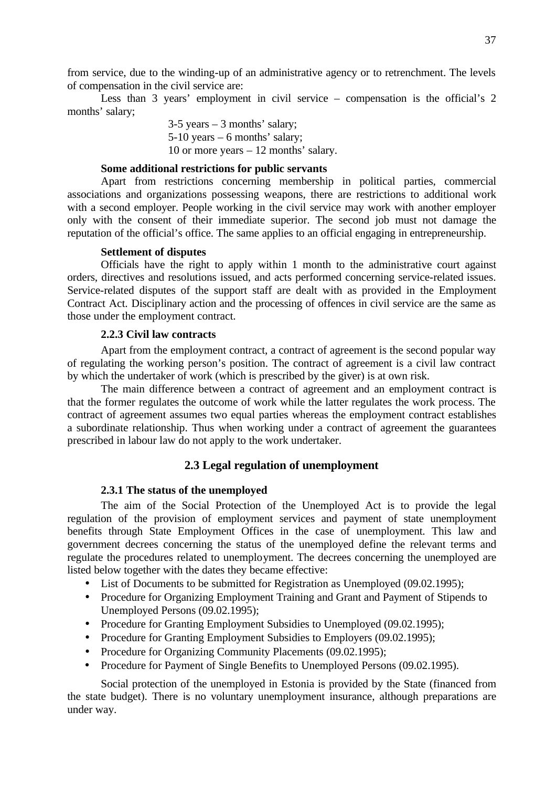from service, due to the winding-up of an administrative agency or to retrenchment. The levels of compensation in the civil service are:

Less than 3 years' employment in civil service – compensation is the official's 2 months' salary;

> 3-5 years – 3 months' salary; 5-10 years – 6 months' salary; 10 or more years – 12 months' salary.

# **Some additional restrictions for public servants**

Apart from restrictions concerning membership in political parties, commercial associations and organizations possessing weapons, there are restrictions to additional work with a second employer. People working in the civil service may work with another employer only with the consent of their immediate superior. The second job must not damage the reputation of the official's office. The same applies to an official engaging in entrepreneurship.

### **Settlement of disputes**

Officials have the right to apply within 1 month to the administrative court against orders, directives and resolutions issued, and acts performed concerning service-related issues. Service-related disputes of the support staff are dealt with as provided in the Employment Contract Act. Disciplinary action and the processing of offences in civil service are the same as those under the employment contract.

### **2.2.3 Civil law contracts**

Apart from the employment contract, a contract of agreement is the second popular way of regulating the working person's position. The contract of agreement is a civil law contract by which the undertaker of work (which is prescribed by the giver) is at own risk.

The main difference between a contract of agreement and an employment contract is that the former regulates the outcome of work while the latter regulates the work process. The contract of agreement assumes two equal parties whereas the employment contract establishes a subordinate relationship. Thus when working under a contract of agreement the guarantees prescribed in labour law do not apply to the work undertaker.

# **2.3 Legal regulation of unemployment**

### **2.3.1 The status of the unemployed**

The aim of the Social Protection of the Unemployed Act is to provide the legal regulation of the provision of employment services and payment of state unemployment benefits through State Employment Offices in the case of unemployment. This law and government decrees concerning the status of the unemployed define the relevant terms and regulate the procedures related to unemployment. The decrees concerning the unemployed are listed below together with the dates they became effective:

- List of Documents to be submitted for Registration as Unemployed (09.02.1995);
- Procedure for Organizing Employment Training and Grant and Payment of Stipends to Unemployed Persons (09.02.1995);
- Procedure for Granting Employment Subsidies to Unemployed (09.02.1995);
- Procedure for Granting Employment Subsidies to Employers (09.02.1995);
- Procedure for Organizing Community Placements (09.02.1995);
- Procedure for Payment of Single Benefits to Unemployed Persons (09.02.1995).

Social protection of the unemployed in Estonia is provided by the State (financed from the state budget). There is no voluntary unemployment insurance, although preparations are under way.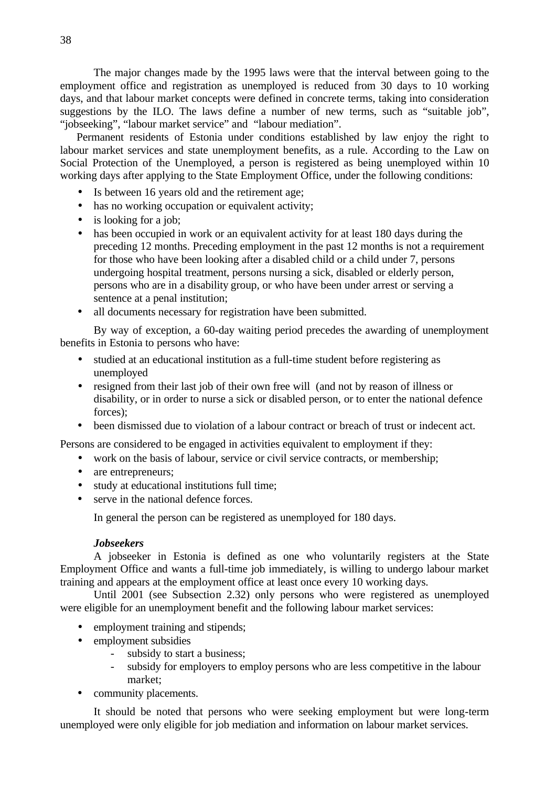The major changes made by the 1995 laws were that the interval between going to the employment office and registration as unemployed is reduced from 30 days to 10 working days, and that labour market concepts were defined in concrete terms, taking into consideration suggestions by the ILO. The laws define a number of new terms, such as "suitable job", "jobseeking", "labour market service" and "labour mediation".

Permanent residents of Estonia under conditions established by law enjoy the right to labour market services and state unemployment benefits, as a rule. According to the Law on Social Protection of the Unemployed, a person is registered as being unemployed within 10 working days after applying to the State Employment Office, under the following conditions:

- Is between 16 years old and the retirement age;
- has no working occupation or equivalent activity;
- is looking for a job;
- has been occupied in work or an equivalent activity for at least 180 days during the preceding 12 months. Preceding employment in the past 12 months is not a requirement for those who have been looking after a disabled child or a child under 7, persons undergoing hospital treatment, persons nursing a sick, disabled or elderly person, persons who are in a disability group, or who have been under arrest or serving a sentence at a penal institution;
- all documents necessary for registration have been submitted.

By way of exception, a 60-day waiting period precedes the awarding of unemployment benefits in Estonia to persons who have:

- studied at an educational institution as a full-time student before registering as unemployed
- resigned from their last job of their own free will (and not by reason of illness or disability, or in order to nurse a sick or disabled person, or to enter the national defence forces);
- been dismissed due to violation of a labour contract or breach of trust or indecent act.

Persons are considered to be engaged in activities equivalent to employment if they:

- work on the basis of labour, service or civil service contracts, or membership;
- are entrepreneurs:
- study at educational institutions full time;
- serve in the national defence forces.

In general the person can be registered as unemployed for 180 days.

#### *Jobseekers*

A jobseeker in Estonia is defined as one who voluntarily registers at the State Employment Office and wants a full-time job immediately, is willing to undergo labour market training and appears at the employment office at least once every 10 working days.

Until 2001 (see Subsection 2.32) only persons who were registered as unemployed were eligible for an unemployment benefit and the following labour market services:

- employment training and stipends;
- employment subsidies
	- subsidy to start a business;
	- subsidy for employers to employ persons who are less competitive in the labour market;
- community placements.

It should be noted that persons who were seeking employment but were long-term unemployed were only eligible for job mediation and information on labour market services.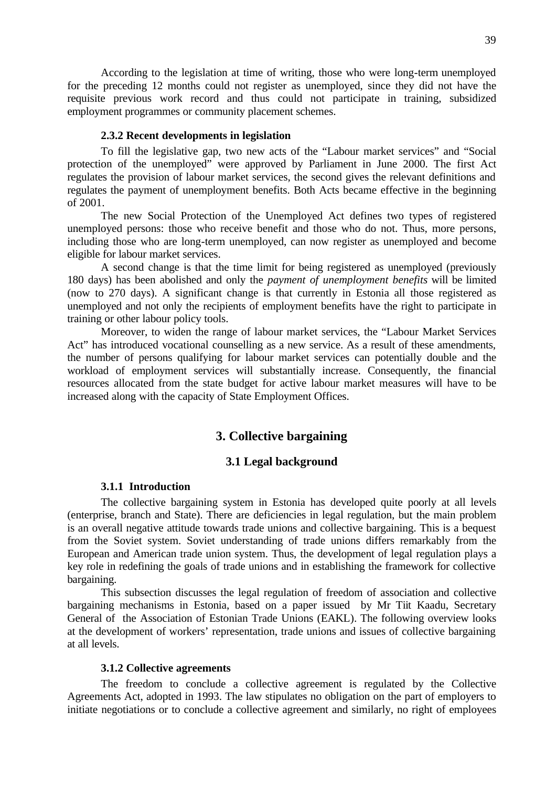According to the legislation at time of writing, those who were long-term unemployed for the preceding 12 months could not register as unemployed, since they did not have the requisite previous work record and thus could not participate in training, subsidized employment programmes or community placement schemes.

#### **2.3.2 Recent developments in legislation**

To fill the legislative gap, two new acts of the "Labour market services" and "Social protection of the unemployed" were approved by Parliament in June 2000. The first Act regulates the provision of labour market services, the second gives the relevant definitions and regulates the payment of unemployment benefits. Both Acts became effective in the beginning of 2001.

The new Social Protection of the Unemployed Act defines two types of registered unemployed persons: those who receive benefit and those who do not. Thus, more persons, including those who are long-term unemployed, can now register as unemployed and become eligible for labour market services.

A second change is that the time limit for being registered as unemployed (previously 180 days) has been abolished and only the *payment of unemployment benefits* will be limited (now to 270 days). A significant change is that currently in Estonia all those registered as unemployed and not only the recipients of employment benefits have the right to participate in training or other labour policy tools.

Moreover, to widen the range of labour market services, the "Labour Market Services Act" has introduced vocational counselling as a new service. As a result of these amendments, the number of persons qualifying for labour market services can potentially double and the workload of employment services will substantially increase. Consequently, the financial resources allocated from the state budget for active labour market measures will have to be increased along with the capacity of State Employment Offices.

# **3. Collective bargaining**

### **3.1 Legal background**

### **3.1.1 Introduction**

The collective bargaining system in Estonia has developed quite poorly at all levels (enterprise, branch and State). There are deficiencies in legal regulation, but the main problem is an overall negative attitude towards trade unions and collective bargaining. This is a bequest from the Soviet system. Soviet understanding of trade unions differs remarkably from the European and American trade union system. Thus, the development of legal regulation plays a key role in redefining the goals of trade unions and in establishing the framework for collective bargaining.

This subsection discusses the legal regulation of freedom of association and collective bargaining mechanisms in Estonia, based on a paper issued by Mr Tiit Kaadu, Secretary General of the Association of Estonian Trade Unions (EAKL). The following overview looks at the development of workers' representation, trade unions and issues of collective bargaining at all levels.

### **3.1.2 Collective agreements**

The freedom to conclude a collective agreement is regulated by the Collective Agreements Act, adopted in 1993. The law stipulates no obligation on the part of employers to initiate negotiations or to conclude a collective agreement and similarly, no right of employees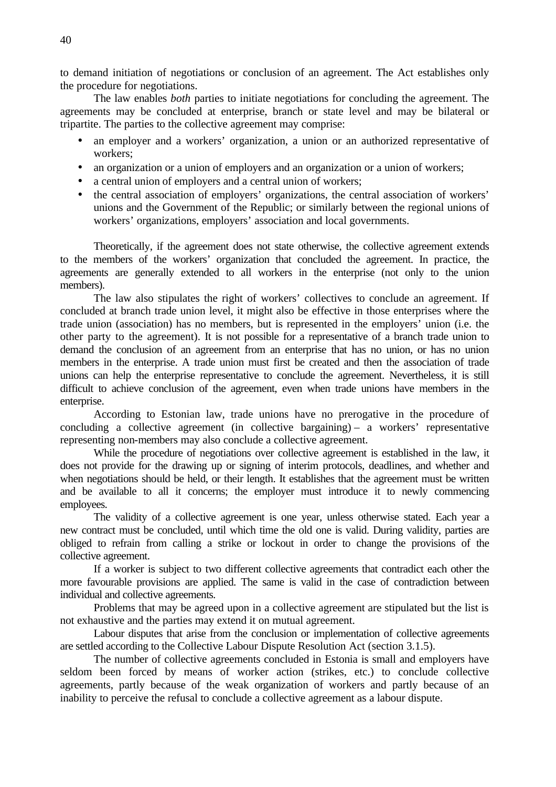to demand initiation of negotiations or conclusion of an agreement. The Act establishes only the procedure for negotiations.

The law enables *both* parties to initiate negotiations for concluding the agreement. The agreements may be concluded at enterprise, branch or state level and may be bilateral or tripartite. The parties to the collective agreement may comprise:

- an employer and a workers' organization, a union or an authorized representative of workers;
- an organization or a union of employers and an organization or a union of workers;
- a central union of employers and a central union of workers;
- the central association of employers' organizations, the central association of workers' unions and the Government of the Republic; or similarly between the regional unions of workers' organizations, employers' association and local governments.

Theoretically, if the agreement does not state otherwise, the collective agreement extends to the members of the workers' organization that concluded the agreement. In practice, the agreements are generally extended to all workers in the enterprise (not only to the union members).

The law also stipulates the right of workers' collectives to conclude an agreement. If concluded at branch trade union level, it might also be effective in those enterprises where the trade union (association) has no members, but is represented in the employers' union (i.e. the other party to the agreement). It is not possible for a representative of a branch trade union to demand the conclusion of an agreement from an enterprise that has no union, or has no union members in the enterprise. A trade union must first be created and then the association of trade unions can help the enterprise representative to conclude the agreement. Nevertheless, it is still difficult to achieve conclusion of the agreement, even when trade unions have members in the enterprise.

According to Estonian law, trade unions have no prerogative in the procedure of concluding a collective agreement (in collective bargaining) – a workers' representative representing non-members may also conclude a collective agreement.

While the procedure of negotiations over collective agreement is established in the law, it does not provide for the drawing up or signing of interim protocols, deadlines, and whether and when negotiations should be held, or their length. It establishes that the agreement must be written and be available to all it concerns; the employer must introduce it to newly commencing employees.

The validity of a collective agreement is one year, unless otherwise stated. Each year a new contract must be concluded, until which time the old one is valid. During validity, parties are obliged to refrain from calling a strike or lockout in order to change the provisions of the collective agreement.

If a worker is subject to two different collective agreements that contradict each other the more favourable provisions are applied. The same is valid in the case of contradiction between individual and collective agreements.

Problems that may be agreed upon in a collective agreement are stipulated but the list is not exhaustive and the parties may extend it on mutual agreement.

Labour disputes that arise from the conclusion or implementation of collective agreements are settled according to the Collective Labour Dispute Resolution Act (section 3.1.5).

The number of collective agreements concluded in Estonia is small and employers have seldom been forced by means of worker action (strikes, etc.) to conclude collective agreements, partly because of the weak organization of workers and partly because of an inability to perceive the refusal to conclude a collective agreement as a labour dispute.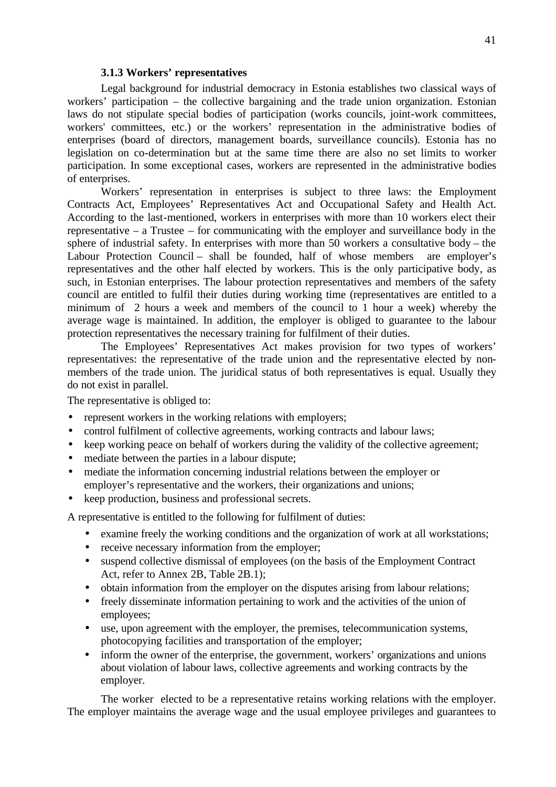### **3.1.3 Workers' representatives**

Legal background for industrial democracy in Estonia establishes two classical ways of workers' participation – the collective bargaining and the trade union organization. Estonian laws do not stipulate special bodies of participation (works councils, joint-work committees, workers' committees, etc.) or the workers' representation in the administrative bodies of enterprises (board of directors, management boards, surveillance councils). Estonia has no legislation on co-determination but at the same time there are also no set limits to worker participation. In some exceptional cases, workers are represented in the administrative bodies of enterprises.

Workers' representation in enterprises is subject to three laws: the Employment Contracts Act, Employees' Representatives Act and Occupational Safety and Health Act. According to the last-mentioned, workers in enterprises with more than 10 workers elect their representative – a Trustee – for communicating with the employer and surveillance body in the sphere of industrial safety. In enterprises with more than 50 workers a consultative body – the Labour Protection Council – shall be founded, half of whose members are employer's representatives and the other half elected by workers. This is the only participative body, as such, in Estonian enterprises. The labour protection representatives and members of the safety council are entitled to fulfil their duties during working time (representatives are entitled to a minimum of 2 hours a week and members of the council to 1 hour a week) whereby the average wage is maintained. In addition, the employer is obliged to guarantee to the labour protection representatives the necessary training for fulfilment of their duties.

The Employees' Representatives Act makes provision for two types of workers' representatives: the representative of the trade union and the representative elected by nonmembers of the trade union. The juridical status of both representatives is equal. Usually they do not exist in parallel.

The representative is obliged to:

- represent workers in the working relations with employers;
- control fulfilment of collective agreements, working contracts and labour laws;
- keep working peace on behalf of workers during the validity of the collective agreement;
- mediate between the parties in a labour dispute;
- mediate the information concerning industrial relations between the employer or employer's representative and the workers, their organizations and unions;
- keep production, business and professional secrets.

A representative is entitled to the following for fulfilment of duties:

- examine freely the working conditions and the organization of work at all workstations;
- receive necessary information from the employer;
- suspend collective dismissal of employees (on the basis of the Employment Contract Act, refer to Annex 2B, Table 2B.1);
- obtain information from the employer on the disputes arising from labour relations;
- freely disseminate information pertaining to work and the activities of the union of employees;
- use, upon agreement with the employer, the premises, telecommunication systems, photocopying facilities and transportation of the employer;
- inform the owner of the enterprise, the government, workers' organizations and unions about violation of labour laws, collective agreements and working contracts by the employer.

The worker elected to be a representative retains working relations with the employer. The employer maintains the average wage and the usual employee privileges and guarantees to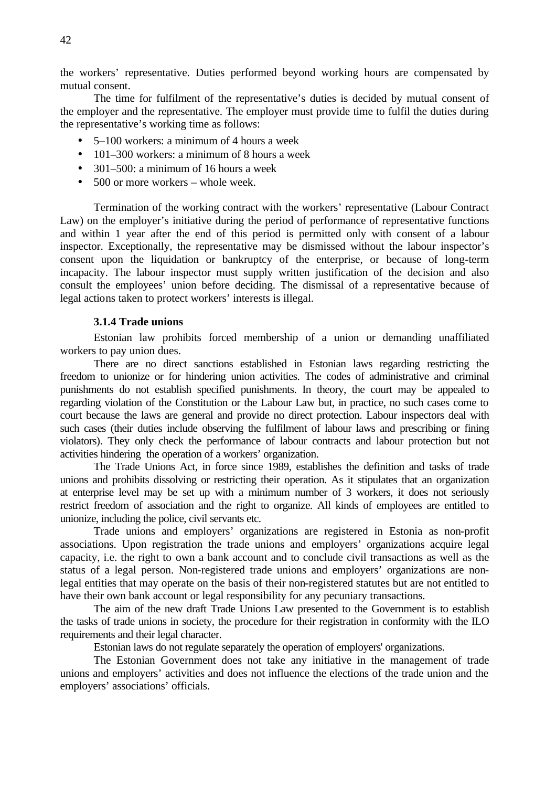the workers' representative. Duties performed beyond working hours are compensated by mutual consent.

The time for fulfilment of the representative's duties is decided by mutual consent of the employer and the representative. The employer must provide time to fulfil the duties during the representative's working time as follows:

- 5–100 workers: a minimum of 4 hours a week
- 101–300 workers: a minimum of 8 hours a week
- 301–500: a minimum of 16 hours a week
- 500 or more workers whole week.

Termination of the working contract with the workers' representative (Labour Contract Law) on the employer's initiative during the period of performance of representative functions and within 1 year after the end of this period is permitted only with consent of a labour inspector. Exceptionally, the representative may be dismissed without the labour inspector's consent upon the liquidation or bankruptcy of the enterprise, or because of long-term incapacity. The labour inspector must supply written justification of the decision and also consult the employees' union before deciding. The dismissal of a representative because of legal actions taken to protect workers' interests is illegal.

### **3.1.4 Trade unions**

Estonian law prohibits forced membership of a union or demanding unaffiliated workers to pay union dues.

There are no direct sanctions established in Estonian laws regarding restricting the freedom to unionize or for hindering union activities. The codes of administrative and criminal punishments do not establish specified punishments. In theory, the court may be appealed to regarding violation of the Constitution or the Labour Law but, in practice, no such cases come to court because the laws are general and provide no direct protection. Labour inspectors deal with such cases (their duties include observing the fulfilment of labour laws and prescribing or fining violators). They only check the performance of labour contracts and labour protection but not activities hindering the operation of a workers' organization.

The Trade Unions Act, in force since 1989, establishes the definition and tasks of trade unions and prohibits dissolving or restricting their operation. As it stipulates that an organization at enterprise level may be set up with a minimum number of 3 workers, it does not seriously restrict freedom of association and the right to organize. All kinds of employees are entitled to unionize, including the police, civil servants etc.

Trade unions and employers' organizations are registered in Estonia as non-profit associations. Upon registration the trade unions and employers' organizations acquire legal capacity, i.e. the right to own a bank account and to conclude civil transactions as well as the status of a legal person. Non-registered trade unions and employers' organizations are nonlegal entities that may operate on the basis of their non-registered statutes but are not entitled to have their own bank account or legal responsibility for any pecuniary transactions.

The aim of the new draft Trade Unions Law presented to the Government is to establish the tasks of trade unions in society, the procedure for their registration in conformity with the ILO requirements and their legal character.

Estonian laws do not regulate separately the operation of employers' organizations.

The Estonian Government does not take any initiative in the management of trade unions and employers' activities and does not influence the elections of the trade union and the employers' associations' officials.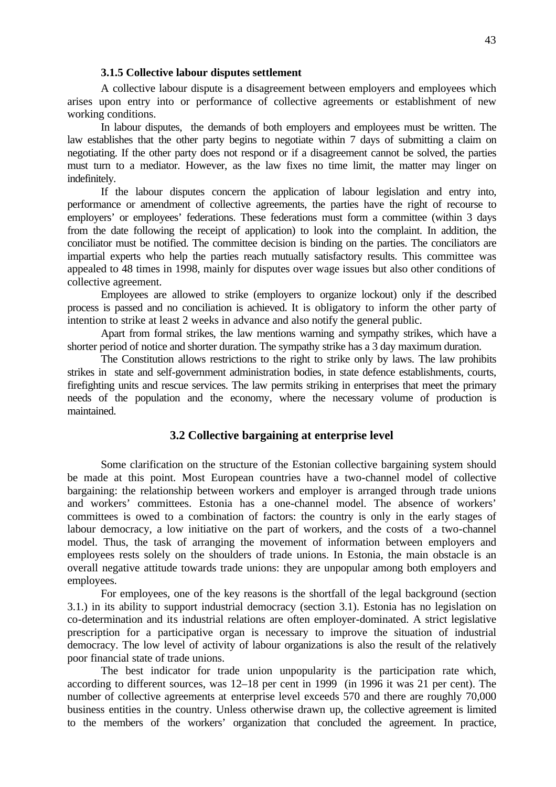#### **3.1.5 Collective labour disputes settlement**

A collective labour dispute is a disagreement between employers and employees which arises upon entry into or performance of collective agreements or establishment of new working conditions.

In labour disputes, the demands of both employers and employees must be written. The law establishes that the other party begins to negotiate within 7 days of submitting a claim on negotiating. If the other party does not respond or if a disagreement cannot be solved, the parties must turn to a mediator. However, as the law fixes no time limit, the matter may linger on indefinitely.

If the labour disputes concern the application of labour legislation and entry into, performance or amendment of collective agreements, the parties have the right of recourse to employers' or employees' federations. These federations must form a committee (within 3 days from the date following the receipt of application) to look into the complaint. In addition, the conciliator must be notified. The committee decision is binding on the parties. The conciliators are impartial experts who help the parties reach mutually satisfactory results. This committee was appealed to 48 times in 1998, mainly for disputes over wage issues but also other conditions of collective agreement.

Employees are allowed to strike (employers to organize lockout) only if the described process is passed and no conciliation is achieved. It is obligatory to inform the other party of intention to strike at least 2 weeks in advance and also notify the general public.

Apart from formal strikes, the law mentions warning and sympathy strikes, which have a shorter period of notice and shorter duration. The sympathy strike has a 3 day maximum duration.

The Constitution allows restrictions to the right to strike only by laws. The law prohibits strikes in state and self-government administration bodies, in state defence establishments, courts, firefighting units and rescue services. The law permits striking in enterprises that meet the primary needs of the population and the economy, where the necessary volume of production is maintained.

## **3.2 Collective bargaining at enterprise level**

Some clarification on the structure of the Estonian collective bargaining system should be made at this point. Most European countries have a two-channel model of collective bargaining: the relationship between workers and employer is arranged through trade unions and workers' committees. Estonia has a one-channel model. The absence of workers' committees is owed to a combination of factors: the country is only in the early stages of labour democracy, a low initiative on the part of workers, and the costs of a two-channel model. Thus, the task of arranging the movement of information between employers and employees rests solely on the shoulders of trade unions. In Estonia, the main obstacle is an overall negative attitude towards trade unions: they are unpopular among both employers and employees.

For employees, one of the key reasons is the shortfall of the legal background (section 3.1.) in its ability to support industrial democracy (section 3.1). Estonia has no legislation on co-determination and its industrial relations are often employer-dominated. A strict legislative prescription for a participative organ is necessary to improve the situation of industrial democracy. The low level of activity of labour organizations is also the result of the relatively poor financial state of trade unions.

The best indicator for trade union unpopularity is the participation rate which, according to different sources, was 12–18 per cent in 1999 (in 1996 it was 21 per cent). The number of collective agreements at enterprise level exceeds 570 and there are roughly 70,000 business entities in the country. Unless otherwise drawn up, the collective agreement is limited to the members of the workers' organization that concluded the agreement. In practice,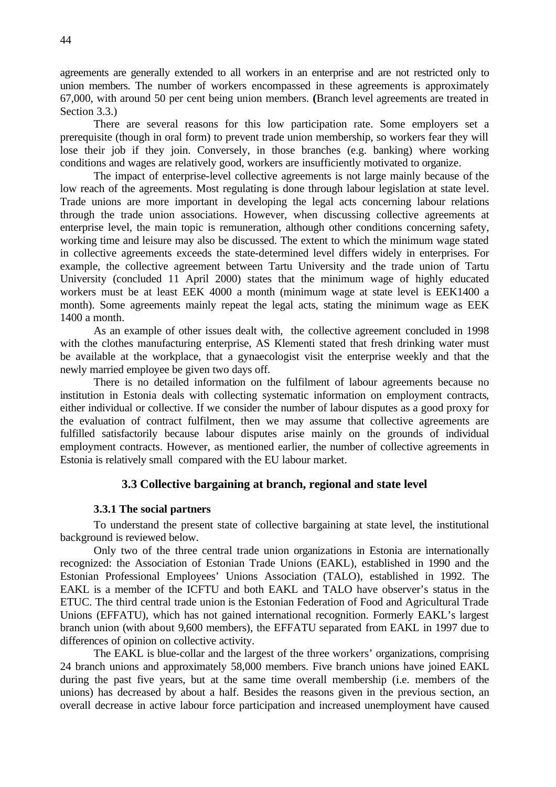agreements are generally extended to all workers in an enterprise and are not restricted only to union members. The number of workers encompassed in these agreements is approximately 67,000, with around 50 per cent being union members. **(**Branch level agreements are treated in Section 3.3.)

There are several reasons for this low participation rate. Some employers set a prerequisite (though in oral form) to prevent trade union membership, so workers fear they will lose their job if they join. Conversely, in those branches (e.g. banking) where working conditions and wages are relatively good, workers are insufficiently motivated to organize.

The impact of enterprise-level collective agreements is not large mainly because of the low reach of the agreements. Most regulating is done through labour legislation at state level. Trade unions are more important in developing the legal acts concerning labour relations through the trade union associations. However, when discussing collective agreements at enterprise level, the main topic is remuneration, although other conditions concerning safety, working time and leisure may also be discussed. The extent to which the minimum wage stated in collective agreements exceeds the state-determined level differs widely in enterprises. For example, the collective agreement between Tartu University and the trade union of Tartu University (concluded 11 April 2000) states that the minimum wage of highly educated workers must be at least EEK 4000 a month (minimum wage at state level is EEK1400 a month). Some agreements mainly repeat the legal acts, stating the minimum wage as EEK 1400 a month.

As an example of other issues dealt with, the collective agreement concluded in 1998 with the clothes manufacturing enterprise, AS Klementi stated that fresh drinking water must be available at the workplace, that a gynaecologist visit the enterprise weekly and that the newly married employee be given two days off.

There is no detailed information on the fulfilment of labour agreements because no institution in Estonia deals with collecting systematic information on employment contracts, either individual or collective. If we consider the number of labour disputes as a good proxy for the evaluation of contract fulfilment, then we may assume that collective agreements are fulfilled satisfactorily because labour disputes arise mainly on the grounds of individual employment contracts. However, as mentioned earlier, the number of collective agreements in Estonia is relatively small compared with the EU labour market.

### **3.3 Collective bargaining at branch, regional and state level**

### **3.3.1 The social partners**

To understand the present state of collective bargaining at state level, the institutional background is reviewed below.

Only two of the three central trade union organizations in Estonia are internationally recognized: the Association of Estonian Trade Unions (EAKL), established in 1990 and the Estonian Professional Employees' Unions Association (TALO), established in 1992. The EAKL is a member of the ICFTU and both EAKL and TALO have observer's status in the ETUC. The third central trade union is the Estonian Federation of Food and Agricultural Trade Unions (EFFATU), which has not gained international recognition. Formerly EAKL's largest branch union (with about 9,600 members), the EFFATU separated from EAKL in 1997 due to differences of opinion on collective activity.

The EAKL is blue-collar and the largest of the three workers' organizations, comprising 24 branch unions and approximately 58,000 members. Five branch unions have joined EAKL during the past five years, but at the same time overall membership (i.e. members of the unions) has decreased by about a half. Besides the reasons given in the previous section, an overall decrease in active labour force participation and increased unemployment have caused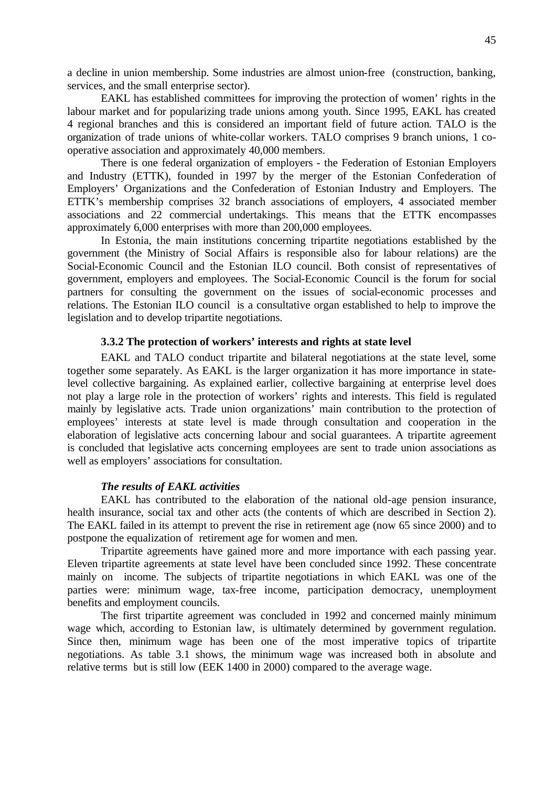a decline in union membership. Some industries are almost union-free (construction, banking, services, and the small enterprise sector).

EAKL has established committees for improving the protection of women' rights in the labour market and for popularizing trade unions among youth. Since 1995, EAKL has created 4 regional branches and this is considered an important field of future action. TALO is the organization of trade unions of white-collar workers. TALO comprises 9 branch unions, 1 cooperative association and approximately 40,000 members.

There is one federal organization of employers - the Federation of Estonian Employers and Industry (ETTK), founded in 1997 by the merger of the Estonian Confederation of Employers' Organizations and the Confederation of Estonian Industry and Employers. The ETTK's membership comprises 32 branch associations of employers, 4 associated member associations and 22 commercial undertakings. This means that the ETTK encompasses approximately 6,000 enterprises with more than 200,000 employees.

In Estonia, the main institutions concerning tripartite negotiations established by the government (the Ministry of Social Affairs is responsible also for labour relations) are the Social-Economic Council and the Estonian ILO council. Both consist of representatives of government, employers and employees. The Social-Economic Council is the forum for social partners for consulting the government on the issues of social-economic processes and relations. The Estonian ILO council is a consultative organ established to help to improve the legislation and to develop tripartite negotiations.

### **3.3.2 The protection of workers' interests and rights at state level**

EAKL and TALO conduct tripartite and bilateral negotiations at the state level, some together some separately. As EAKL is the larger organization it has more importance in statelevel collective bargaining. As explained earlier, collective bargaining at enterprise level does not play a large role in the protection of workers' rights and interests. This field is regulated mainly by legislative acts. Trade union organizations' main contribution to the protection of employees' interests at state level is made through consultation and cooperation in the elaboration of legislative acts concerning labour and social guarantees. A tripartite agreement is concluded that legislative acts concerning employees are sent to trade union associations as well as employers' associations for consultation.

### *The results of EAKL activities*

EAKL has contributed to the elaboration of the national old-age pension insurance, health insurance, social tax and other acts (the contents of which are described in Section 2). The EAKL failed in its attempt to prevent the rise in retirement age (now 65 since 2000) and to postpone the equalization of retirement age for women and men.

Tripartite agreements have gained more and more importance with each passing year. Eleven tripartite agreements at state level have been concluded since 1992. These concentrate mainly on income. The subjects of tripartite negotiations in which EAKL was one of the parties were: minimum wage, tax-free income, participation democracy, unemployment benefits and employment councils.

The first tripartite agreement was concluded in 1992 and concerned mainly minimum wage which, according to Estonian law, is ultimately determined by government regulation. Since then, minimum wage has been one of the most imperative topics of tripartite negotiations. As table 3.1 shows, the minimum wage was increased both in absolute and relative terms but is still low (EEK 1400 in 2000) compared to the average wage.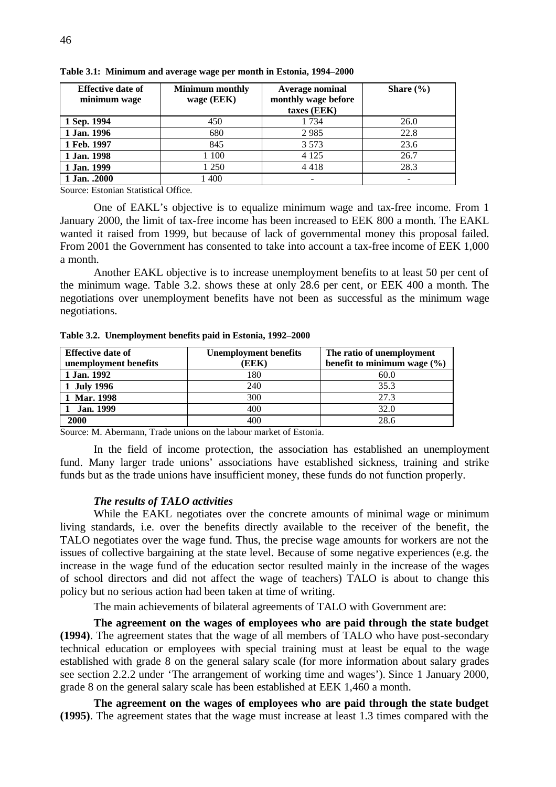| <b>Effective date of</b> | <b>Minimum monthly</b> | <b>Average nominal</b>             | Share $(\% )$ |
|--------------------------|------------------------|------------------------------------|---------------|
| minimum wage             | wage (EEK)             | monthly wage before<br>taxes (EEK) |               |
| 1 Sep. 1994              | 450                    | 1 7 3 4                            | 26.0          |
| 1 Jan. 1996              | 680                    | 2985                               | 22.8          |
| 1 Feb. 1997              | 845                    | 3 5 7 3                            | 23.6          |
| 1 Jan. 1998              | 100                    | 4 1 2 5                            | 26.7          |
| 1 Jan. 1999              | 1 250                  | 4418                               | 28.3          |
| 1 Jan. .2000             | 1 400                  |                                    |               |

**Table 3.1: Minimum and average wage per month in Estonia, 1994–2000**

Source: Estonian Statistical Office*.*

One of EAKL's objective is to equalize minimum wage and tax-free income. From 1 January 2000, the limit of tax-free income has been increased to EEK 800 a month. The EAKL wanted it raised from 1999, but because of lack of governmental money this proposal failed. From 2001 the Government has consented to take into account a tax-free income of EEK 1,000 a month.

Another EAKL objective is to increase unemployment benefits to at least 50 per cent of the minimum wage. Table 3.2. shows these at only 28.6 per cent, or EEK 400 a month. The negotiations over unemployment benefits have not been as successful as the minimum wage negotiations.

| <b>Effective date of</b><br>unemployment benefits | <b>Unemployment benefits</b><br>(EEK) | The ratio of unemployment<br>benefit to minimum wage $(\% )$ |
|---------------------------------------------------|---------------------------------------|--------------------------------------------------------------|
| 1 Jan. 1992                                       | 180                                   | 60.0                                                         |
| 1 July 1996                                       | 240                                   | 35.3                                                         |
| 1 Mar. 1998                                       | 300                                   | 27.3                                                         |
| <b>Jan. 1999</b>                                  | 400                                   | 32.0                                                         |
| 2000                                              | 40C                                   | 28.6                                                         |

**Table 3.2. Unemployment benefits paid in Estonia, 1992–2000**

Source: M. Abermann, Trade unions on the labour market of Estonia.

In the field of income protection, the association has established an unemployment fund. Many larger trade unions' associations have established sickness, training and strike funds but as the trade unions have insufficient money, these funds do not function properly.

#### *The results of TALO activities*

While the EAKL negotiates over the concrete amounts of minimal wage or minimum living standards, i.e. over the benefits directly available to the receiver of the benefit, the TALO negotiates over the wage fund. Thus, the precise wage amounts for workers are not the issues of collective bargaining at the state level. Because of some negative experiences (e.g. the increase in the wage fund of the education sector resulted mainly in the increase of the wages of school directors and did not affect the wage of teachers) TALO is about to change this policy but no serious action had been taken at time of writing.

The main achievements of bilateral agreements of TALO with Government are:

**The agreement on the wages of employees who are paid through the state budget (1994)**. The agreement states that the wage of all members of TALO who have post-secondary technical education or employees with special training must at least be equal to the wage established with grade 8 on the general salary scale (for more information about salary grades see section 2.2.2 under 'The arrangement of working time and wages'). Since 1 January 2000, grade 8 on the general salary scale has been established at EEK 1,460 a month.

**The agreement on the wages of employees who are paid through the state budget (1995)**. The agreement states that the wage must increase at least 1.3 times compared with the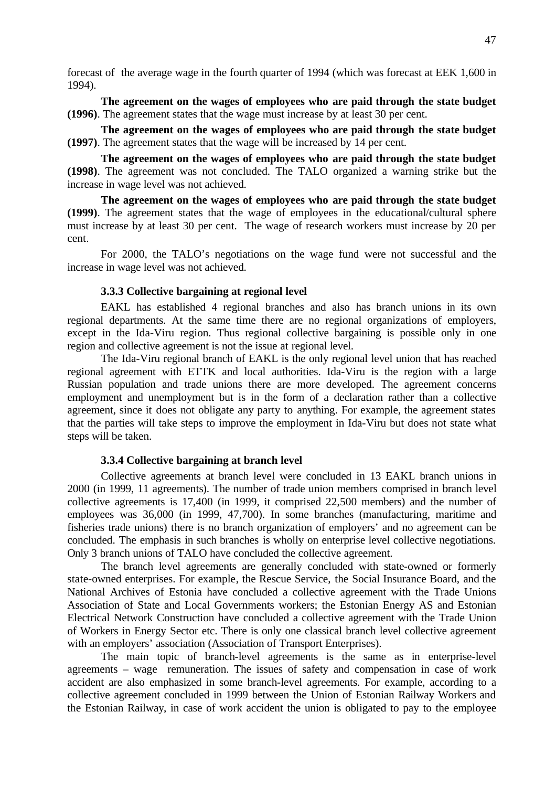forecast of the average wage in the fourth quarter of 1994 (which was forecast at EEK 1,600 in 1994).

**The agreement on the wages of employees who are paid through the state budget (1996)**. The agreement states that the wage must increase by at least 30 per cent.

**The agreement on the wages of employees who are paid through the state budget (1997)**. The agreement states that the wage will be increased by 14 per cent.

**The agreement on the wages of employees who are paid through the state budget (1998)**. The agreement was not concluded. The TALO organized a warning strike but the increase in wage level was not achieved.

**The agreement on the wages of employees who are paid through the state budget (1999)**. The agreement states that the wage of employees in the educational/cultural sphere must increase by at least 30 per cent. The wage of research workers must increase by 20 per cent.

For 2000, the TALO's negotiations on the wage fund were not successful and the increase in wage level was not achieved.

### **3.3.3 Collective bargaining at regional level**

EAKL has established 4 regional branches and also has branch unions in its own regional departments. At the same time there are no regional organizations of employers, except in the Ida-Viru region. Thus regional collective bargaining is possible only in one region and collective agreement is not the issue at regional level.

The Ida-Viru regional branch of EAKL is the only regional level union that has reached regional agreement with ETTK and local authorities. Ida-Viru is the region with a large Russian population and trade unions there are more developed. The agreement concerns employment and unemployment but is in the form of a declaration rather than a collective agreement, since it does not obligate any party to anything. For example, the agreement states that the parties will take steps to improve the employment in Ida-Viru but does not state what steps will be taken.

### **3.3.4 Collective bargaining at branch level**

Collective agreements at branch level were concluded in 13 EAKL branch unions in 2000 (in 1999, 11 agreements). The number of trade union members comprised in branch level collective agreements is 17,400 (in 1999, it comprised 22,500 members) and the number of employees was 36,000 (in 1999, 47,700). In some branches (manufacturing, maritime and fisheries trade unions) there is no branch organization of employers' and no agreement can be concluded. The emphasis in such branches is wholly on enterprise level collective negotiations. Only 3 branch unions of TALO have concluded the collective agreement.

The branch level agreements are generally concluded with state-owned or formerly state-owned enterprises. For example, the Rescue Service, the Social Insurance Board, and the National Archives of Estonia have concluded a collective agreement with the Trade Unions Association of State and Local Governments workers; the Estonian Energy AS and Estonian Electrical Network Construction have concluded a collective agreement with the Trade Union of Workers in Energy Sector etc. There is only one classical branch level collective agreement with an employers' association (Association of Transport Enterprises).

The main topic of branch-level agreements is the same as in enterprise-level agreements – wage remuneration. The issues of safety and compensation in case of work accident are also emphasized in some branch-level agreements. For example, according to a collective agreement concluded in 1999 between the Union of Estonian Railway Workers and the Estonian Railway, in case of work accident the union is obligated to pay to the employee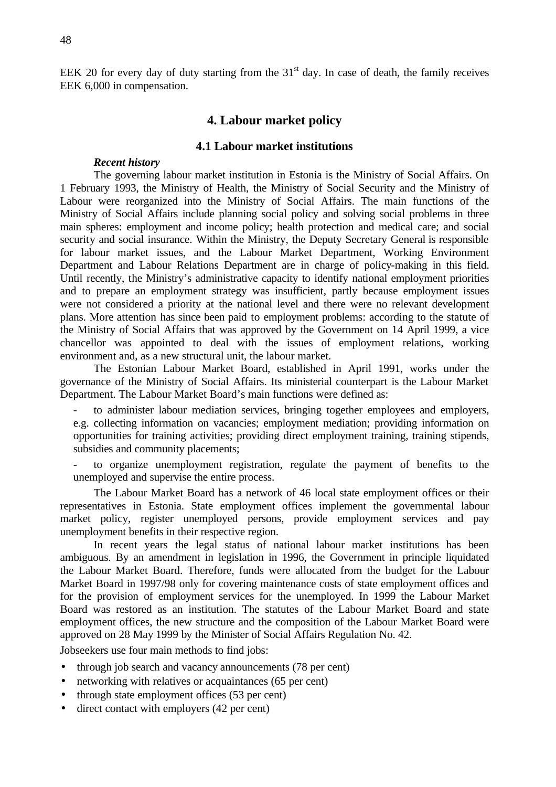EEK 20 for every day of duty starting from the  $31<sup>st</sup>$  day. In case of death, the family receives EEK 6,000 in compensation.

# **4. Labour market policy**

### **4.1 Labour market institutions**

### *Recent history*

The governing labour market institution in Estonia is the Ministry of Social Affairs. On 1 February 1993, the Ministry of Health, the Ministry of Social Security and the Ministry of Labour were reorganized into the Ministry of Social Affairs. The main functions of the Ministry of Social Affairs include planning social policy and solving social problems in three main spheres: employment and income policy; health protection and medical care; and social security and social insurance. Within the Ministry, the Deputy Secretary General is responsible for labour market issues, and the Labour Market Department, Working Environment Department and Labour Relations Department are in charge of policy-making in this field. Until recently, the Ministry's administrative capacity to identify national employment priorities and to prepare an employment strategy was insufficient, partly because employment issues were not considered a priority at the national level and there were no relevant development plans. More attention has since been paid to employment problems: according to the statute of the Ministry of Social Affairs that was approved by the Government on 14 April 1999, a vice chancellor was appointed to deal with the issues of employment relations, working environment and, as a new structural unit, the labour market.

The Estonian Labour Market Board, established in April 1991, works under the governance of the Ministry of Social Affairs. Its ministerial counterpart is the Labour Market Department. The Labour Market Board's main functions were defined as:

to administer labour mediation services, bringing together employees and employers, e.g. collecting information on vacancies; employment mediation; providing information on opportunities for training activities; providing direct employment training, training stipends, subsidies and community placements;

to organize unemployment registration, regulate the payment of benefits to the unemployed and supervise the entire process.

The Labour Market Board has a network of 46 local state employment offices or their representatives in Estonia. State employment offices implement the governmental labour market policy, register unemployed persons, provide employment services and pay unemployment benefits in their respective region.

In recent years the legal status of national labour market institutions has been ambiguous. By an amendment in legislation in 1996, the Government in principle liquidated the Labour Market Board. Therefore, funds were allocated from the budget for the Labour Market Board in 1997/98 only for covering maintenance costs of state employment offices and for the provision of employment services for the unemployed. In 1999 the Labour Market Board was restored as an institution. The statutes of the Labour Market Board and state employment offices, the new structure and the composition of the Labour Market Board were approved on 28 May 1999 by the Minister of Social Affairs Regulation No. 42.

Jobseekers use four main methods to find jobs:

- through job search and vacancy announcements (78 per cent)
- networking with relatives or acquaintances (65 per cent)
- through state employment offices (53 per cent)
- direct contact with employers (42 per cent)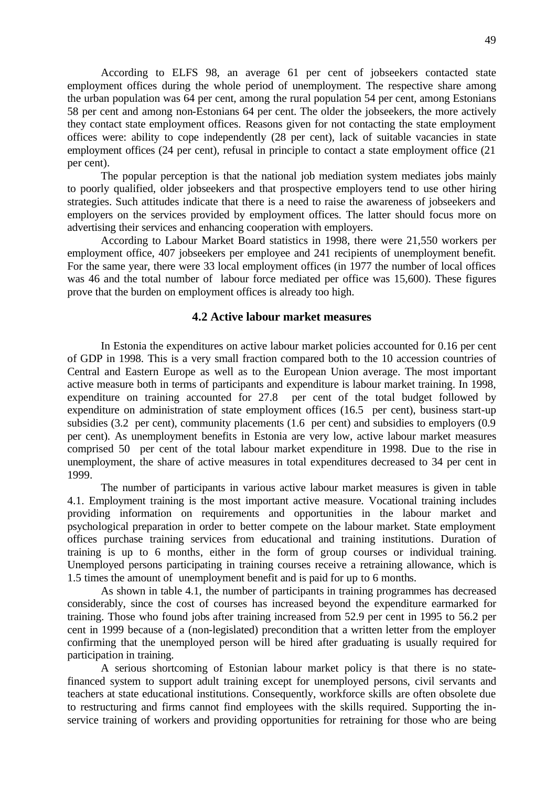According to ELFS 98, an average 61 per cent of jobseekers contacted state employment offices during the whole period of unemployment. The respective share among the urban population was 64 per cent, among the rural population 54 per cent, among Estonians 58 per cent and among non-Estonians 64 per cent. The older the jobseekers, the more actively they contact state employment offices. Reasons given for not contacting the state employment offices were: ability to cope independently (28 per cent), lack of suitable vacancies in state employment offices (24 per cent), refusal in principle to contact a state employment office (21 per cent).

The popular perception is that the national job mediation system mediates jobs mainly to poorly qualified, older jobseekers and that prospective employers tend to use other hiring strategies. Such attitudes indicate that there is a need to raise the awareness of jobseekers and employers on the services provided by employment offices. The latter should focus more on advertising their services and enhancing cooperation with employers.

According to Labour Market Board statistics in 1998, there were 21,550 workers per employment office, 407 jobseekers per employee and 241 recipients of unemployment benefit. For the same year, there were 33 local employment offices (in 1977 the number of local offices was 46 and the total number of labour force mediated per office was 15,600). These figures prove that the burden on employment offices is already too high.

### **4.2 Active labour market measures**

In Estonia the expenditures on active labour market policies accounted for 0.16 per cent of GDP in 1998. This is a very small fraction compared both to the 10 accession countries of Central and Eastern Europe as well as to the European Union average. The most important active measure both in terms of participants and expenditure is labour market training. In 1998, expenditure on training accounted for 27.8 per cent of the total budget followed by expenditure on administration of state employment offices (16.5 per cent), business start-up subsidies (3.2 per cent), community placements (1.6 per cent) and subsidies to employers (0.9 per cent). As unemployment benefits in Estonia are very low, active labour market measures comprised 50 per cent of the total labour market expenditure in 1998. Due to the rise in unemployment, the share of active measures in total expenditures decreased to 34 per cent in 1999.

The number of participants in various active labour market measures is given in table 4.1. Employment training is the most important active measure. Vocational training includes providing information on requirements and opportunities in the labour market and psychological preparation in order to better compete on the labour market. State employment offices purchase training services from educational and training institutions. Duration of training is up to 6 months, either in the form of group courses or individual training. Unemployed persons participating in training courses receive a retraining allowance, which is 1.5 times the amount of unemployment benefit and is paid for up to 6 months.

As shown in table 4.1, the number of participants in training programmes has decreased considerably, since the cost of courses has increased beyond the expenditure earmarked for training. Those who found jobs after training increased from 52.9 per cent in 1995 to 56.2 per cent in 1999 because of a (non-legislated) precondition that a written letter from the employer confirming that the unemployed person will be hired after graduating is usually required for participation in training.

A serious shortcoming of Estonian labour market policy is that there is no statefinanced system to support adult training except for unemployed persons, civil servants and teachers at state educational institutions. Consequently, workforce skills are often obsolete due to restructuring and firms cannot find employees with the skills required. Supporting the inservice training of workers and providing opportunities for retraining for those who are being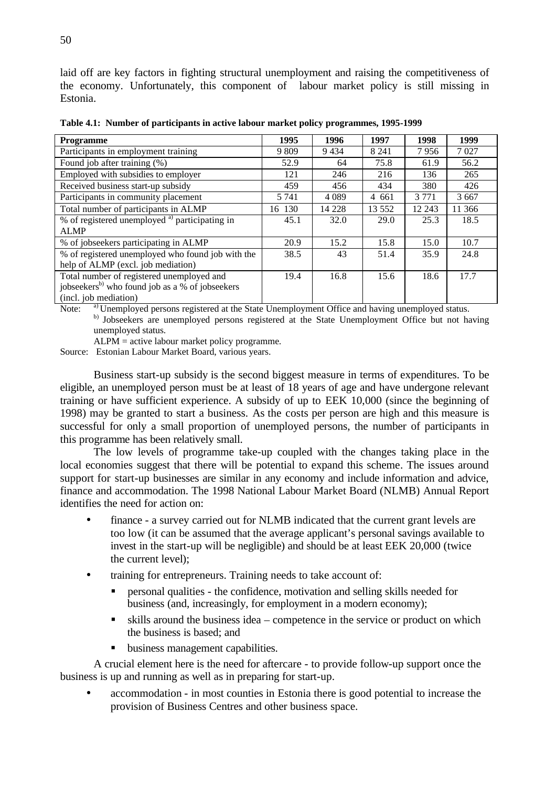laid off are key factors in fighting structural unemployment and raising the competitiveness of the economy. Unfortunately, this component of labour market policy is still missing in Estonia.

**Table 4.1: Number of participants in active labour market policy programmes, 1995-1999**

| <b>Programme</b>                                            | 1995    | 1996    | 1997     | 1998    | 1999    |
|-------------------------------------------------------------|---------|---------|----------|---------|---------|
| Participants in employment training                         | 9 8 0 9 | 9434    | 8 2 4 1  | 7956    | 7 0 2 7 |
| Found job after training (%)                                | 52.9    | 64      | 75.8     | 61.9    | 56.2    |
| Employed with subsidies to employer                         | 121     | 246     | 216      | 136     | 265     |
| Received business start-up subsidy                          | 459     | 456     | 434      | 380     | 426     |
| Participants in community placement                         | 5 7 4 1 | 4 0 8 9 | 4 661    | 3 7 7 1 | 3 6 6 7 |
| Total number of participants in ALMP                        | 16 130  | 14 228  | 13 5 5 2 | 12 243  | 11 366  |
| % of registered unemployed <sup>a)</sup> participating in   | 45.1    | 32.0    | 29.0     | 25.3    | 18.5    |
| <b>ALMP</b>                                                 |         |         |          |         |         |
| % of jobseekers participating in ALMP                       | 20.9    | 15.2    | 15.8     | 15.0    | 10.7    |
| % of registered unemployed who found job with the           | 38.5    | 43      | 51.4     | 35.9    | 24.8    |
| help of ALMP (excl. job mediation)                          |         |         |          |         |         |
| Total number of registered unemployed and                   | 19.4    | 16.8    | 15.6     | 18.6    | 17.7    |
| jobseekers <sup>b)</sup> who found job as a % of jobseekers |         |         |          |         |         |
| (incl. job mediation)                                       |         |         |          |         |         |

Note: <sup>a)</sup> Unemployed persons registered at the State Unemployment Office and having unemployed status.

b) Jobseekers are unemployed persons registered at the State Unemployment Office but not having unemployed status.

ALPM = active labour market policy programme.

Source: Estonian Labour Market Board, various years.

Business start-up subsidy is the second biggest measure in terms of expenditures. To be eligible, an unemployed person must be at least of 18 years of age and have undergone relevant training or have sufficient experience. A subsidy of up to EEK 10,000 (since the beginning of 1998) may be granted to start a business. As the costs per person are high and this measure is successful for only a small proportion of unemployed persons, the number of participants in this programme has been relatively small.

The low levels of programme take-up coupled with the changes taking place in the local economies suggest that there will be potential to expand this scheme. The issues around support for start-up businesses are similar in any economy and include information and advice, finance and accommodation. The 1998 National Labour Market Board (NLMB) Annual Report identifies the need for action on:

- finance a survey carried out for NLMB indicated that the current grant levels are too low (it can be assumed that the average applicant's personal savings available to invest in the start-up will be negligible) and should be at least EEK 20,000 (twice the current level);
- training for entrepreneurs. Training needs to take account of:
	- ß personal qualities the confidence, motivation and selling skills needed for business (and, increasingly, for employment in a modern economy);
	- ß skills around the business idea competence in the service or product on which the business is based; and
	- ß business management capabilities.

A crucial element here is the need for aftercare - to provide follow-up support once the business is up and running as well as in preparing for start-up.

• accommodation - in most counties in Estonia there is good potential to increase the provision of Business Centres and other business space.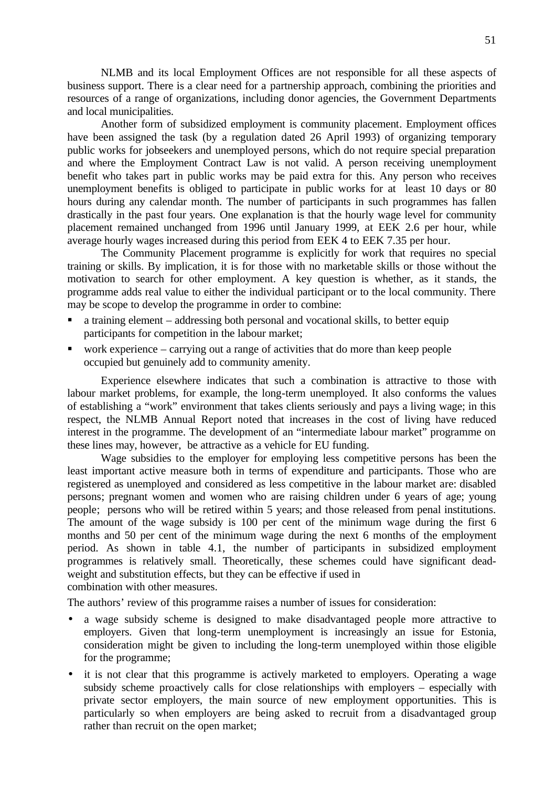NLMB and its local Employment Offices are not responsible for all these aspects of business support. There is a clear need for a partnership approach, combining the priorities and resources of a range of organizations, including donor agencies, the Government Departments and local municipalities.

Another form of subsidized employment is community placement. Employment offices have been assigned the task (by a regulation dated 26 April 1993) of organizing temporary public works for jobseekers and unemployed persons, which do not require special preparation and where the Employment Contract Law is not valid. A person receiving unemployment benefit who takes part in public works may be paid extra for this. Any person who receives unemployment benefits is obliged to participate in public works for at least 10 days or 80 hours during any calendar month. The number of participants in such programmes has fallen drastically in the past four years. One explanation is that the hourly wage level for community placement remained unchanged from 1996 until January 1999, at EEK 2.6 per hour, while average hourly wages increased during this period from EEK 4 to EEK 7.35 per hour.

The Community Placement programme is explicitly for work that requires no special training or skills. By implication, it is for those with no marketable skills or those without the motivation to search for other employment. A key question is whether, as it stands, the programme adds real value to either the individual participant or to the local community. There may be scope to develop the programme in order to combine:

- ß a training element addressing both personal and vocational skills, to better equip participants for competition in the labour market;
- work experience carrying out a range of activities that do more than keep people occupied but genuinely add to community amenity.

Experience elsewhere indicates that such a combination is attractive to those with labour market problems, for example, the long-term unemployed. It also conforms the values of establishing a "work" environment that takes clients seriously and pays a living wage; in this respect, the NLMB Annual Report noted that increases in the cost of living have reduced interest in the programme. The development of an "intermediate labour market" programme on these lines may, however, be attractive as a vehicle for EU funding.

Wage subsidies to the employer for employing less competitive persons has been the least important active measure both in terms of expenditure and participants. Those who are registered as unemployed and considered as less competitive in the labour market are: disabled persons; pregnant women and women who are raising children under 6 years of age; young people; persons who will be retired within 5 years; and those released from penal institutions. The amount of the wage subsidy is 100 per cent of the minimum wage during the first 6 months and 50 per cent of the minimum wage during the next 6 months of the employment period. As shown in table 4.1, the number of participants in subsidized employment programmes is relatively small. Theoretically, these schemes could have significant deadweight and substitution effects, but they can be effective if used in

combination with other measures.

The authors' review of this programme raises a number of issues for consideration:

- a wage subsidy scheme is designed to make disadvantaged people more attractive to employers. Given that long-term unemployment is increasingly an issue for Estonia, consideration might be given to including the long-term unemployed within those eligible for the programme;
- it is not clear that this programme is actively marketed to employers. Operating a wage subsidy scheme proactively calls for close relationships with employers – especially with private sector employers, the main source of new employment opportunities. This is particularly so when employers are being asked to recruit from a disadvantaged group rather than recruit on the open market;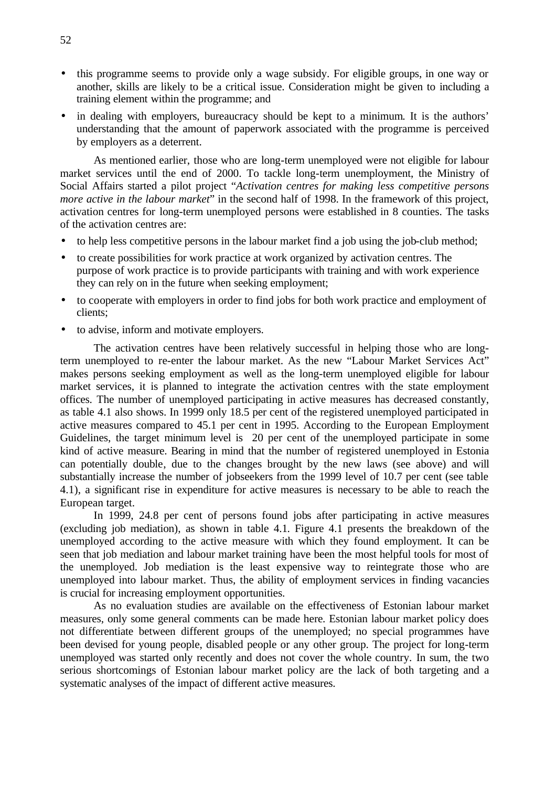- this programme seems to provide only a wage subsidy. For eligible groups, in one way or another, skills are likely to be a critical issue. Consideration might be given to including a training element within the programme; and
- in dealing with employers, bureaucracy should be kept to a minimum. It is the authors' understanding that the amount of paperwork associated with the programme is perceived by employers as a deterrent.

As mentioned earlier, those who are long-term unemployed were not eligible for labour market services until the end of 2000. To tackle long-term unemployment, the Ministry of Social Affairs started a pilot project "*Activation centres for making less competitive persons more active in the labour market*" in the second half of 1998. In the framework of this project, activation centres for long-term unemployed persons were established in 8 counties. The tasks of the activation centres are:

- to help less competitive persons in the labour market find a job using the job-club method;
- to create possibilities for work practice at work organized by activation centres. The purpose of work practice is to provide participants with training and with work experience they can rely on in the future when seeking employment;
- to cooperate with employers in order to find jobs for both work practice and employment of clients;
- to advise, inform and motivate employers.

The activation centres have been relatively successful in helping those who are longterm unemployed to re-enter the labour market. As the new "Labour Market Services Act" makes persons seeking employment as well as the long-term unemployed eligible for labour market services, it is planned to integrate the activation centres with the state employment offices. The number of unemployed participating in active measures has decreased constantly, as table 4.1 also shows. In 1999 only 18.5 per cent of the registered unemployed participated in active measures compared to 45.1 per cent in 1995. According to the European Employment Guidelines, the target minimum level is 20 per cent of the unemployed participate in some kind of active measure. Bearing in mind that the number of registered unemployed in Estonia can potentially double, due to the changes brought by the new laws (see above) and will substantially increase the number of jobseekers from the 1999 level of 10.7 per cent (see table 4.1), a significant rise in expenditure for active measures is necessary to be able to reach the European target.

In 1999, 24.8 per cent of persons found jobs after participating in active measures (excluding job mediation), as shown in table 4.1. Figure 4.1 presents the breakdown of the unemployed according to the active measure with which they found employment. It can be seen that job mediation and labour market training have been the most helpful tools for most of the unemployed. Job mediation is the least expensive way to reintegrate those who are unemployed into labour market. Thus, the ability of employment services in finding vacancies is crucial for increasing employment opportunities.

As no evaluation studies are available on the effectiveness of Estonian labour market measures, only some general comments can be made here. Estonian labour market policy does not differentiate between different groups of the unemployed; no special programmes have been devised for young people, disabled people or any other group. The project for long-term unemployed was started only recently and does not cover the whole country. In sum, the two serious shortcomings of Estonian labour market policy are the lack of both targeting and a systematic analyses of the impact of different active measures.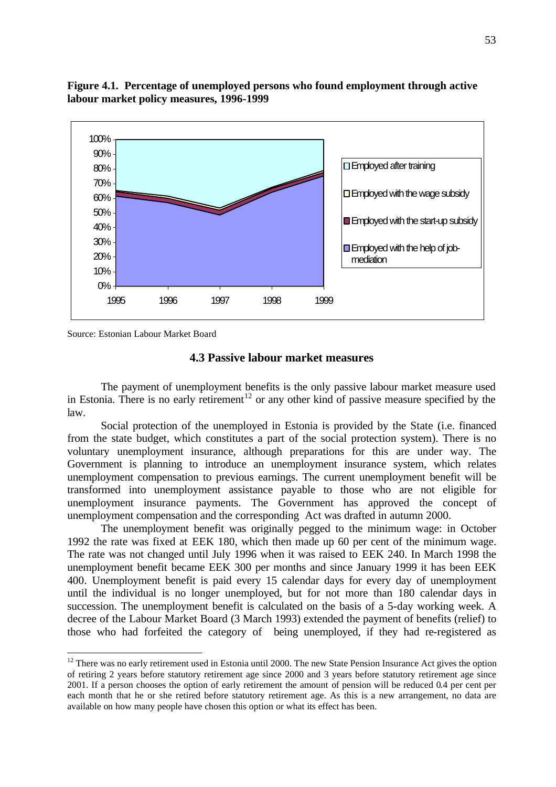

**Figure 4.1. Percentage of unemployed persons who found employment through active labour market policy measures, 1996-1999**

Source: Estonian Labour Market Board

 $\overline{a}$ 

### **4.3 Passive labour market measures**

The payment of unemployment benefits is the only passive labour market measure used in Estonia. There is no early retirement<sup>12</sup> or any other kind of passive measure specified by the law.

Social protection of the unemployed in Estonia is provided by the State (i.e. financed from the state budget, which constitutes a part of the social protection system). There is no voluntary unemployment insurance, although preparations for this are under way. The Government is planning to introduce an unemployment insurance system, which relates unemployment compensation to previous earnings. The current unemployment benefit will be transformed into unemployment assistance payable to those who are not eligible for unemployment insurance payments. The Government has approved the concept of unemployment compensation and the corresponding Act was drafted in autumn 2000.

The unemployment benefit was originally pegged to the minimum wage: in October 1992 the rate was fixed at EEK 180, which then made up 60 per cent of the minimum wage. The rate was not changed until July 1996 when it was raised to EEK 240. In March 1998 the unemployment benefit became EEK 300 per months and since January 1999 it has been EEK 400. Unemployment benefit is paid every 15 calendar days for every day of unemployment until the individual is no longer unemployed, but for not more than 180 calendar days in succession. The unemployment benefit is calculated on the basis of a 5-day working week. A decree of the Labour Market Board (3 March 1993) extended the payment of benefits (relief) to those who had forfeited the category of being unemployed, if they had re-registered as

 $12$  There was no early retirement used in Estonia until 2000. The new State Pension Insurance Act gives the option of retiring 2 years before statutory retirement age since 2000 and 3 years before statutory retirement age since 2001. If a person chooses the option of early retirement the amount of pension will be reduced 0.4 per cent per each month that he or she retired before statutory retirement age. As this is a new arrangement, no data are available on how many people have chosen this option or what its effect has been.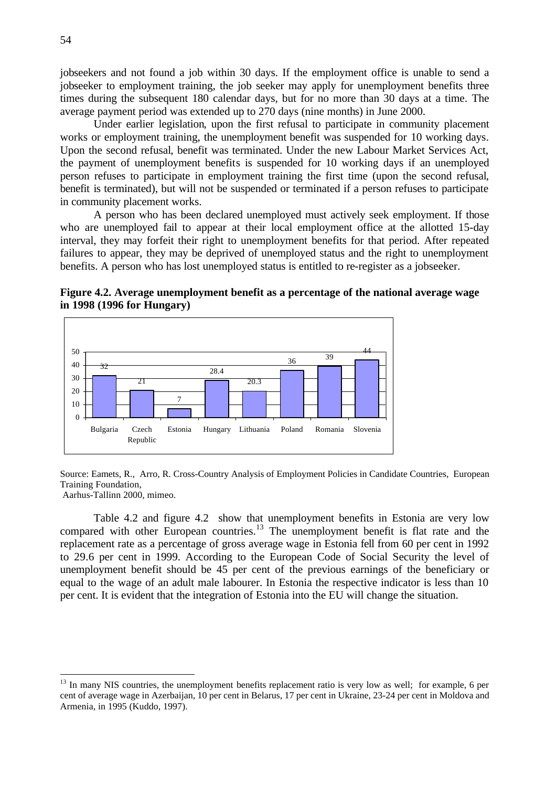jobseekers and not found a job within 30 days. If the employment office is unable to send a jobseeker to employment training, the job seeker may apply for unemployment benefits three times during the subsequent 180 calendar days, but for no more than 30 days at a time. The average payment period was extended up to 270 days (nine months) in June 2000.

Under earlier legislation, upon the first refusal to participate in community placement works or employment training, the unemployment benefit was suspended for 10 working days. Upon the second refusal, benefit was terminated. Under the new Labour Market Services Act, the payment of unemployment benefits is suspended for 10 working days if an unemployed person refuses to participate in employment training the first time (upon the second refusal, benefit is terminated), but will not be suspended or terminated if a person refuses to participate in community placement works.

A person who has been declared unemployed must actively seek employment. If those who are unemployed fail to appear at their local employment office at the allotted 15-day interval, they may forfeit their right to unemployment benefits for that period. After repeated failures to appear, they may be deprived of unemployed status and the right to unemployment benefits. A person who has lost unemployed status is entitled to re-register as a jobseeker.





Source: Eamets, R., Arro, R. Cross-Country Analysis of Employment Policies in Candidate Countries, European Training Foundation,

Aarhus-Tallinn 2000, mimeo.

 $\overline{a}$ 

Table 4.2 and figure 4.2 show that unemployment benefits in Estonia are very low compared with other European countries.<sup>13</sup> The unemployment benefit is flat rate and the replacement rate as a percentage of gross average wage in Estonia fell from 60 per cent in 1992 to 29.6 per cent in 1999. According to the European Code of Social Security the level of unemployment benefit should be 45 per cent of the previous earnings of the beneficiary or equal to the wage of an adult male labourer. In Estonia the respective indicator is less than 10 per cent. It is evident that the integration of Estonia into the EU will change the situation.

<sup>&</sup>lt;sup>13</sup> In many NIS countries, the unemployment benefits replacement ratio is very low as well; for example, 6 per cent of average wage in Azerbaijan, 10 per cent in Belarus, 17 per cent in Ukraine, 23-24 per cent in Moldova and Armenia, in 1995 (Kuddo, 1997).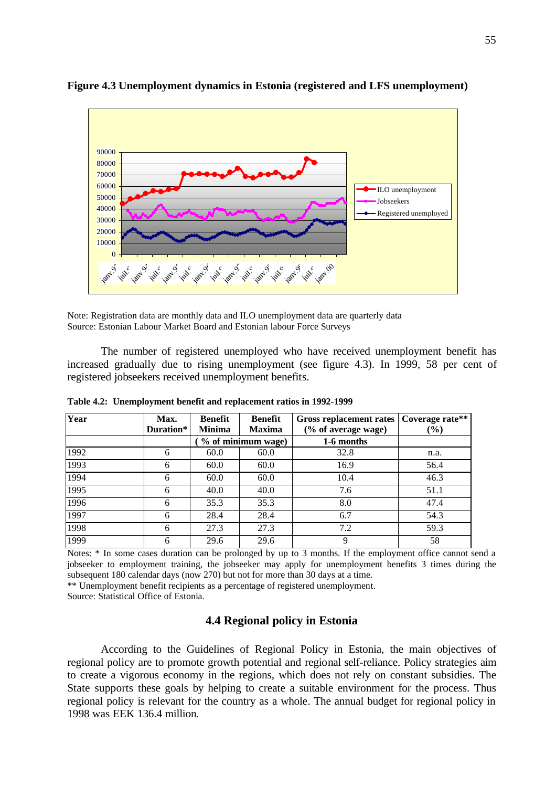

**Figure 4.3 Unemployment dynamics in Estonia (registered and LFS unemployment)**

Note: Registration data are monthly data and ILO unemployment data are quarterly data Source: Estonian Labour Market Board and Estonian labour Force Surveys

The number of registered unemployed who have received unemployment benefit has increased gradually due to rising unemployment (see figure 4.3). In 1999, 58 per cent of registered jobseekers received unemployment benefits.

| Year | Max.<br>Duration* | Benefit<br><b>Minima</b> | <b>Benefit</b><br><b>Maxima</b> | <b>Gross replacement rates</b><br>(% of average wage) | Coverage rate**<br>$($ %) |
|------|-------------------|--------------------------|---------------------------------|-------------------------------------------------------|---------------------------|
|      |                   |                          | % of minimum wage)              | 1-6 months                                            |                           |
| 1992 | 6                 | 60.0                     | 60.0                            | 32.8                                                  | n.a.                      |
| 1993 | 6                 | 60.0                     | 60.0                            | 16.9                                                  | 56.4                      |
| 1994 | 6                 | 60.0                     | 60.0                            | 10.4                                                  | 46.3                      |
| 1995 | 6                 | 40.0                     | 40.0                            | 7.6                                                   | 51.1                      |
| 1996 | 6                 | 35.3                     | 35.3                            | 8.0                                                   | 47.4                      |
| 1997 | 6                 | 28.4                     | 28.4                            | 6.7                                                   | 54.3                      |
| 1998 | 6                 | 27.3                     | 27.3                            | 7.2                                                   | 59.3                      |
| 1999 | 6                 | 29.6                     | 29.6                            | 9                                                     | 58                        |

**Table 4.2: Unemployment benefit and replacement ratios in 1992-1999**

Notes: \* In some cases duration can be prolonged by up to 3 months. If the employment office cannot send a jobseeker to employment training, the jobseeker may apply for unemployment benefits 3 times during the subsequent 180 calendar days (now 270) but not for more than 30 days at a time.

\*\* Unemployment benefit recipients as a percentage of registered unemployment.

Source: Statistical Office of Estonia.

# **4.4 Regional policy in Estonia**

According to the Guidelines of Regional Policy in Estonia, the main objectives of regional policy are to promote growth potential and regional self-reliance. Policy strategies aim to create a vigorous economy in the regions, which does not rely on constant subsidies. The State supports these goals by helping to create a suitable environment for the process. Thus regional policy is relevant for the country as a whole. The annual budget for regional policy in 1998 was EEK 136.4 million.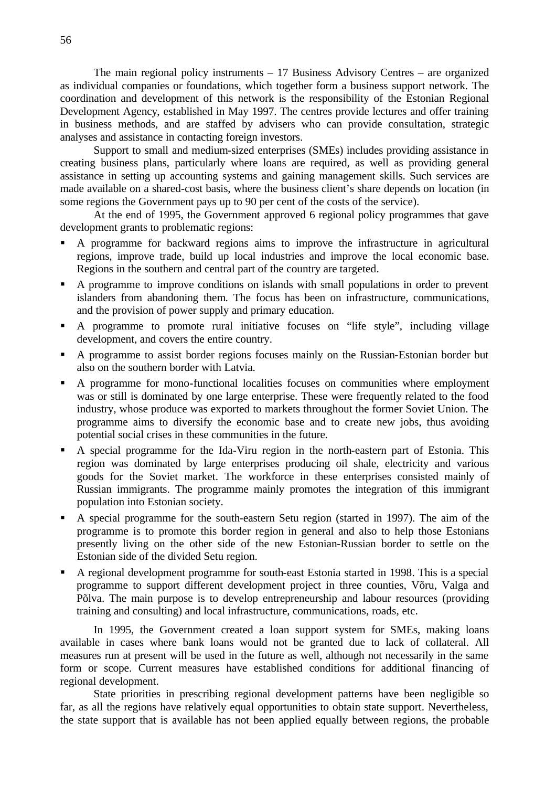The main regional policy instruments – 17 Business Advisory Centres – are organized as individual companies or foundations, which together form a business support network. The coordination and development of this network is the responsibility of the Estonian Regional Development Agency, established in May 1997. The centres provide lectures and offer training in business methods, and are staffed by advisers who can provide consultation, strategic analyses and assistance in contacting foreign investors.

Support to small and medium-sized enterprises (SMEs) includes providing assistance in creating business plans, particularly where loans are required, as well as providing general assistance in setting up accounting systems and gaining management skills. Such services are made available on a shared-cost basis, where the business client's share depends on location (in some regions the Government pays up to 90 per cent of the costs of the service).

At the end of 1995, the Government approved 6 regional policy programmes that gave development grants to problematic regions:

- ß A programme for backward regions aims to improve the infrastructure in agricultural regions, improve trade, build up local industries and improve the local economic base. Regions in the southern and central part of the country are targeted.
- A programme to improve conditions on islands with small populations in order to prevent islanders from abandoning them. The focus has been on infrastructure, communications, and the provision of power supply and primary education.
- ß A programme to promote rural initiative focuses on "life style", including village development, and covers the entire country.
- A programme to assist border regions focuses mainly on the Russian-Estonian border but also on the southern border with Latvia.
- A programme for mono-functional localities focuses on communities where employment was or still is dominated by one large enterprise. These were frequently related to the food industry, whose produce was exported to markets throughout the former Soviet Union. The programme aims to diversify the economic base and to create new jobs, thus avoiding potential social crises in these communities in the future.
- ß A special programme for the Ida-Viru region in the north-eastern part of Estonia. This region was dominated by large enterprises producing oil shale, electricity and various goods for the Soviet market. The workforce in these enterprises consisted mainly of Russian immigrants. The programme mainly promotes the integration of this immigrant population into Estonian society.
- A special programme for the south-eastern Setu region (started in 1997). The aim of the programme is to promote this border region in general and also to help those Estonians presently living on the other side of the new Estonian-Russian border to settle on the Estonian side of the divided Setu region.
- A regional development programme for south-east Estonia started in 1998. This is a special programme to support different development project in three counties, Võru, Valga and Põlva. The main purpose is to develop entrepreneurship and labour resources (providing training and consulting) and local infrastructure, communications, roads, etc.

In 1995, the Government created a loan support system for SMEs, making loans available in cases where bank loans would not be granted due to lack of collateral. All measures run at present will be used in the future as well, although not necessarily in the same form or scope. Current measures have established conditions for additional financing of regional development.

State priorities in prescribing regional development patterns have been negligible so far, as all the regions have relatively equal opportunities to obtain state support. Nevertheless, the state support that is available has not been applied equally between regions, the probable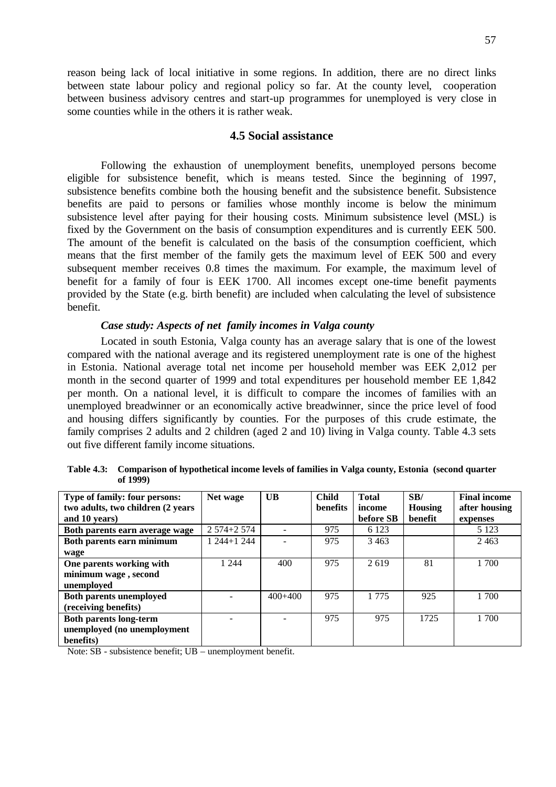reason being lack of local initiative in some regions. In addition, there are no direct links between state labour policy and regional policy so far. At the county level, cooperation between business advisory centres and start-up programmes for unemployed is very close in some counties while in the others it is rather weak.

### **4.5 Social assistance**

Following the exhaustion of unemployment benefits, unemployed persons become eligible for subsistence benefit, which is means tested. Since the beginning of 1997, subsistence benefits combine both the housing benefit and the subsistence benefit. Subsistence benefits are paid to persons or families whose monthly income is below the minimum subsistence level after paying for their housing costs. Minimum subsistence level (MSL) is fixed by the Government on the basis of consumption expenditures and is currently EEK 500. The amount of the benefit is calculated on the basis of the consumption coefficient, which means that the first member of the family gets the maximum level of EEK 500 and every subsequent member receives 0.8 times the maximum. For example, the maximum level of benefit for a family of four is EEK 1700. All incomes except one-time benefit payments provided by the State (e.g. birth benefit) are included when calculating the level of subsistence benefit.

### *Case study: Aspects of net family incomes in Valga county*

Located in south Estonia, Valga county has an average salary that is one of the lowest compared with the national average and its registered unemployment rate is one of the highest in Estonia. National average total net income per household member was EEK 2,012 per month in the second quarter of 1999 and total expenditures per household member EE 1,842 per month. On a national level, it is difficult to compare the incomes of families with an unemployed breadwinner or an economically active breadwinner, since the price level of food and housing differs significantly by counties. For the purposes of this crude estimate, the family comprises 2 adults and 2 children (aged 2 and 10) living in Valga county. Table 4.3 sets out five different family income situations.

| Type of family: four persons:     | Net wage      | UB        | <b>Child</b>    | <b>Total</b> | SB/            | <b>Final income</b> |
|-----------------------------------|---------------|-----------|-----------------|--------------|----------------|---------------------|
| two adults, two children (2 years |               |           | <b>benefits</b> | income       | <b>Housing</b> | after housing       |
| and 10 years)                     |               |           |                 | before SB    | benefit        | expenses            |
| Both parents earn average wage    | $2574 + 2574$ |           | 975             | 6 1 2 3      |                | 5 1 2 3             |
| Both parents earn minimum         | $1244+1244$   |           | 975             | 3463         |                | 2463                |
| wage                              |               |           |                 |              |                |                     |
| One parents working with          | 1 2 4 4       | 400       | 975             | 2619         | 81             | 1 700               |
| minimum wage, second              |               |           |                 |              |                |                     |
| unemployed                        |               |           |                 |              |                |                     |
| <b>Both parents unemployed</b>    |               | $400+400$ | 975             | 1 7 7 5      | 925            | 1 700               |
| (receiving benefits)              |               |           |                 |              |                |                     |
| <b>Both parents long-term</b>     |               |           | 975             | 975          | 1725           | 1 700               |
| unemployed (no unemployment       |               |           |                 |              |                |                     |
| benefits)                         |               |           |                 |              |                |                     |

**Table 4.3: Comparison of hypothetical income levels of families in Valga county, Estonia (second quarter of 1999)**

Note: SB - subsistence benefit; UB – unemployment benefit.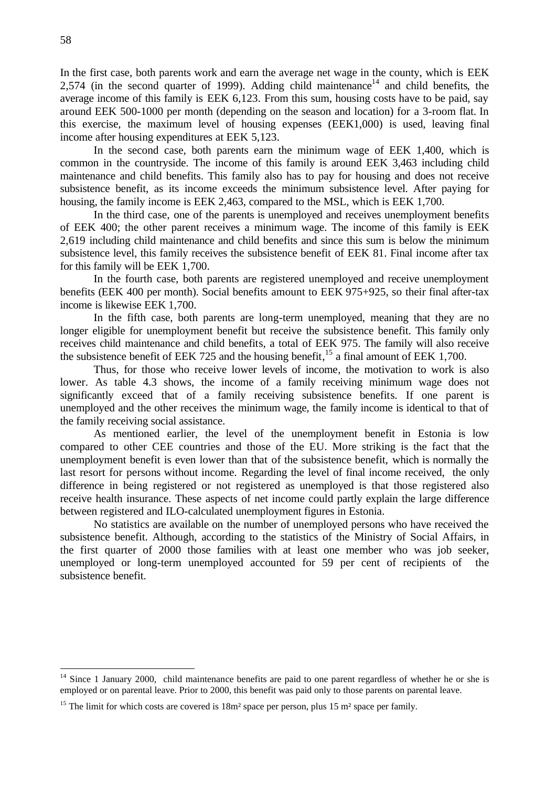In the first case, both parents work and earn the average net wage in the county, which is EEK 2,574 (in the second quarter of 1999). Adding child maintenance<sup>14</sup> and child benefits, the average income of this family is EEK 6,123. From this sum, housing costs have to be paid, say around EEK 500-1000 per month (depending on the season and location) for a 3-room flat. In this exercise, the maximum level of housing expenses (EEK1,000) is used, leaving final income after housing expenditures at EEK 5,123.

In the second case, both parents earn the minimum wage of EEK 1,400, which is common in the countryside. The income of this family is around EEK 3,463 including child maintenance and child benefits. This family also has to pay for housing and does not receive subsistence benefit, as its income exceeds the minimum subsistence level. After paying for housing, the family income is EEK 2,463, compared to the MSL, which is EEK 1,700.

In the third case, one of the parents is unemployed and receives unemployment benefits of EEK 400; the other parent receives a minimum wage. The income of this family is EEK 2,619 including child maintenance and child benefits and since this sum is below the minimum subsistence level, this family receives the subsistence benefit of EEK 81. Final income after tax for this family will be EEK 1,700.

In the fourth case, both parents are registered unemployed and receive unemployment benefits (EEK 400 per month). Social benefits amount to EEK 975+925, so their final after-tax income is likewise EEK 1,700.

In the fifth case, both parents are long-term unemployed, meaning that they are no longer eligible for unemployment benefit but receive the subsistence benefit. This family only receives child maintenance and child benefits, a total of EEK 975. The family will also receive the subsistence benefit of EEK 725 and the housing benefit,<sup>15</sup> a final amount of EEK 1,700.

Thus, for those who receive lower levels of income, the motivation to work is also lower. As table 4.3 shows, the income of a family receiving minimum wage does not significantly exceed that of a family receiving subsistence benefits. If one parent is unemployed and the other receives the minimum wage, the family income is identical to that of the family receiving social assistance.

As mentioned earlier, the level of the unemployment benefit in Estonia is low compared to other CEE countries and those of the EU. More striking is the fact that the unemployment benefit is even lower than that of the subsistence benefit, which is normally the last resort for persons without income. Regarding the level of final income received, the only difference in being registered or not registered as unemployed is that those registered also receive health insurance. These aspects of net income could partly explain the large difference between registered and ILO-calculated unemployment figures in Estonia.

No statistics are available on the number of unemployed persons who have received the subsistence benefit. Although, according to the statistics of the Ministry of Social Affairs, in the first quarter of 2000 those families with at least one member who was job seeker, unemployed or long-term unemployed accounted for 59 per cent of recipients of the subsistence benefit.

 $\overline{a}$ 

<sup>&</sup>lt;sup>14</sup> Since 1 January 2000, child maintenance benefits are paid to one parent regardless of whether he or she is employed or on parental leave. Prior to 2000, this benefit was paid only to those parents on parental leave.

<sup>&</sup>lt;sup>15</sup> The limit for which costs are covered is  $18m^2$  space per person, plus 15 m<sup>2</sup> space per family.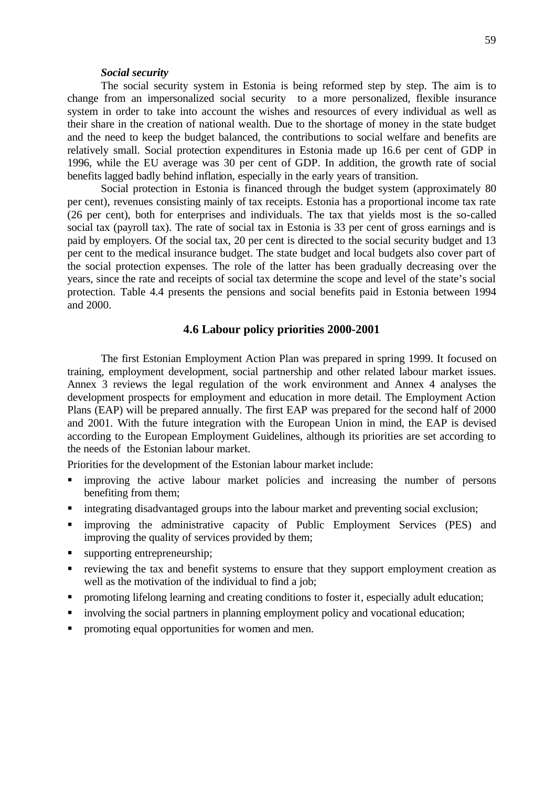#### *Social security*

The social security system in Estonia is being reformed step by step. The aim is to change from an impersonalized social security to a more personalized, flexible insurance system in order to take into account the wishes and resources of every individual as well as their share in the creation of national wealth. Due to the shortage of money in the state budget and the need to keep the budget balanced, the contributions to social welfare and benefits are relatively small. Social protection expenditures in Estonia made up 16.6 per cent of GDP in 1996, while the EU average was 30 per cent of GDP. In addition, the growth rate of social benefits lagged badly behind inflation, especially in the early years of transition.

Social protection in Estonia is financed through the budget system (approximately 80 per cent), revenues consisting mainly of tax receipts. Estonia has a proportional income tax rate (26 per cent), both for enterprises and individuals. The tax that yields most is the so-called social tax (payroll tax). The rate of social tax in Estonia is 33 per cent of gross earnings and is paid by employers. Of the social tax, 20 per cent is directed to the social security budget and 13 per cent to the medical insurance budget. The state budget and local budgets also cover part of the social protection expenses. The role of the latter has been gradually decreasing over the years, since the rate and receipts of social tax determine the scope and level of the state's social protection. Table 4.4 presents the pensions and social benefits paid in Estonia between 1994 and 2000.

### **4.6 Labour policy priorities 2000-2001**

The first Estonian Employment Action Plan was prepared in spring 1999. It focused on training, employment development, social partnership and other related labour market issues. Annex 3 reviews the legal regulation of the work environment and Annex 4 analyses the development prospects for employment and education in more detail. The Employment Action Plans (EAP) will be prepared annually. The first EAP was prepared for the second half of 2000 and 2001. With the future integration with the European Union in mind, the EAP is devised according to the European Employment Guidelines, although its priorities are set according to the needs of the Estonian labour market.

Priorities for the development of the Estonian labour market include:

- ß improving the active labour market policies and increasing the number of persons benefiting from them;
- Integrating disadvantaged groups into the labour market and preventing social exclusion;
- ß improving the administrative capacity of Public Employment Services (PES) and improving the quality of services provided by them;
- $\blacksquare$  supporting entrepreneurship;
- ß reviewing the tax and benefit systems to ensure that they support employment creation as well as the motivation of the individual to find a job;
- ß promoting lifelong learning and creating conditions to foster it, especially adult education;
- involving the social partners in planning employment policy and vocational education;
- **•** promoting equal opportunities for women and men.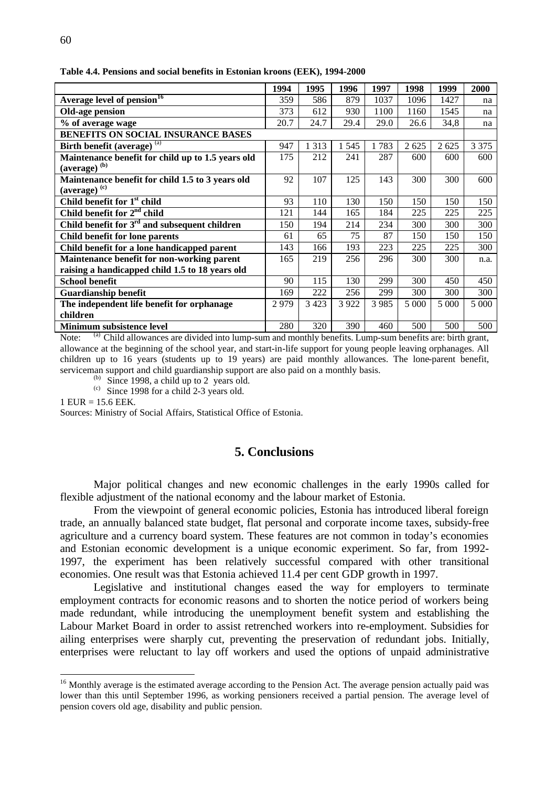|                                                   | 1994 | 1995    | 1996    | 1997    | 1998    | 1999    | 2000    |
|---------------------------------------------------|------|---------|---------|---------|---------|---------|---------|
| Average level of pension <sup>16</sup>            | 359  | 586     | 879     | 1037    | 1096    | 1427    | na      |
| Old-age pension                                   | 373  | 612     | 930     | 1100    | 1160    | 1545    | na      |
| % of average wage                                 | 20.7 | 24.7    | 29.4    | 29.0    | 26.6    | 34,8    | na      |
| <b>BENEFITS ON SOCIAL INSURANCE BASES</b>         |      |         |         |         |         |         |         |
| Birth benefit (average) $(a)$                     | 947  | 1 3 1 3 | 1 5 4 5 | 1783    | 2 6 2 5 | 2 6 2 5 | 3 3 7 5 |
| Maintenance benefit for child up to 1.5 years old | 175  | 212     | 241     | 287     | 600     | 600     | 600     |
| $(average)$ <sup>(b)</sup>                        |      |         |         |         |         |         |         |
| Maintenance benefit for child 1.5 to 3 years old  | 92   | 107     | 125     | 143     | 300     | 300     | 600     |
| (average) <sup>(c)</sup>                          |      |         |         |         |         |         |         |
| Child benefit for 1 <sup>st</sup> child           | 93   | 110     | 130     | 150     | 150     | 150     | 150     |
| Child benefit for 2 <sup>nd</sup> child           | 121  | 144     | 165     | 184     | 225     | 225     | 225     |
| Child benefit for $3rd$ and subsequent children   | 150  | 194     | 214     | 234     | 300     | 300     | 300     |
| Child benefit for lone parents                    | 61   | 65      | 75      | 87      | 150     | 150     | 150     |
| Child benefit for a lone handicapped parent       | 143  | 166     | 193     | 223     | 225     | 225     | 300     |
| Maintenance benefit for non-working parent        | 165  | 219     | 256     | 296     | 300     | 300     | n.a.    |
| raising a handicapped child 1.5 to 18 years old   |      |         |         |         |         |         |         |
| <b>School benefit</b>                             | 90   | 115     | 130     | 299     | 300     | 450     | 450     |
| <b>Guardianship benefit</b>                       | 169  | 222     | 256     | 299     | 300     | 300     | 300     |
| The independent life benefit for orphanage        | 2979 | 3423    | 3 9 2 2 | 3 9 8 5 | 5 0 0 0 | 5 0 0 0 | 5 0 0 0 |
| children                                          |      |         |         |         |         |         |         |
| <b>Minimum subsistence level</b>                  | 280  | 320     | 390     | 460     | 500     | 500     | 500     |

**Table 4.4. Pensions and social benefits in Estonian kroons (EEK), 1994-2000**

Note: (a) Child allowances are divided into lump-sum and monthly benefits. Lump-sum benefits are: birth grant, allowance at the beginning of the school year, and start-in-life support for young people leaving orphanages. All children up to 16 years (students up to 19 years) are paid monthly allowances. The lone-parent benefit, serviceman support and child guardianship support are also paid on a monthly basis.

 $(b)$  Since 1998, a child up to 2 years old.

 $(c)$  Since 1998 for a child 2-3 years old.

1 EUR = 15.6 EEK.

 $\overline{a}$ 

Sources: Ministry of Social Affairs, Statistical Office of Estonia.

### **5. Conclusions**

Major political changes and new economic challenges in the early 1990s called for flexible adjustment of the national economy and the labour market of Estonia.

From the viewpoint of general economic policies, Estonia has introduced liberal foreign trade, an annually balanced state budget, flat personal and corporate income taxes, subsidy-free agriculture and a currency board system. These features are not common in today's economies and Estonian economic development is a unique economic experiment. So far, from 1992- 1997, the experiment has been relatively successful compared with other transitional economies. One result was that Estonia achieved 11.4 per cent GDP growth in 1997.

Legislative and institutional changes eased the way for employers to terminate employment contracts for economic reasons and to shorten the notice period of workers being made redundant, while introducing the unemployment benefit system and establishing the Labour Market Board in order to assist retrenched workers into re-employment. Subsidies for ailing enterprises were sharply cut, preventing the preservation of redundant jobs. Initially, enterprises were reluctant to lay off workers and used the options of unpaid administrative

<sup>&</sup>lt;sup>16</sup> Monthly average is the estimated average according to the Pension Act. The average pension actually paid was lower than this until September 1996, as working pensioners received a partial pension. The average level of pension covers old age, disability and public pension.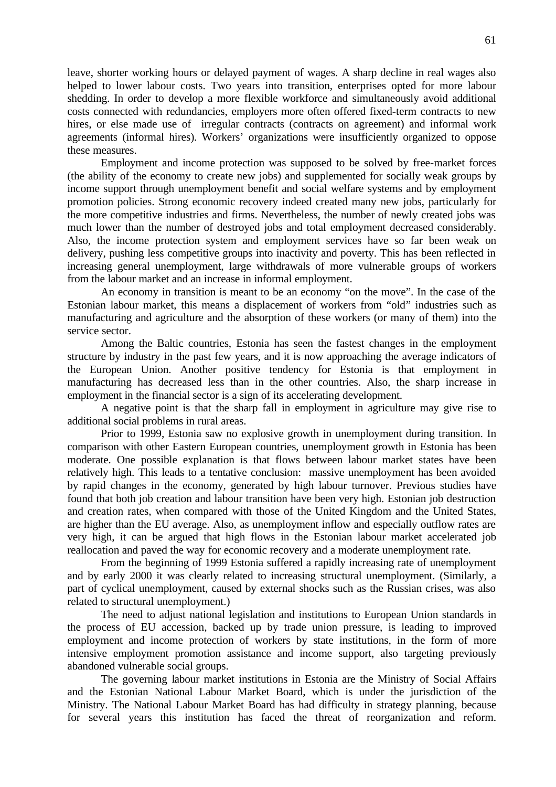leave, shorter working hours or delayed payment of wages. A sharp decline in real wages also helped to lower labour costs. Two years into transition, enterprises opted for more labour shedding. In order to develop a more flexible workforce and simultaneously avoid additional costs connected with redundancies, employers more often offered fixed-term contracts to new hires, or else made use of irregular contracts (contracts on agreement) and informal work agreements (informal hires). Workers' organizations were insufficiently organized to oppose these measures.

Employment and income protection was supposed to be solved by free-market forces (the ability of the economy to create new jobs) and supplemented for socially weak groups by income support through unemployment benefit and social welfare systems and by employment promotion policies. Strong economic recovery indeed created many new jobs, particularly for the more competitive industries and firms. Nevertheless, the number of newly created jobs was much lower than the number of destroyed jobs and total employment decreased considerably. Also, the income protection system and employment services have so far been weak on delivery, pushing less competitive groups into inactivity and poverty. This has been reflected in increasing general unemployment, large withdrawals of more vulnerable groups of workers from the labour market and an increase in informal employment.

An economy in transition is meant to be an economy "on the move". In the case of the Estonian labour market, this means a displacement of workers from "old" industries such as manufacturing and agriculture and the absorption of these workers (or many of them) into the service sector.

Among the Baltic countries, Estonia has seen the fastest changes in the employment structure by industry in the past few years, and it is now approaching the average indicators of the European Union. Another positive tendency for Estonia is that employment in manufacturing has decreased less than in the other countries. Also, the sharp increase in employment in the financial sector is a sign of its accelerating development.

A negative point is that the sharp fall in employment in agriculture may give rise to additional social problems in rural areas.

Prior to 1999, Estonia saw no explosive growth in unemployment during transition. In comparison with other Eastern European countries, unemployment growth in Estonia has been moderate. One possible explanation is that flows between labour market states have been relatively high. This leads to a tentative conclusion: massive unemployment has been avoided by rapid changes in the economy, generated by high labour turnover. Previous studies have found that both job creation and labour transition have been very high. Estonian job destruction and creation rates, when compared with those of the United Kingdom and the United States, are higher than the EU average. Also, as unemployment inflow and especially outflow rates are very high, it can be argued that high flows in the Estonian labour market accelerated job reallocation and paved the way for economic recovery and a moderate unemployment rate.

From the beginning of 1999 Estonia suffered a rapidly increasing rate of unemployment and by early 2000 it was clearly related to increasing structural unemployment. (Similarly, a part of cyclical unemployment, caused by external shocks such as the Russian crises, was also related to structural unemployment.)

The need to adjust national legislation and institutions to European Union standards in the process of EU accession, backed up by trade union pressure, is leading to improved employment and income protection of workers by state institutions, in the form of more intensive employment promotion assistance and income support, also targeting previously abandoned vulnerable social groups.

The governing labour market institutions in Estonia are the Ministry of Social Affairs and the Estonian National Labour Market Board, which is under the jurisdiction of the Ministry. The National Labour Market Board has had difficulty in strategy planning, because for several years this institution has faced the threat of reorganization and reform.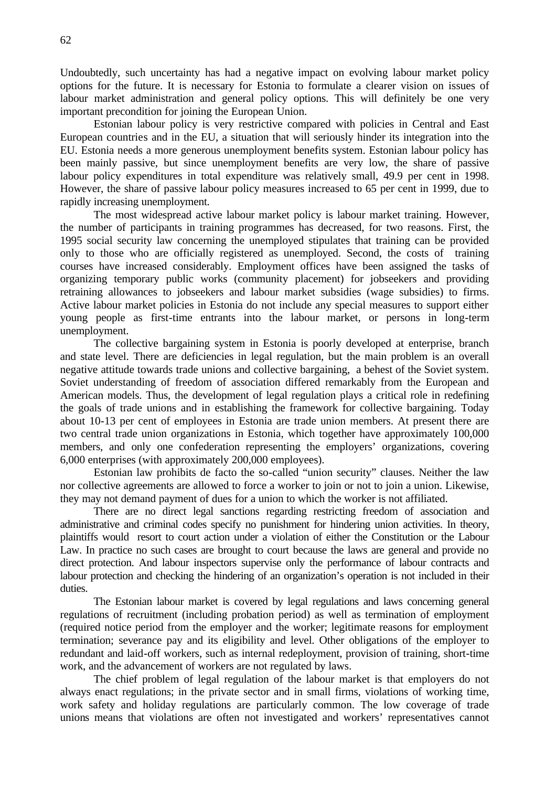Undoubtedly, such uncertainty has had a negative impact on evolving labour market policy options for the future. It is necessary for Estonia to formulate a clearer vision on issues of labour market administration and general policy options. This will definitely be one very important precondition for joining the European Union.

Estonian labour policy is very restrictive compared with policies in Central and East European countries and in the EU, a situation that will seriously hinder its integration into the EU. Estonia needs a more generous unemployment benefits system. Estonian labour policy has been mainly passive, but since unemployment benefits are very low, the share of passive labour policy expenditures in total expenditure was relatively small, 49.9 per cent in 1998. However, the share of passive labour policy measures increased to 65 per cent in 1999, due to rapidly increasing unemployment.

The most widespread active labour market policy is labour market training. However, the number of participants in training programmes has decreased, for two reasons. First, the 1995 social security law concerning the unemployed stipulates that training can be provided only to those who are officially registered as unemployed. Second, the costs of training courses have increased considerably. Employment offices have been assigned the tasks of organizing temporary public works (community placement) for jobseekers and providing retraining allowances to jobseekers and labour market subsidies (wage subsidies) to firms. Active labour market policies in Estonia do not include any special measures to support either young people as first-time entrants into the labour market, or persons in long-term unemployment.

The collective bargaining system in Estonia is poorly developed at enterprise, branch and state level. There are deficiencies in legal regulation, but the main problem is an overall negative attitude towards trade unions and collective bargaining, a behest of the Soviet system. Soviet understanding of freedom of association differed remarkably from the European and American models. Thus, the development of legal regulation plays a critical role in redefining the goals of trade unions and in establishing the framework for collective bargaining. Today about 10-13 per cent of employees in Estonia are trade union members. At present there are two central trade union organizations in Estonia, which together have approximately 100,000 members, and only one confederation representing the employers' organizations, covering 6,000 enterprises (with approximately 200,000 employees).

Estonian law prohibits de facto the so-called "union security" clauses. Neither the law nor collective agreements are allowed to force a worker to join or not to join a union. Likewise, they may not demand payment of dues for a union to which the worker is not affiliated.

There are no direct legal sanctions regarding restricting freedom of association and administrative and criminal codes specify no punishment for hindering union activities. In theory, plaintiffs would resort to court action under a violation of either the Constitution or the Labour Law. In practice no such cases are brought to court because the laws are general and provide no direct protection. And labour inspectors supervise only the performance of labour contracts and labour protection and checking the hindering of an organization's operation is not included in their duties.

The Estonian labour market is covered by legal regulations and laws concerning general regulations of recruitment (including probation period) as well as termination of employment (required notice period from the employer and the worker; legitimate reasons for employment termination; severance pay and its eligibility and level. Other obligations of the employer to redundant and laid-off workers, such as internal redeployment, provision of training, short-time work, and the advancement of workers are not regulated by laws.

The chief problem of legal regulation of the labour market is that employers do not always enact regulations; in the private sector and in small firms, violations of working time, work safety and holiday regulations are particularly common. The low coverage of trade unions means that violations are often not investigated and workers' representatives cannot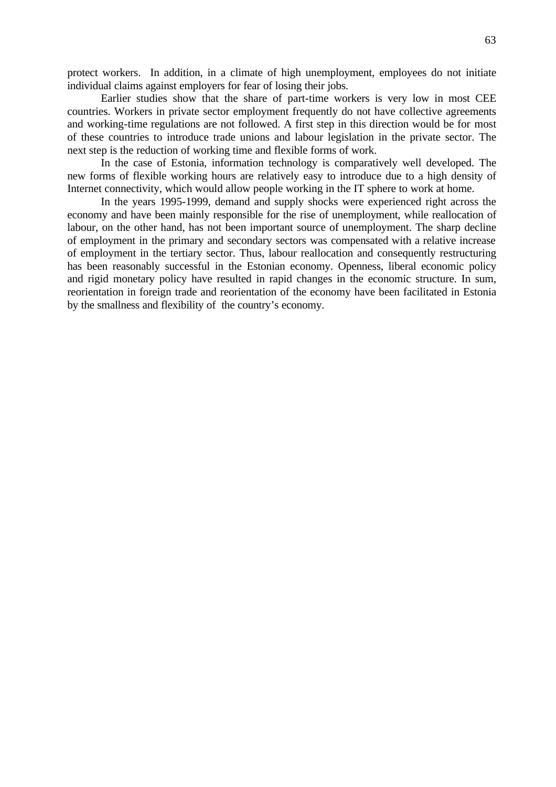protect workers. In addition, in a climate of high unemployment, employees do not initiate individual claims against employers for fear of losing their jobs.

Earlier studies show that the share of part-time workers is very low in most CEE countries. Workers in private sector employment frequently do not have collective agreements and working-time regulations are not followed. A first step in this direction would be for most of these countries to introduce trade unions and labour legislation in the private sector. The next step is the reduction of working time and flexible forms of work.

In the case of Estonia, information technology is comparatively well developed. The new forms of flexible working hours are relatively easy to introduce due to a high density of Internet connectivity, which would allow people working in the IT sphere to work at home.

In the years 1995-1999, demand and supply shocks were experienced right across the economy and have been mainly responsible for the rise of unemployment, while reallocation of labour, on the other hand, has not been important source of unemployment. The sharp decline of employment in the primary and secondary sectors was compensated with a relative increase of employment in the tertiary sector. Thus, labour reallocation and consequently restructuring has been reasonably successful in the Estonian economy. Openness, liberal economic policy and rigid monetary policy have resulted in rapid changes in the economic structure. In sum, reorientation in foreign trade and reorientation of the economy have been facilitated in Estonia by the smallness and flexibility of the country's economy.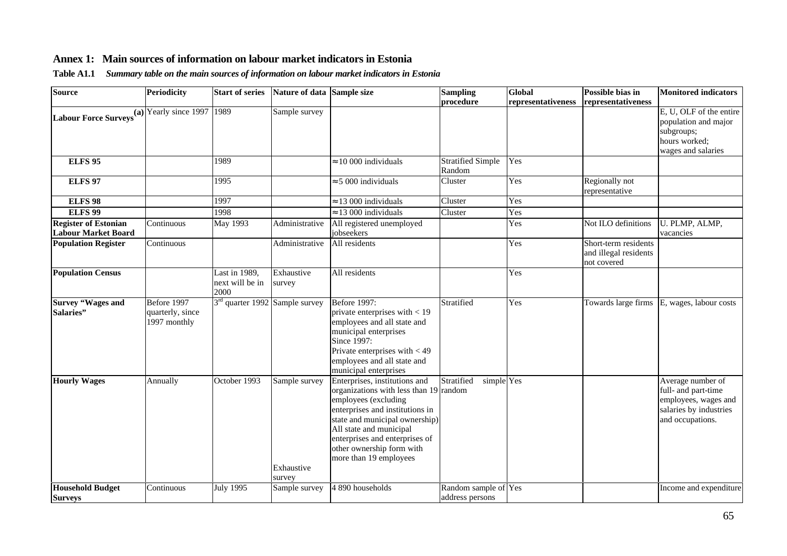# **Annex 1: Main sources of information on labour market indicators in Estonia**

|  |  | Table A1.1 Summary table on the main sources of information on labour market indicators in Estonia |
|--|--|----------------------------------------------------------------------------------------------------|
|  |  |                                                                                                    |

| <b>Source</b>                                                                  | <b>Periodicity</b>                              | <b>Start of series</b>                     | Nature of data Sample size            |                                                                                                                                                                                                                                                                                          | <b>Sampling</b>                         | Global             | Possible bias in                                             | <b>Monitored indicators</b>                                                                                    |
|--------------------------------------------------------------------------------|-------------------------------------------------|--------------------------------------------|---------------------------------------|------------------------------------------------------------------------------------------------------------------------------------------------------------------------------------------------------------------------------------------------------------------------------------------|-----------------------------------------|--------------------|--------------------------------------------------------------|----------------------------------------------------------------------------------------------------------------|
|                                                                                |                                                 |                                            |                                       |                                                                                                                                                                                                                                                                                          | procedure                               | representativeness | representativeness                                           |                                                                                                                |
| <b>Labour Force Surveys</b> $\overline{(\mathbf{a}) \text{Yearly since 1997}}$ |                                                 | 1989                                       | Sample survey                         |                                                                                                                                                                                                                                                                                          |                                         |                    |                                                              | E, U, OLF of the entire<br>population and major<br>subgroups;<br>hours worked;                                 |
|                                                                                |                                                 |                                            |                                       |                                                                                                                                                                                                                                                                                          |                                         |                    |                                                              | wages and salaries                                                                                             |
| <b>ELFS 95</b>                                                                 |                                                 | 1989                                       |                                       | $\approx 10000$ individuals                                                                                                                                                                                                                                                              | <b>Stratified Simple</b><br>Random      | Yes                |                                                              |                                                                                                                |
| <b>ELFS 97</b>                                                                 |                                                 | 1995                                       |                                       | $\approx$ 5 000 individuals                                                                                                                                                                                                                                                              | Cluster                                 | Yes                | Regionally not<br>representative                             |                                                                                                                |
| <b>ELFS 98</b>                                                                 |                                                 | 1997                                       |                                       | $\approx$ 13 000 individuals                                                                                                                                                                                                                                                             | Cluster                                 | Yes                |                                                              |                                                                                                                |
| <b>ELFS 99</b>                                                                 |                                                 | 1998                                       |                                       | $\approx$ 13 000 individuals                                                                                                                                                                                                                                                             | Cluster                                 | Yes                |                                                              |                                                                                                                |
| <b>Register of Estonian</b><br><b>Labour Market Board</b>                      | Continuous                                      | <b>May 1993</b>                            | Administrative                        | All registered unemployed<br>jobseekers                                                                                                                                                                                                                                                  |                                         | Yes                | Not ILO definitions                                          | U. PLMP, ALMP,<br>vacancies                                                                                    |
| <b>Population Register</b>                                                     | Continuous                                      |                                            | Administrative                        | All residents                                                                                                                                                                                                                                                                            |                                         | Yes                | Short-term residents<br>and illegal residents<br>not covered |                                                                                                                |
| <b>Population Census</b>                                                       |                                                 | Last in 1989,<br>next will be in<br>2000   | Exhaustive<br>survey                  | All residents                                                                                                                                                                                                                                                                            |                                         | Yes                |                                                              |                                                                                                                |
| <b>Survey "Wages and</b><br>Salaries"                                          | Before 1997<br>quarterly, since<br>1997 monthly | 3 <sup>rd</sup> quarter 1992 Sample survey |                                       | <b>Before 1997:</b><br>private enterprises with $<$ 19<br>employees and all state and<br>municipal enterprises<br>Since $1997$ :<br>Private enterprises with $<$ 49<br>employees and all state and<br>municipal enterprises                                                              | Stratified                              | Yes                |                                                              | Towards large firms E, wages, labour costs                                                                     |
| <b>Hourly Wages</b>                                                            | Annually                                        | October 1993                               | Sample survey<br>Exhaustive<br>survey | Enterprises, institutions and<br>organizations with less than 19 random<br>employees (excluding<br>enterprises and institutions in<br>state and municipal ownership)<br>All state and municipal<br>enterprises and enterprises of<br>other ownership form with<br>more than 19 employees | Stratified<br>simple Yes                |                    |                                                              | Average number of<br>full- and part-time<br>employees, wages and<br>salaries by industries<br>and occupations. |
| <b>Household Budget</b><br><b>Surveys</b>                                      | Continuous                                      | July 1995                                  | Sample survey                         | 4 890 households                                                                                                                                                                                                                                                                         | Random sample of Yes<br>address persons |                    |                                                              | Income and expenditure                                                                                         |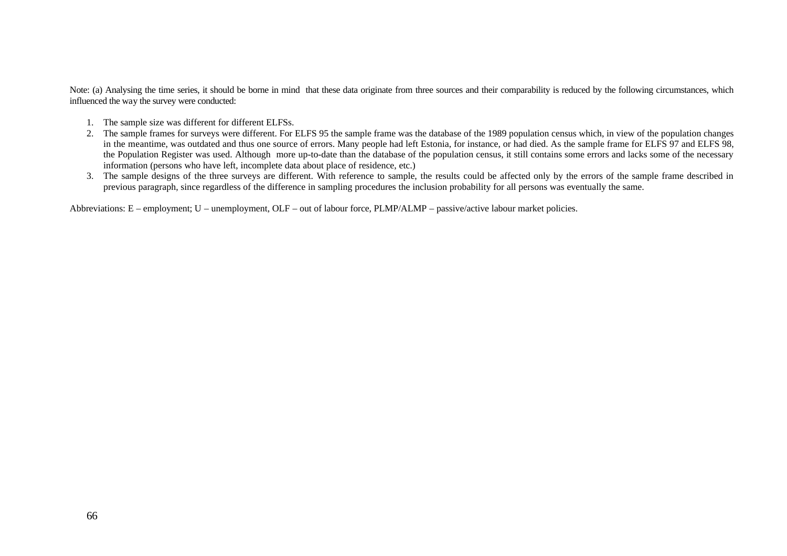Note: (a) Analysing the time series, it should be borne in mind that these data originate from three sources and their comparability is reduced by the following circumstances, which influenced the way the survey were conducted:

- 1. The sample size was different for different ELFSs.
- 2. The sample frames for surveys were different. For ELFS 95 the sample frame was the database of the 1989 population census which, in view of the population changes in the meantime, was outdated and thus one source of errors. Many people had left Estonia, for instance, or had died. As the sample frame for ELFS 97 and ELFS 98, the Population Register was used. Although more up-to-date than the database of the population census, it still contains some errors and lacks some of the necessary information (persons who have left, incomplete data about place of residence, etc.)
- 3. The sample designs of the three surveys are different. With reference to sample, the results could be affected only by the errors of the sample frame described in previous paragraph, since regardless of the difference in sampling procedures the inclusion probability for all persons was eventually the same.

Abbreviations: E – employment; U – unemployment, OLF – out of labour force, PLMP/ALMP – passive/active labour market policies.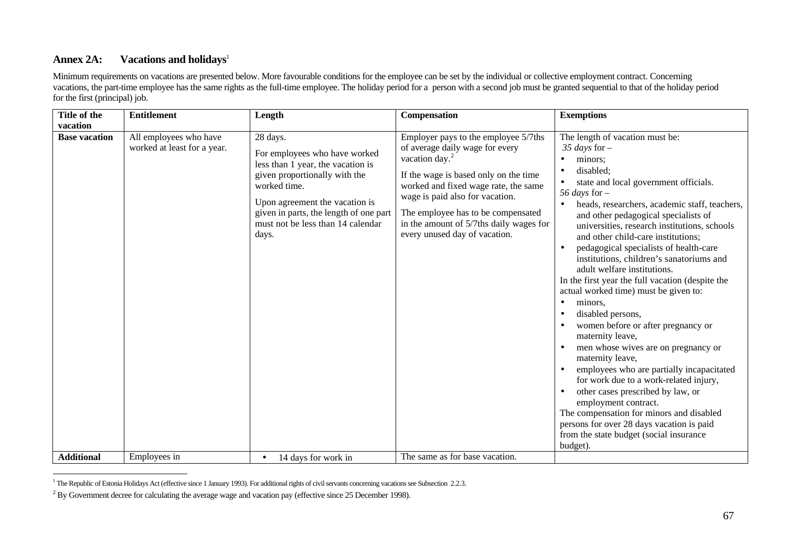# Annex 2A: **Vacations and holidays**<sup>1</sup>

Minimum requirements on vacations are presented below. More favourable conditions for the employee can be set by the individual or collective employment contract. Concerning vacations, the part-time employee has the same rights as the full-time employee. The holiday period for a person with a second job must be granted sequential to that of the holiday period for the first (principal) job.

| Title of the         | <b>Entitlement</b>                                    | Length                                                                                                                                                                                                                                                    | <b>Compensation</b>                                                                                                                                                                                                                                                                                                                         | <b>Exemptions</b>                                                                                                                                                                                                                                                                                                                                                                                                                                                                                                                                                                                                                                                                                                                                                                                                                                                                                                                                                                                                                                    |
|----------------------|-------------------------------------------------------|-----------------------------------------------------------------------------------------------------------------------------------------------------------------------------------------------------------------------------------------------------------|---------------------------------------------------------------------------------------------------------------------------------------------------------------------------------------------------------------------------------------------------------------------------------------------------------------------------------------------|------------------------------------------------------------------------------------------------------------------------------------------------------------------------------------------------------------------------------------------------------------------------------------------------------------------------------------------------------------------------------------------------------------------------------------------------------------------------------------------------------------------------------------------------------------------------------------------------------------------------------------------------------------------------------------------------------------------------------------------------------------------------------------------------------------------------------------------------------------------------------------------------------------------------------------------------------------------------------------------------------------------------------------------------------|
| vacation             |                                                       |                                                                                                                                                                                                                                                           |                                                                                                                                                                                                                                                                                                                                             |                                                                                                                                                                                                                                                                                                                                                                                                                                                                                                                                                                                                                                                                                                                                                                                                                                                                                                                                                                                                                                                      |
| <b>Base vacation</b> | All employees who have<br>worked at least for a year. | 28 days.<br>For employees who have worked<br>less than 1 year, the vacation is<br>given proportionally with the<br>worked time.<br>Upon agreement the vacation is<br>given in parts, the length of one part<br>must not be less than 14 calendar<br>days. | Employer pays to the employee 5/7ths<br>of average daily wage for every<br>vacation day. <sup>2</sup><br>If the wage is based only on the time<br>worked and fixed wage rate, the same<br>wage is paid also for vacation.<br>The employee has to be compensated<br>in the amount of 5/7ths daily wages for<br>every unused day of vacation. | The length of vacation must be:<br>$35$ days for -<br>minors;<br>$\bullet$<br>disabled;<br>state and local government officials.<br>56 days for $-$<br>heads, researchers, academic staff, teachers,<br>$\bullet$<br>and other pedagogical specialists of<br>universities, research institutions, schools<br>and other child-care institutions;<br>pedagogical specialists of health-care<br>$\bullet$<br>institutions, children's sanatoriums and<br>adult welfare institutions.<br>In the first year the full vacation (despite the<br>actual worked time) must be given to:<br>minors.<br>disabled persons,<br>$\bullet$<br>women before or after pregnancy or<br>maternity leave,<br>men whose wives are on pregnancy or<br>maternity leave,<br>employees who are partially incapacitated<br>for work due to a work-related injury,<br>other cases prescribed by law, or<br>employment contract.<br>The compensation for minors and disabled<br>persons for over 28 days vacation is paid<br>from the state budget (social insurance<br>budget). |
| <b>Additional</b>    | Employees in                                          | 14 days for work in                                                                                                                                                                                                                                       | The same as for base vacation.                                                                                                                                                                                                                                                                                                              |                                                                                                                                                                                                                                                                                                                                                                                                                                                                                                                                                                                                                                                                                                                                                                                                                                                                                                                                                                                                                                                      |

<sup>&</sup>lt;sup>1</sup> The Republic of Estonia Holidays Act (effective since 1 January 1993). For additional rights of civil servants concerning vacations see Subsection 2.2.3.

<sup>&</sup>lt;sup>2</sup> By Government decree for calculating the average wage and vacation pay (effective since 25 December 1998).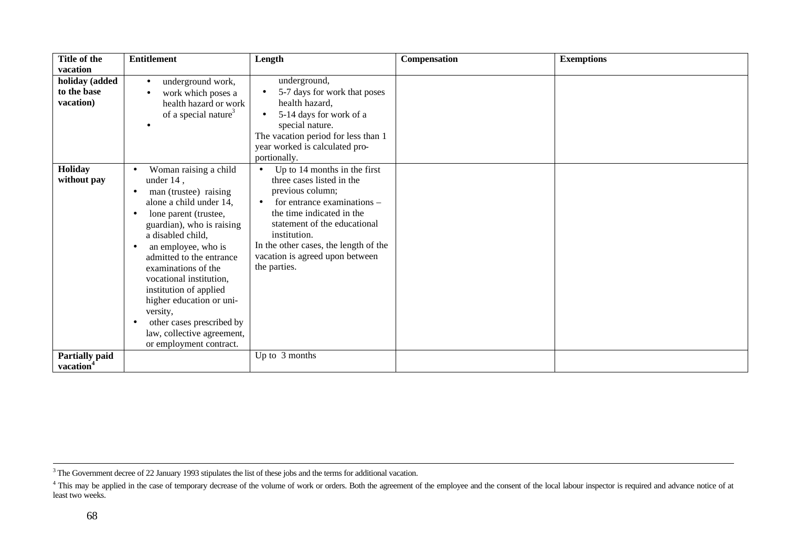| Title of the<br>vacation                       | <b>Entitlement</b>                                                                                                                                                                                                                                                                                                                                                                                                                                               | Length                                                                                                                                                                                                                                                                                                          | Compensation | <b>Exemptions</b> |
|------------------------------------------------|------------------------------------------------------------------------------------------------------------------------------------------------------------------------------------------------------------------------------------------------------------------------------------------------------------------------------------------------------------------------------------------------------------------------------------------------------------------|-----------------------------------------------------------------------------------------------------------------------------------------------------------------------------------------------------------------------------------------------------------------------------------------------------------------|--------------|-------------------|
| holiday (added<br>to the base<br>vacation)     | underground work,<br>$\bullet$<br>work which poses a<br>٠<br>health hazard or work<br>of a special nature <sup>3</sup>                                                                                                                                                                                                                                                                                                                                           | underground,<br>5-7 days for work that poses<br>health hazard,<br>5-14 days for work of a<br>$\bullet$<br>special nature.<br>The vacation period for less than 1<br>year worked is calculated pro-<br>portionally.                                                                                              |              |                   |
| Holiday<br>without pay                         | Woman raising a child<br>under $14$ ,<br>man (trustee) raising<br>$\bullet$<br>alone a child under 14.<br>lone parent (trustee,<br>٠<br>guardian), who is raising<br>a disabled child,<br>an employee, who is<br>$\bullet$<br>admitted to the entrance<br>examinations of the<br>vocational institution,<br>institution of applied<br>higher education or uni-<br>versity,<br>other cases prescribed by<br>law, collective agreement,<br>or employment contract. | Up to 14 months in the first<br>$\bullet$<br>three cases listed in the<br>previous column;<br>for entrance examinations –<br>$\bullet$<br>the time indicated in the<br>statement of the educational<br>institution.<br>In the other cases, the length of the<br>vacation is agreed upon between<br>the parties. |              |                   |
| <b>Partially paid</b><br>vacation <sup>4</sup> |                                                                                                                                                                                                                                                                                                                                                                                                                                                                  | Up to 3 months                                                                                                                                                                                                                                                                                                  |              |                   |

<sup>&</sup>lt;sup>3</sup> The Government decree of 22 January 1993 stipulates the list of these jobs and the terms for additional vacation.

<sup>&</sup>lt;sup>4</sup> This may be applied in the case of temporary decrease of the volume of work or orders. Both the agreement of the employee and the consent of the local labour inspector is required and advance notice of at least two weeks.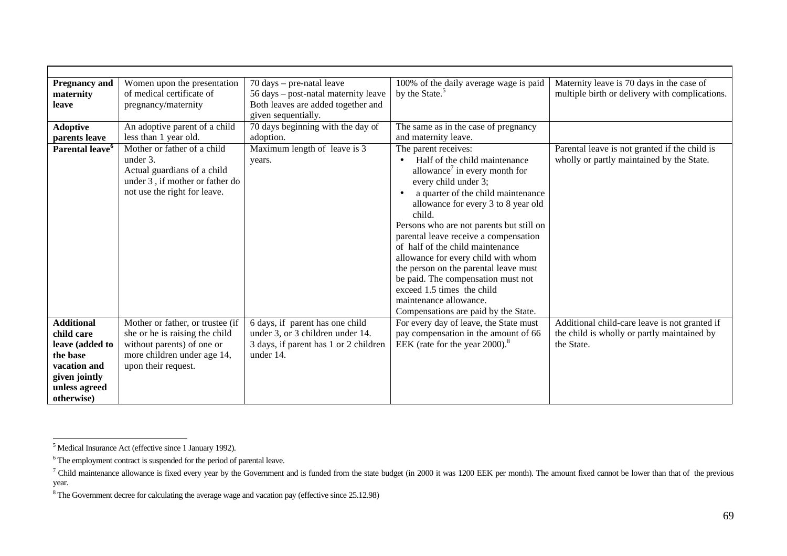| <b>Pregnancy and</b><br>maternity                                                                                | Women upon the presentation<br>of medical certificate of                                                                                               | $70 \text{ days} - \text{pre-natal leave}$<br>56 days – post-natal maternity leave                                        | 100% of the daily average wage is paid<br>by the State. <sup>5</sup>                                                                                                                                                                                                                                                                                                                                                                                                                                                                                                          | Maternity leave is 70 days in the case of<br>multiple birth or delivery with complications.                |
|------------------------------------------------------------------------------------------------------------------|--------------------------------------------------------------------------------------------------------------------------------------------------------|---------------------------------------------------------------------------------------------------------------------------|-------------------------------------------------------------------------------------------------------------------------------------------------------------------------------------------------------------------------------------------------------------------------------------------------------------------------------------------------------------------------------------------------------------------------------------------------------------------------------------------------------------------------------------------------------------------------------|------------------------------------------------------------------------------------------------------------|
| leave                                                                                                            | pregnancy/maternity                                                                                                                                    | Both leaves are added together and                                                                                        |                                                                                                                                                                                                                                                                                                                                                                                                                                                                                                                                                                               |                                                                                                            |
|                                                                                                                  |                                                                                                                                                        | given sequentially.                                                                                                       |                                                                                                                                                                                                                                                                                                                                                                                                                                                                                                                                                                               |                                                                                                            |
| <b>Adoptive</b>                                                                                                  | An adoptive parent of a child                                                                                                                          | 70 days beginning with the day of                                                                                         | The same as in the case of pregnancy                                                                                                                                                                                                                                                                                                                                                                                                                                                                                                                                          |                                                                                                            |
| parents leave                                                                                                    | less than 1 year old.                                                                                                                                  | adoption.                                                                                                                 | and maternity leave.                                                                                                                                                                                                                                                                                                                                                                                                                                                                                                                                                          |                                                                                                            |
| Parental leave <sup>6</sup>                                                                                      | Mother or father of a child<br>under 3.<br>Actual guardians of a child<br>under 3, if mother or father do<br>not use the right for leave.              | Maximum length of leave is 3<br>years.                                                                                    | The parent receives:<br>Half of the child maintenance<br>$\bullet$<br>allowance <sup>7</sup> in every month for<br>every child under 3;<br>a quarter of the child maintenance<br>allowance for every 3 to 8 year old<br>child.<br>Persons who are not parents but still on<br>parental leave receive a compensation<br>of half of the child maintenance<br>allowance for every child with whom<br>the person on the parental leave must<br>be paid. The compensation must not<br>exceed 1.5 times the child<br>maintenance allowance.<br>Compensations are paid by the State. | Parental leave is not granted if the child is<br>wholly or partly maintained by the State.                 |
| <b>Additional</b><br>child care<br>leave (added to<br>the base<br>vacation and<br>given jointly<br>unless agreed | Mother or father, or trustee (if<br>she or he is raising the child<br>without parents) of one or<br>more children under age 14,<br>upon their request. | 6 days, if parent has one child<br>under 3, or 3 children under 14.<br>3 days, if parent has 1 or 2 children<br>under 14. | For every day of leave, the State must<br>pay compensation in the amount of 66<br>EEK (rate for the year $2000$ ). <sup>8</sup>                                                                                                                                                                                                                                                                                                                                                                                                                                               | Additional child-care leave is not granted if<br>the child is wholly or partly maintained by<br>the State. |
| otherwise)                                                                                                       |                                                                                                                                                        |                                                                                                                           |                                                                                                                                                                                                                                                                                                                                                                                                                                                                                                                                                                               |                                                                                                            |

 5 Medical Insurance Act (effective since 1 January 1992).

 $6$  The employment contract is suspended for the period of parental leave.

<sup>&</sup>lt;sup>7</sup> Child maintenance allowance is fixed every year by the Government and is funded from the state budget (in 2000 it was 1200 EEK per month). The amount fixed cannot be lower than that of the previous year.

 $8$  The Government decree for calculating the average wage and vacation pay (effective since 25.12.98)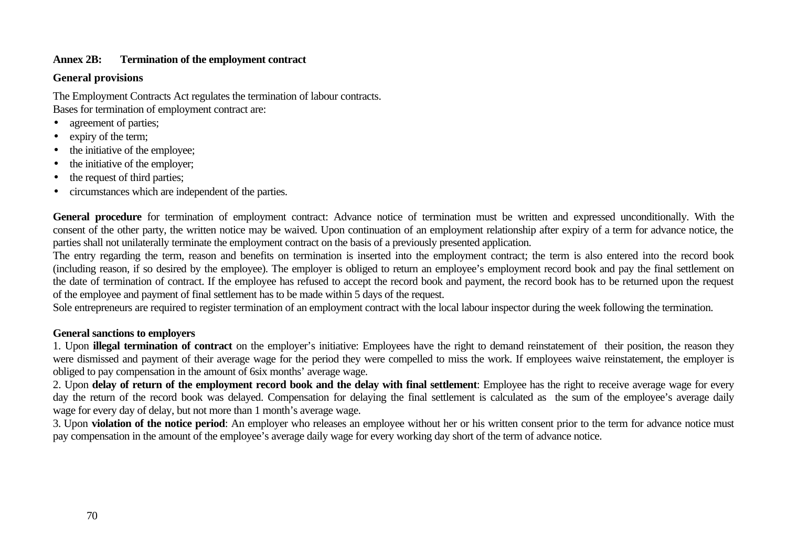## **Annex 2B: Termination of the employment contract**

## **General provisions**

The Employment Contracts Act regulates the termination of labour contracts. Bases for termination of employment contract are:

- agreement of parties;
- expiry of the term;
- the initiative of the employee;
- the initiative of the employer;
- the request of third parties;
- circumstances which are independent of the parties.

**General procedure** for termination of employment contract: Advance notice of termination must be written and expressed unconditionally. With the consent of the other party, the written notice may be waived. Upon continuation of an employment relationship after expiry of a term for advance notice, the parties shall not unilaterally terminate the employment contract on the basis of a previously presented application.

The entry regarding the term, reason and benefits on termination is inserted into the employment contract; the term is also entered into the record book (including reason, if so desired by the employee). The employer is obliged to return an employee's employment record book and pay the final settlement on the date of termination of contract. If the employee has refused to accept the record book and payment, the record book has to be returned upon the request of the employee and payment of final settlement has to be made within 5 days of the request.

Sole entrepreneurs are required to register termination of an employment contract with the local labour inspector during the week following the termination.

## **General sanctions to employers**

1. Upon **illegal termination of contract** on the employer's initiative: Employees have the right to demand reinstatement of their position, the reason they were dismissed and payment of their average wage for the period they were compelled to miss the work. If employees waive reinstatement, the employer is obliged to pay compensation in the amount of 6six months' average wage.

2. Upon **delay of return of the employment record book and the delay with final settlement**: Employee has the right to receive average wage for every day the return of the record book was delayed. Compensation for delaying the final settlement is calculated as the sum of the employee's average daily wage for every day of delay, but not more than 1 month's average wage.

3. Upon **violation of the notice period**: An employer who releases an employee without her or his written consent prior to the term for advance notice must pay compensation in the amount of the employee's average daily wage for every working day short of the term of advance notice.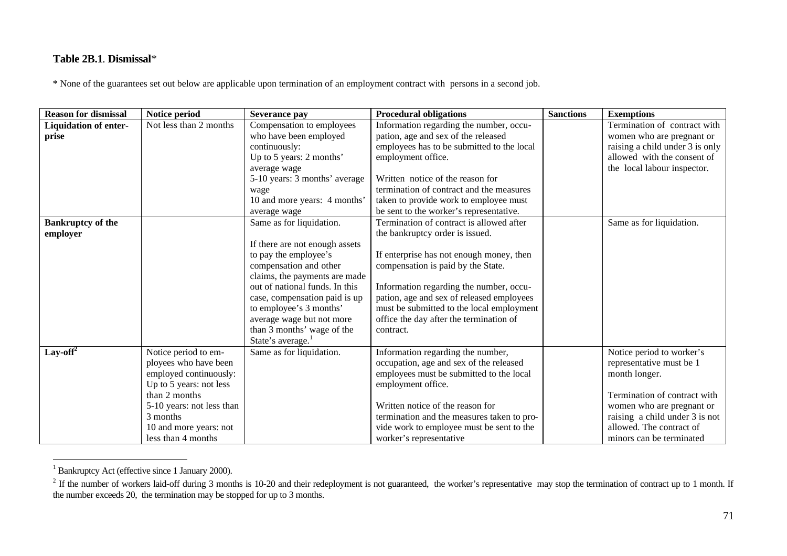## **Table 2B.1**. **Dismissal***\**

\* None of the guarantees set out below are applicable upon termination of an employment contract with persons in a second job.

| <b>Reason for dismissal</b>       | Notice period             | Severance pay                  | <b>Procedural obligations</b>              | <b>Sanctions</b> | <b>Exemptions</b>               |
|-----------------------------------|---------------------------|--------------------------------|--------------------------------------------|------------------|---------------------------------|
| <b>Liquidation of enter-</b>      | Not less than 2 months    | Compensation to employees      | Information regarding the number, occu-    |                  | Termination of contract with    |
| prise                             |                           | who have been employed         | pation, age and sex of the released        |                  | women who are pregnant or       |
|                                   |                           | continuously:                  | employees has to be submitted to the local |                  | raising a child under 3 is only |
|                                   |                           | Up to 5 years: 2 months'       | employment office.                         |                  | allowed with the consent of     |
|                                   |                           | average wage                   |                                            |                  | the local labour inspector.     |
|                                   |                           | 5-10 years: 3 months' average  | Written notice of the reason for           |                  |                                 |
|                                   |                           | wage                           | termination of contract and the measures   |                  |                                 |
|                                   |                           | 10 and more years: 4 months'   | taken to provide work to employee must     |                  |                                 |
|                                   |                           | average wage                   | be sent to the worker's representative.    |                  |                                 |
| <b>Bankruptcy of the</b>          |                           | Same as for liquidation.       | Termination of contract is allowed after   |                  | Same as for liquidation.        |
| employer                          |                           |                                | the bankruptcy order is issued.            |                  |                                 |
|                                   |                           | If there are not enough assets |                                            |                  |                                 |
|                                   |                           | to pay the employee's          | If enterprise has not enough money, then   |                  |                                 |
|                                   |                           | compensation and other         | compensation is paid by the State.         |                  |                                 |
|                                   |                           | claims, the payments are made  |                                            |                  |                                 |
|                                   |                           | out of national funds. In this | Information regarding the number, occu-    |                  |                                 |
|                                   |                           | case, compensation paid is up  | pation, age and sex of released employees  |                  |                                 |
|                                   |                           | to employee's 3 months'        | must be submitted to the local employment  |                  |                                 |
|                                   |                           | average wage but not more      | office the day after the termination of    |                  |                                 |
|                                   |                           | than 3 months' wage of the     | contract.                                  |                  |                                 |
|                                   |                           | State's average. <sup>1</sup>  |                                            |                  |                                 |
| Lay-off <sup><math>2</math></sup> | Notice period to em-      | Same as for liquidation.       | Information regarding the number,          |                  | Notice period to worker's       |
|                                   | ployees who have been     |                                | occupation, age and sex of the released    |                  | representative must be 1        |
|                                   | employed continuously:    |                                | employees must be submitted to the local   |                  | month longer.                   |
|                                   | Up to 5 years: not less   |                                | employment office.                         |                  |                                 |
|                                   | than 2 months             |                                |                                            |                  | Termination of contract with    |
|                                   | 5-10 years: not less than |                                | Written notice of the reason for           |                  | women who are pregnant or       |
|                                   | 3 months                  |                                | termination and the measures taken to pro- |                  | raising a child under 3 is not  |
|                                   | 10 and more years: not    |                                | vide work to employee must be sent to the  |                  | allowed. The contract of        |
|                                   | less than 4 months        |                                | worker's representative                    |                  | minors can be terminated        |

 1 Bankruptcy Act (effective since 1 January 2000).

 $2^2$  If the number of workers laid-off during 3 months is 10-20 and their redeployment is not guaranteed, the worker's representative may stop the termination of contract up to 1 month. If the number exceeds 20, the termination may be stopped for up to 3 months.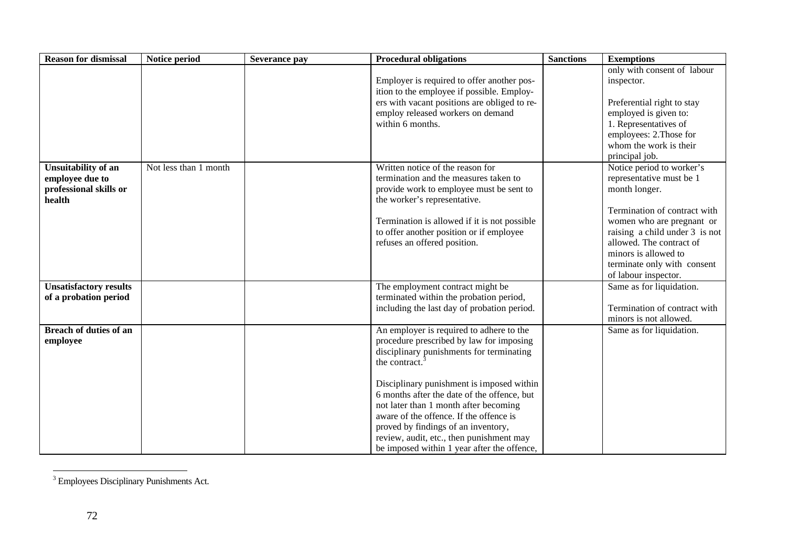| <b>Reason for dismissal</b>                                                       | Notice period         | Severance pay | <b>Procedural obligations</b>                                                                                                                                                                                                                                                                                                                                                                                                                                           | <b>Sanctions</b> | <b>Exemptions</b>                                                                                                                                                                                                                                                                |
|-----------------------------------------------------------------------------------|-----------------------|---------------|-------------------------------------------------------------------------------------------------------------------------------------------------------------------------------------------------------------------------------------------------------------------------------------------------------------------------------------------------------------------------------------------------------------------------------------------------------------------------|------------------|----------------------------------------------------------------------------------------------------------------------------------------------------------------------------------------------------------------------------------------------------------------------------------|
|                                                                                   |                       |               | Employer is required to offer another pos-<br>ition to the employee if possible. Employ-<br>ers with vacant positions are obliged to re-<br>employ released workers on demand<br>within 6 months.                                                                                                                                                                                                                                                                       |                  | only with consent of labour<br>inspector.<br>Preferential right to stay<br>employed is given to:<br>1. Representatives of<br>employees: 2. Those for<br>whom the work is their<br>principal job.                                                                                 |
| <b>Unsuitability of an</b><br>employee due to<br>professional skills or<br>health | Not less than 1 month |               | Written notice of the reason for<br>termination and the measures taken to<br>provide work to employee must be sent to<br>the worker's representative.<br>Termination is allowed if it is not possible<br>to offer another position or if employee<br>refuses an offered position.                                                                                                                                                                                       |                  | Notice period to worker's<br>representative must be 1<br>month longer.<br>Termination of contract with<br>women who are pregnant or<br>raising a child under 3 is not<br>allowed. The contract of<br>minors is allowed to<br>terminate only with consent<br>of labour inspector. |
| <b>Unsatisfactory results</b><br>of a probation period                            |                       |               | The employment contract might be<br>terminated within the probation period,<br>including the last day of probation period.                                                                                                                                                                                                                                                                                                                                              |                  | Same as for liquidation.<br>Termination of contract with<br>minors is not allowed.                                                                                                                                                                                               |
| <b>Breach of duties of an</b><br>employee                                         |                       |               | An employer is required to adhere to the<br>procedure prescribed by law for imposing<br>disciplinary punishments for terminating<br>the contract. $3$<br>Disciplinary punishment is imposed within<br>6 months after the date of the offence, but<br>not later than 1 month after becoming<br>aware of the offence. If the offence is<br>proved by findings of an inventory,<br>review, audit, etc., then punishment may<br>be imposed within 1 year after the offence, |                  | Same as for liquidation.                                                                                                                                                                                                                                                         |

<sup>&</sup>lt;sup>3</sup> Employees Disciplinary Punishments Act.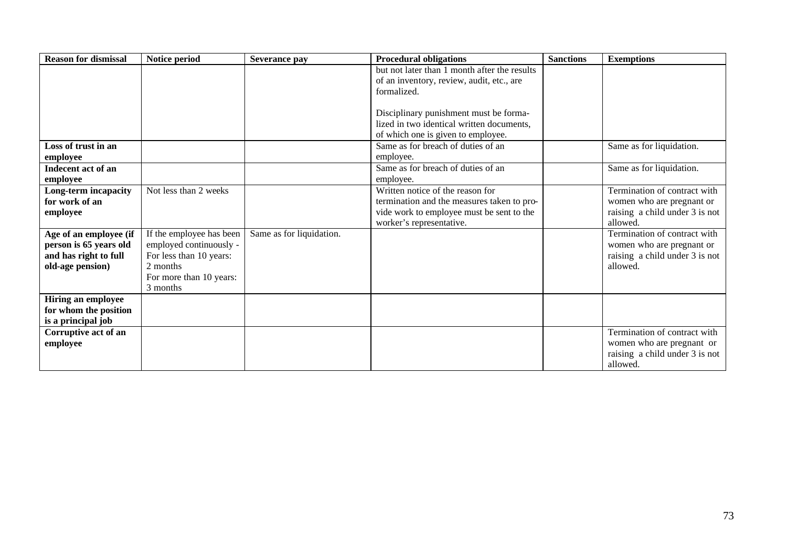| <b>Reason for dismissal</b> | Notice period            | Severance pay            | <b>Procedural obligations</b>                | <b>Sanctions</b> | <b>Exemptions</b>              |
|-----------------------------|--------------------------|--------------------------|----------------------------------------------|------------------|--------------------------------|
|                             |                          |                          | but not later than 1 month after the results |                  |                                |
|                             |                          |                          | of an inventory, review, audit, etc., are    |                  |                                |
|                             |                          |                          | formalized.                                  |                  |                                |
|                             |                          |                          |                                              |                  |                                |
|                             |                          |                          | Disciplinary punishment must be forma-       |                  |                                |
|                             |                          |                          | lized in two identical written documents,    |                  |                                |
|                             |                          |                          | of which one is given to employee.           |                  |                                |
| Loss of trust in an         |                          |                          | Same as for breach of duties of an           |                  | Same as for liquidation.       |
| employee                    |                          |                          | employee.                                    |                  |                                |
| Indecent act of an          |                          |                          | Same as for breach of duties of an           |                  | Same as for liquidation.       |
| employee                    |                          |                          | employee.                                    |                  |                                |
| Long-term incapacity        | Not less than 2 weeks    |                          | Written notice of the reason for             |                  | Termination of contract with   |
| for work of an              |                          |                          | termination and the measures taken to pro-   |                  | women who are pregnant or      |
| employee                    |                          |                          | vide work to employee must be sent to the    |                  | raising a child under 3 is not |
|                             |                          |                          | worker's representative.                     |                  | allowed.                       |
| Age of an employee (if      | If the employee has been | Same as for liquidation. |                                              |                  | Termination of contract with   |
| person is 65 years old      | employed continuously -  |                          |                                              |                  | women who are pregnant or      |
| and has right to full       | For less than 10 years:  |                          |                                              |                  | raising a child under 3 is not |
| old-age pension)            | 2 months                 |                          |                                              |                  | allowed.                       |
|                             | For more than 10 years:  |                          |                                              |                  |                                |
|                             | 3 months                 |                          |                                              |                  |                                |
| Hiring an employee          |                          |                          |                                              |                  |                                |
| for whom the position       |                          |                          |                                              |                  |                                |
| is a principal job          |                          |                          |                                              |                  |                                |
| Corruptive act of an        |                          |                          |                                              |                  | Termination of contract with   |
| employee                    |                          |                          |                                              |                  | women who are pregnant or      |
|                             |                          |                          |                                              |                  | raising a child under 3 is not |
|                             |                          |                          |                                              |                  | allowed.                       |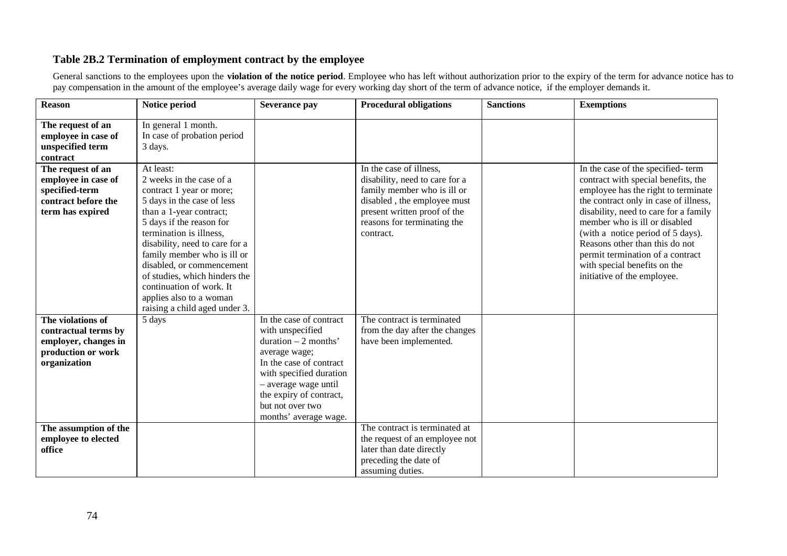## **Table 2B.2 Termination of employment contract by the employee**

General sanctions to the employees upon the **violation of the notice period**. Employee who has left without authorization prior to the expiry of the term for advance notice has to pay compensation in the amount of the employee's average daily wage for every working day short of the term of advance notice, if the employer demands it.

| <b>Reason</b>                                                                                           | Notice period                                                                                                                                                                                                                                                                                                                                                                                            | Severance pay                                                                                                                                                                                                                               | <b>Procedural obligations</b>                                                                                                                                                                       | <b>Sanctions</b> | <b>Exemptions</b>                                                                                                                                                                                                                                                                                                                                                                                            |
|---------------------------------------------------------------------------------------------------------|----------------------------------------------------------------------------------------------------------------------------------------------------------------------------------------------------------------------------------------------------------------------------------------------------------------------------------------------------------------------------------------------------------|---------------------------------------------------------------------------------------------------------------------------------------------------------------------------------------------------------------------------------------------|-----------------------------------------------------------------------------------------------------------------------------------------------------------------------------------------------------|------------------|--------------------------------------------------------------------------------------------------------------------------------------------------------------------------------------------------------------------------------------------------------------------------------------------------------------------------------------------------------------------------------------------------------------|
| The request of an<br>employee in case of<br>unspecified term<br>contract                                | In general 1 month.<br>In case of probation period<br>3 days.                                                                                                                                                                                                                                                                                                                                            |                                                                                                                                                                                                                                             |                                                                                                                                                                                                     |                  |                                                                                                                                                                                                                                                                                                                                                                                                              |
| The request of an<br>employee in case of<br>specified-term<br>contract before the<br>term has expired   | At least:<br>2 weeks in the case of a<br>contract 1 year or more;<br>5 days in the case of less<br>than a 1-year contract;<br>5 days if the reason for<br>termination is illness,<br>disability, need to care for a<br>family member who is ill or<br>disabled, or commencement<br>of studies, which hinders the<br>continuation of work. It<br>applies also to a woman<br>raising a child aged under 3. |                                                                                                                                                                                                                                             | In the case of illness,<br>disability, need to care for a<br>family member who is ill or<br>disabled, the employee must<br>present written proof of the<br>reasons for terminating the<br>contract. |                  | In the case of the specified-term<br>contract with special benefits, the<br>employee has the right to terminate<br>the contract only in case of illness,<br>disability, need to care for a family<br>member who is ill or disabled<br>(with a notice period of 5 days).<br>Reasons other than this do not<br>permit termination of a contract<br>with special benefits on the<br>initiative of the employee. |
| The violations of<br>contractual terms by<br>employer, changes in<br>production or work<br>organization | 5 days                                                                                                                                                                                                                                                                                                                                                                                                   | In the case of contract<br>with unspecified<br>duration $-2$ months'<br>average wage;<br>In the case of contract<br>with specified duration<br>- average wage until<br>the expiry of contract,<br>but not over two<br>months' average wage. | The contract is terminated<br>from the day after the changes<br>have been implemented.                                                                                                              |                  |                                                                                                                                                                                                                                                                                                                                                                                                              |
| The assumption of the<br>employee to elected<br>office                                                  |                                                                                                                                                                                                                                                                                                                                                                                                          |                                                                                                                                                                                                                                             | The contract is terminated at<br>the request of an employee not<br>later than date directly<br>preceding the date of<br>assuming duties.                                                            |                  |                                                                                                                                                                                                                                                                                                                                                                                                              |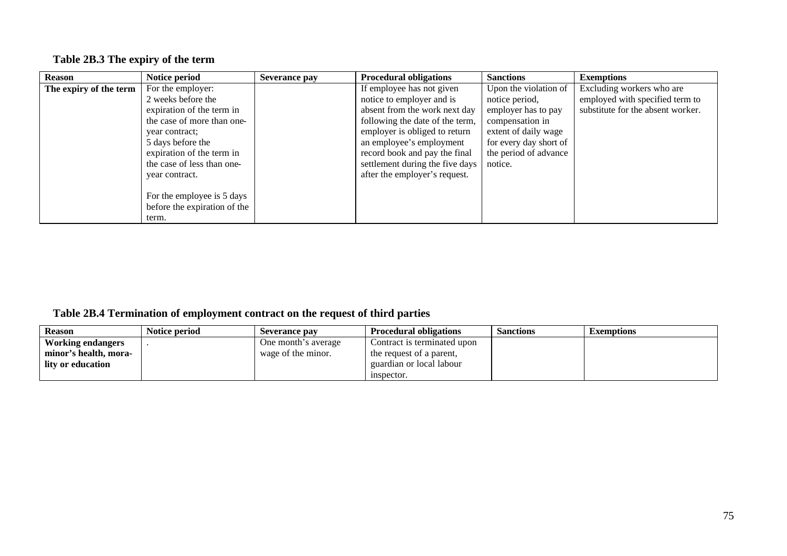# **Table 2B.3 The expiry of the term**

| <b>Reason</b>          | Notice period                | <b>Severance pay</b> | <b>Procedural obligations</b>   | <b>Sanctions</b>       | <b>Exemptions</b>                 |
|------------------------|------------------------------|----------------------|---------------------------------|------------------------|-----------------------------------|
| The expiry of the term | For the employer:            |                      | If employee has not given       | Upon the violation of  | Excluding workers who are         |
|                        | 2 weeks before the           |                      | notice to employer and is       | notice period,         | employed with specified term to   |
|                        | expiration of the term in    |                      | absent from the work next day   | employer has to pay    | substitute for the absent worker. |
|                        | the case of more than one-   |                      | following the date of the term, | compensation in        |                                   |
|                        | year contract:               |                      | employer is obliged to return   | extent of daily wage   |                                   |
|                        | 5 days before the            |                      | an employee's employment        | for every day short of |                                   |
|                        | expiration of the term in    |                      | record book and pay the final   | the period of advance  |                                   |
|                        | the case of less than one-   |                      | settlement during the five days | notice.                |                                   |
|                        | year contract.               |                      | after the employer's request.   |                        |                                   |
|                        |                              |                      |                                 |                        |                                   |
|                        | For the employee is 5 days   |                      |                                 |                        |                                   |
|                        | before the expiration of the |                      |                                 |                        |                                   |
|                        | term.                        |                      |                                 |                        |                                   |

## **Table 2B.4 Termination of employment contract on the request of third parties**

| <b>Reason</b>         | Notice period | Severance pay       | <b>Procedural obligations</b> | <b>Sanctions</b> | <b>Exemptions</b> |
|-----------------------|---------------|---------------------|-------------------------------|------------------|-------------------|
| Working endangers     |               | One month's average | Contract is terminated upon   |                  |                   |
| minor's health, mora- |               | wage of the minor.  | the request of a parent.      |                  |                   |
| l lity or education   |               |                     | guardian or local labour      |                  |                   |
|                       |               |                     | inspector.                    |                  |                   |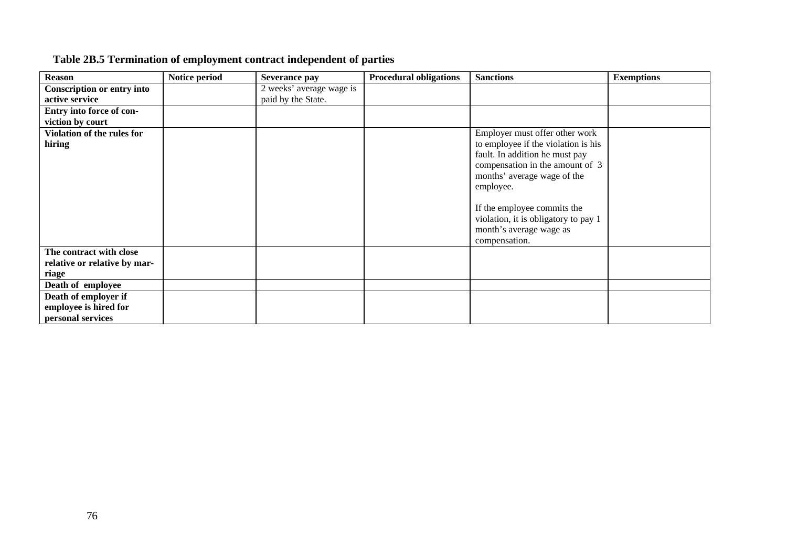| <b>Reason</b>                     | Notice period | <b>Severance pay</b>     | <b>Procedural obligations</b> | <b>Sanctions</b>                     | <b>Exemptions</b> |
|-----------------------------------|---------------|--------------------------|-------------------------------|--------------------------------------|-------------------|
| <b>Conscription or entry into</b> |               | 2 weeks' average wage is |                               |                                      |                   |
| active service                    |               | paid by the State.       |                               |                                      |                   |
| Entry into force of con-          |               |                          |                               |                                      |                   |
| viction by court                  |               |                          |                               |                                      |                   |
| Violation of the rules for        |               |                          |                               | Employer must offer other work       |                   |
| hiring                            |               |                          |                               | to employee if the violation is his  |                   |
|                                   |               |                          |                               | fault. In addition he must pay       |                   |
|                                   |               |                          |                               | compensation in the amount of 3      |                   |
|                                   |               |                          |                               | months' average wage of the          |                   |
|                                   |               |                          |                               | employee.                            |                   |
|                                   |               |                          |                               |                                      |                   |
|                                   |               |                          |                               | If the employee commits the          |                   |
|                                   |               |                          |                               | violation, it is obligatory to pay 1 |                   |
|                                   |               |                          |                               | month's average wage as              |                   |
|                                   |               |                          |                               | compensation.                        |                   |
| The contract with close           |               |                          |                               |                                      |                   |
| relative or relative by mar-      |               |                          |                               |                                      |                   |
| riage                             |               |                          |                               |                                      |                   |
| Death of employee                 |               |                          |                               |                                      |                   |
| Death of employer if              |               |                          |                               |                                      |                   |
| employee is hired for             |               |                          |                               |                                      |                   |
| personal services                 |               |                          |                               |                                      |                   |

# **Table 2B.5 Termination of employment contract independent of parties**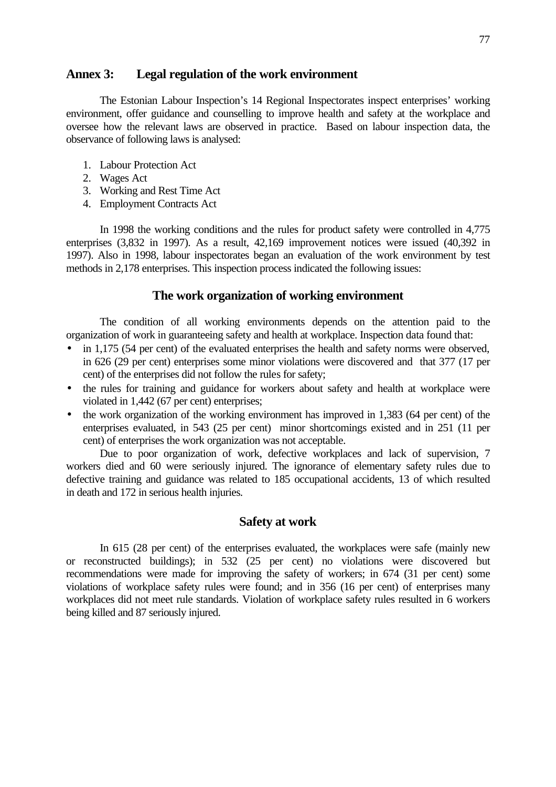## **Annex 3: Legal regulation of the work environment**

The Estonian Labour Inspection's 14 Regional Inspectorates inspect enterprises' working environment, offer guidance and counselling to improve health and safety at the workplace and oversee how the relevant laws are observed in practice. Based on labour inspection data, the observance of following laws is analysed:

- 1. Labour Protection Act
- 2. Wages Act
- 3. Working and Rest Time Act
- 4. Employment Contracts Act

In 1998 the working conditions and the rules for product safety were controlled in 4,775 enterprises (3,832 in 1997). As a result, 42,169 improvement notices were issued (40,392 in 1997). Also in 1998, labour inspectorates began an evaluation of the work environment by test methods in 2,178 enterprises. This inspection process indicated the following issues:

### **The work organization of working environment**

The condition of all working environments depends on the attention paid to the organization of work in guaranteeing safety and health at workplace. Inspection data found that:

- in 1,175 (54 per cent) of the evaluated enterprises the health and safety norms were observed, in 626 (29 per cent) enterprises some minor violations were discovered and that 377 (17 per cent) of the enterprises did not follow the rules for safety;
- the rules for training and guidance for workers about safety and health at workplace were violated in 1,442 (67 per cent) enterprises;
- the work organization of the working environment has improved in 1,383 (64 per cent) of the enterprises evaluated, in 543 (25 per cent) minor shortcomings existed and in 251 (11 per cent) of enterprises the work organization was not acceptable.

Due to poor organization of work, defective workplaces and lack of supervision, 7 workers died and 60 were seriously injured. The ignorance of elementary safety rules due to defective training and guidance was related to 185 occupational accidents, 13 of which resulted in death and 172 in serious health injuries.

### **Safety at work**

In 615 (28 per cent) of the enterprises evaluated, the workplaces were safe (mainly new or reconstructed buildings); in 532 (25 per cent) no violations were discovered but recommendations were made for improving the safety of workers; in 674 (31 per cent) some violations of workplace safety rules were found; and in 356 (16 per cent) of enterprises many workplaces did not meet rule standards. Violation of workplace safety rules resulted in 6 workers being killed and 87 seriously injured.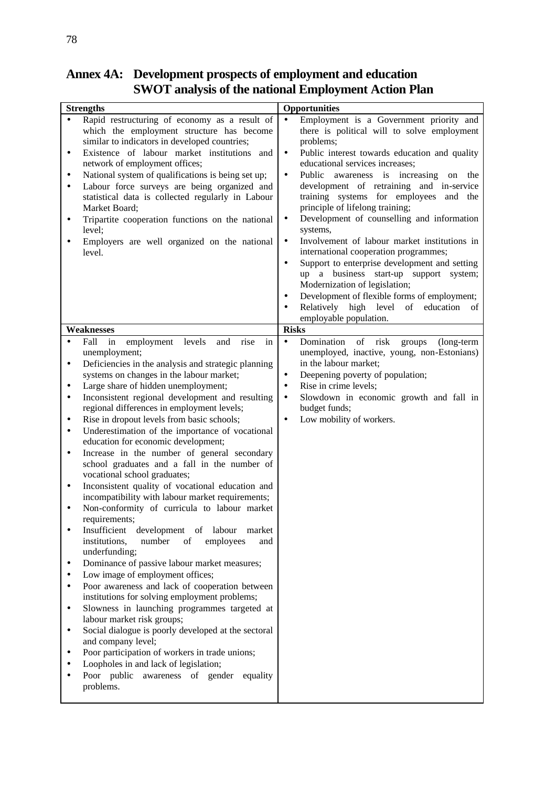| <b>Strengths</b><br>Rapid restructuring of economy as a result of<br>$\bullet$<br>which the employment structure has become<br>similar to indicators in developed countries;<br>Existence of labour market institutions and<br>٠<br>network of employment offices;                                                                                                                                                                                                                                                                                                                                                                                                                                                                                                                                                                                                                                                                                                                                                                                                                                                                                                                                                                                                                                                                                                                                                                                                                                     | <b>Opportunities</b><br>Employment is a Government priority and<br>$\bullet$<br>there is political will to solve employment<br>problems;<br>Public interest towards education and quality<br>$\bullet$<br>educational services increases;                                                                                                                                                                                                                                                                                                                                                                                                       |
|--------------------------------------------------------------------------------------------------------------------------------------------------------------------------------------------------------------------------------------------------------------------------------------------------------------------------------------------------------------------------------------------------------------------------------------------------------------------------------------------------------------------------------------------------------------------------------------------------------------------------------------------------------------------------------------------------------------------------------------------------------------------------------------------------------------------------------------------------------------------------------------------------------------------------------------------------------------------------------------------------------------------------------------------------------------------------------------------------------------------------------------------------------------------------------------------------------------------------------------------------------------------------------------------------------------------------------------------------------------------------------------------------------------------------------------------------------------------------------------------------------|-------------------------------------------------------------------------------------------------------------------------------------------------------------------------------------------------------------------------------------------------------------------------------------------------------------------------------------------------------------------------------------------------------------------------------------------------------------------------------------------------------------------------------------------------------------------------------------------------------------------------------------------------|
| National system of qualifications is being set up;<br>$\bullet$<br>Labour force surveys are being organized and<br>$\bullet$<br>statistical data is collected regularly in Labour<br>Market Board;<br>Tripartite cooperation functions on the national<br>٠<br>level;<br>Employers are well organized on the national<br>level.                                                                                                                                                                                                                                                                                                                                                                                                                                                                                                                                                                                                                                                                                                                                                                                                                                                                                                                                                                                                                                                                                                                                                                        | Public<br>awareness is increasing on<br>$\bullet$<br>the<br>development of retraining and in-service<br>training systems for employees and the<br>principle of lifelong training;<br>Development of counselling and information<br>$\bullet$<br>systems,<br>Involvement of labour market institutions in<br>$\bullet$<br>international cooperation programmes;<br>Support to enterprise development and setting<br>$\bullet$<br>up a business start-up support system;<br>Modernization of legislation;<br>Development of flexible forms of employment;<br>$\bullet$<br>Relatively high level of<br>education<br>- of<br>employable population. |
| Weaknesses                                                                                                                                                                                                                                                                                                                                                                                                                                                                                                                                                                                                                                                                                                                                                                                                                                                                                                                                                                                                                                                                                                                                                                                                                                                                                                                                                                                                                                                                                             | <b>Risks</b>                                                                                                                                                                                                                                                                                                                                                                                                                                                                                                                                                                                                                                    |
| Fall<br>employment<br>levels<br>rise<br>and<br>in<br>in<br>$\bullet$<br>unemployment;<br>Deficiencies in the analysis and strategic planning<br>٠<br>systems on changes in the labour market;<br>Large share of hidden unemployment;<br>$\bullet$<br>Inconsistent regional development and resulting<br>$\bullet$<br>regional differences in employment levels;<br>Rise in dropout levels from basic schools;<br>٠<br>Underestimation of the importance of vocational<br>$\bullet$<br>education for economic development;<br>Increase in the number of general secondary<br>٠<br>school graduates and a fall in the number of<br>vocational school graduates;<br>Inconsistent quality of vocational education and<br>٠<br>incompatibility with labour market requirements;<br>Non-conformity of curricula to labour market<br>requirements;<br>Insufficient<br>development of labour<br>market<br>institutions,<br>of<br>number<br>employees<br>and<br>underfunding;<br>Dominance of passive labour market measures;<br>٠<br>Low image of employment offices;<br>Poor awareness and lack of cooperation between<br>$\bullet$<br>institutions for solving employment problems;<br>Slowness in launching programmes targeted at<br>٠<br>labour market risk groups;<br>Social dialogue is poorly developed at the sectoral<br>٠<br>and company level;<br>Poor participation of workers in trade unions;<br>Loopholes in and lack of legislation;<br>Poor public awareness of gender equality<br>problems. | risk<br>Domination<br>of<br>groups<br>(long-term<br>$\bullet$<br>unemployed, inactive, young, non-Estonians)<br>in the labour market;<br>Deepening poverty of population;<br>$\bullet$<br>Rise in crime levels;<br>$\bullet$<br>Slowdown in economic growth and fall in<br>$\bullet$<br>budget funds;<br>Low mobility of workers.<br>$\bullet$                                                                                                                                                                                                                                                                                                  |

## **Annex 4A: Development prospects of employment and education SWOT analysis of the national Employment Action Plan**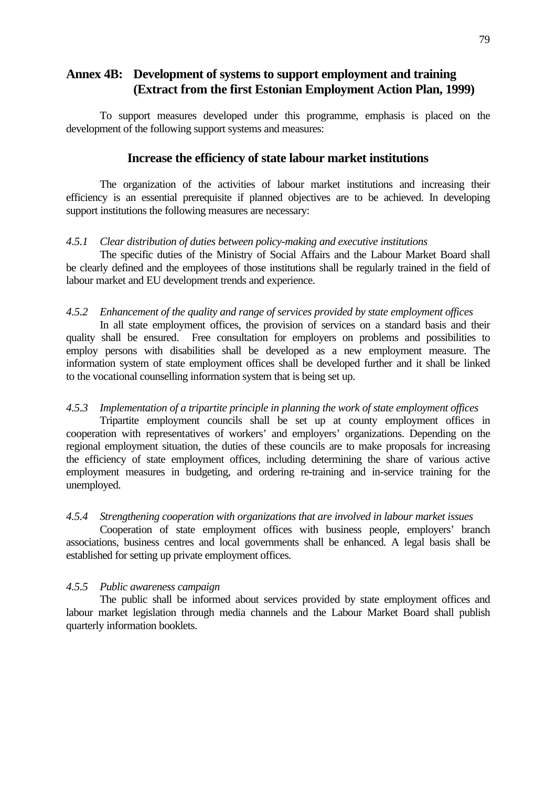## **Annex 4B: Development of systems to support employment and training (Extract from the first Estonian Employment Action Plan, 1999)**

To support measures developed under this programme, emphasis is placed on the development of the following support systems and measures:

## **Increase the efficiency of state labour market institutions**

The organization of the activities of labour market institutions and increasing their efficiency is an essential prerequisite if planned objectives are to be achieved. In developing support institutions the following measures are necessary:

#### *4.5.1 Clear distribution of duties between policy-making and executive institutions*

The specific duties of the Ministry of Social Affairs and the Labour Market Board shall be clearly defined and the employees of those institutions shall be regularly trained in the field of labour market and EU development trends and experience.

#### *4.5.2 Enhancement of the quality and range of services provided by state employment offices*

In all state employment offices, the provision of services on a standard basis and their quality shall be ensured. Free consultation for employers on problems and possibilities to employ persons with disabilities shall be developed as a new employment measure. The information system of state employment offices shall be developed further and it shall be linked to the vocational counselling information system that is being set up.

### *4.5.3 Implementation of a tripartite principle in planning the work of state employment offices*

Tripartite employment councils shall be set up at county employment offices in cooperation with representatives of workers' and employers' organizations. Depending on the regional employment situation, the duties of these councils are to make proposals for increasing the efficiency of state employment offices, including determining the share of various active employment measures in budgeting, and ordering re-training and in-service training for the unemployed.

#### *4.5.4 Strengthening cooperation with organizations that are involved in labour market issues*

Cooperation of state employment offices with business people, employers' branch associations, business centres and local governments shall be enhanced. A legal basis shall be established for setting up private employment offices.

#### *4.5.5 Public awareness campaign*

The public shall be informed about services provided by state employment offices and labour market legislation through media channels and the Labour Market Board shall publish quarterly information booklets.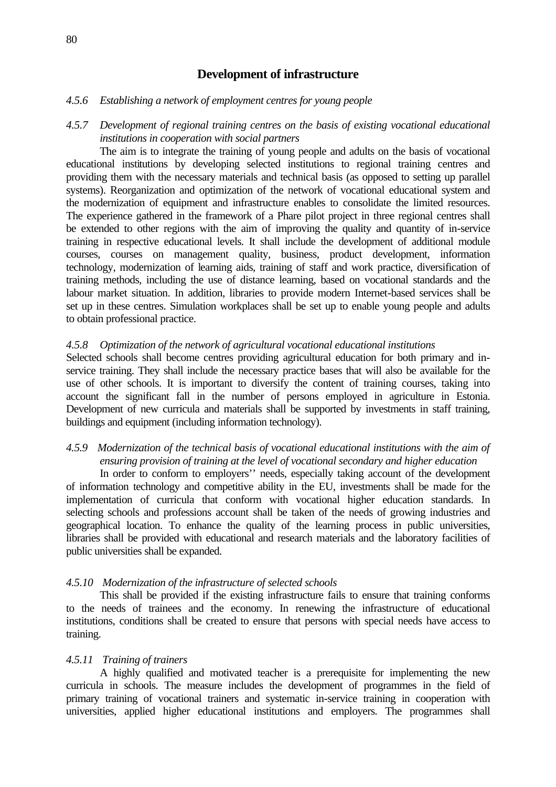## **Development of infrastructure**

#### *4.5.6 Establishing a network of employment centres for young people*

## *4.5.7 Development of regional training centres on the basis of existing vocational educational institutions in cooperation with social partners*

The aim is to integrate the training of young people and adults on the basis of vocational educational institutions by developing selected institutions to regional training centres and providing them with the necessary materials and technical basis (as opposed to setting up parallel systems). Reorganization and optimization of the network of vocational educational system and the modernization of equipment and infrastructure enables to consolidate the limited resources. The experience gathered in the framework of a Phare pilot project in three regional centres shall be extended to other regions with the aim of improving the quality and quantity of in-service training in respective educational levels. It shall include the development of additional module courses, courses on management quality, business, product development, information technology, modernization of learning aids, training of staff and work practice, diversification of training methods, including the use of distance learning, based on vocational standards and the labour market situation. In addition, libraries to provide modern Internet-based services shall be set up in these centres. Simulation workplaces shall be set up to enable young people and adults to obtain professional practice.

#### *4.5.8 Optimization of the network of agricultural vocational educational institutions*

Selected schools shall become centres providing agricultural education for both primary and inservice training. They shall include the necessary practice bases that will also be available for the use of other schools. It is important to diversify the content of training courses, taking into account the significant fall in the number of persons employed in agriculture in Estonia. Development of new curricula and materials shall be supported by investments in staff training, buildings and equipment (including information technology).

## *4.5.9 Modernization of the technical basis of vocational educational institutions with the aim of ensuring provision of training at the level of vocational secondary and higher education*

In order to conform to employers'' needs, especially taking account of the development of information technology and competitive ability in the EU, investments shall be made for the implementation of curricula that conform with vocational higher education standards. In selecting schools and professions account shall be taken of the needs of growing industries and geographical location. To enhance the quality of the learning process in public universities, libraries shall be provided with educational and research materials and the laboratory facilities of public universities shall be expanded.

#### *4.5.10 Modernization of the infrastructure of selected schools*

This shall be provided if the existing infrastructure fails to ensure that training conforms to the needs of trainees and the economy. In renewing the infrastructure of educational institutions, conditions shall be created to ensure that persons with special needs have access to training.

#### *4.5.11 Training of trainers*

A highly qualified and motivated teacher is a prerequisite for implementing the new curricula in schools. The measure includes the development of programmes in the field of primary training of vocational trainers and systematic in-service training in cooperation with universities, applied higher educational institutions and employers. The programmes shall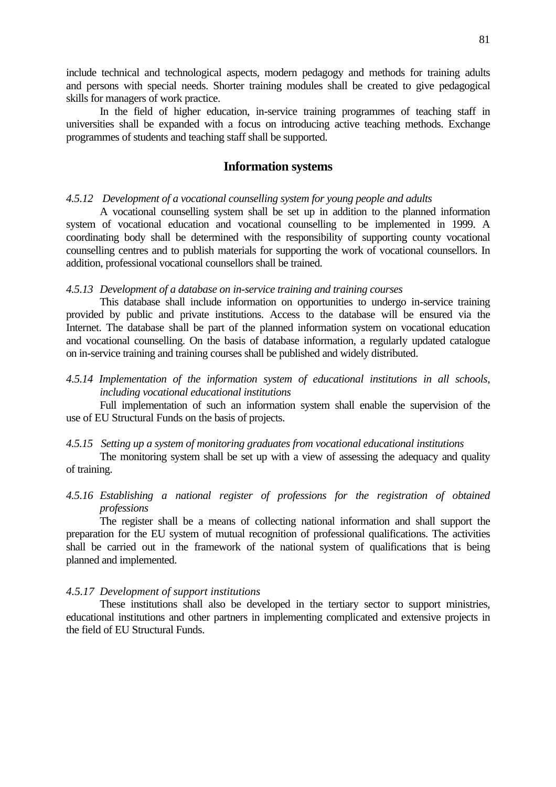include technical and technological aspects, modern pedagogy and methods for training adults and persons with special needs. Shorter training modules shall be created to give pedagogical skills for managers of work practice.

In the field of higher education, in-service training programmes of teaching staff in universities shall be expanded with a focus on introducing active teaching methods. Exchange programmes of students and teaching staff shall be supported.

## **Information systems**

### *4.5.12 Development of a vocational counselling system for young people and adults*

A vocational counselling system shall be set up in addition to the planned information system of vocational education and vocational counselling to be implemented in 1999. A coordinating body shall be determined with the responsibility of supporting county vocational counselling centres and to publish materials for supporting the work of vocational counsellors. In addition, professional vocational counsellors shall be trained.

### *4.5.13 Development of a database on in-service training and training courses*

This database shall include information on opportunities to undergo in-service training provided by public and private institutions. Access to the database will be ensured via the Internet. The database shall be part of the planned information system on vocational education and vocational counselling. On the basis of database information, a regularly updated catalogue on in-service training and training courses shall be published and widely distributed.

*4.5.14 Implementation of the information system of educational institutions in all schools, including vocational educational institutions*

Full implementation of such an information system shall enable the supervision of the use of EU Structural Funds on the basis of projects.

### *4.5.15 Setting up a system of monitoring graduates from vocational educational institutions*

The monitoring system shall be set up with a view of assessing the adequacy and quality of training.

## *4.5.16 Establishing a national register of professions for the registration of obtained professions*

The register shall be a means of collecting national information and shall support the preparation for the EU system of mutual recognition of professional qualifications. The activities shall be carried out in the framework of the national system of qualifications that is being planned and implemented.

### *4.5.17 Development of support institutions*

These institutions shall also be developed in the tertiary sector to support ministries, educational institutions and other partners in implementing complicated and extensive projects in the field of EU Structural Funds.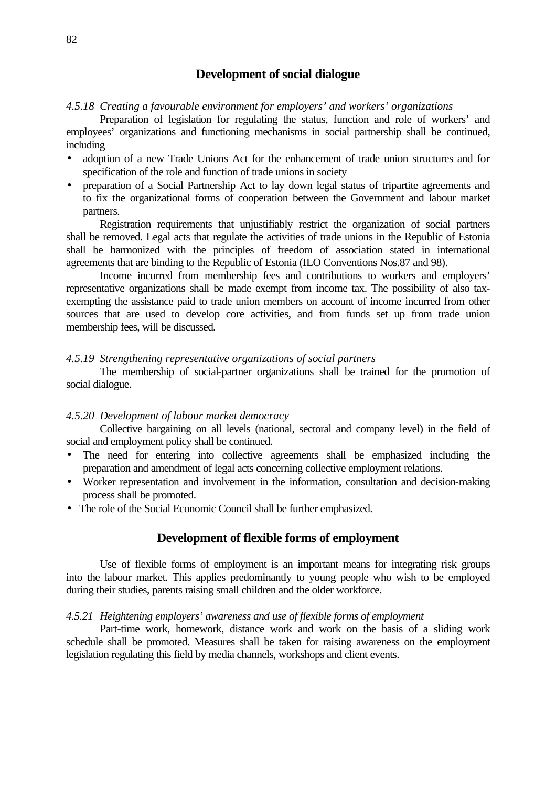## **Development of social dialogue**

#### *4.5.18 Creating a favourable environment for employers' and workers' organizations*

Preparation of legislation for regulating the status, function and role of workers' and employees' organizations and functioning mechanisms in social partnership shall be continued, including

- adoption of a new Trade Unions Act for the enhancement of trade union structures and for specification of the role and function of trade unions in society
- preparation of a Social Partnership Act to lay down legal status of tripartite agreements and to fix the organizational forms of cooperation between the Government and labour market partners.

Registration requirements that unjustifiably restrict the organization of social partners shall be removed. Legal acts that regulate the activities of trade unions in the Republic of Estonia shall be harmonized with the principles of freedom of association stated in international agreements that are binding to the Republic of Estonia (ILO Conventions Nos.87 and 98).

Income incurred from membership fees and contributions to workers and employers' representative organizations shall be made exempt from income tax. The possibility of also taxexempting the assistance paid to trade union members on account of income incurred from other sources that are used to develop core activities, and from funds set up from trade union membership fees, will be discussed.

#### *4.5.19 Strengthening representative organizations of social partners*

The membership of social-partner organizations shall be trained for the promotion of social dialogue.

#### *4.5.20 Development of labour market democracy*

Collective bargaining on all levels (national, sectoral and company level) in the field of social and employment policy shall be continued.

- The need for entering into collective agreements shall be emphasized including the preparation and amendment of legal acts concerning collective employment relations.
- Worker representation and involvement in the information, consultation and decision-making process shall be promoted.
- The role of the Social Economic Council shall be further emphasized.

## **Development of flexible forms of employment**

Use of flexible forms of employment is an important means for integrating risk groups into the labour market. This applies predominantly to young people who wish to be employed during their studies, parents raising small children and the older workforce.

#### *4.5.21 Heightening employers' awareness and use of flexible forms of employment*

Part-time work, homework, distance work and work on the basis of a sliding work schedule shall be promoted. Measures shall be taken for raising awareness on the employment legislation regulating this field by media channels, workshops and client events.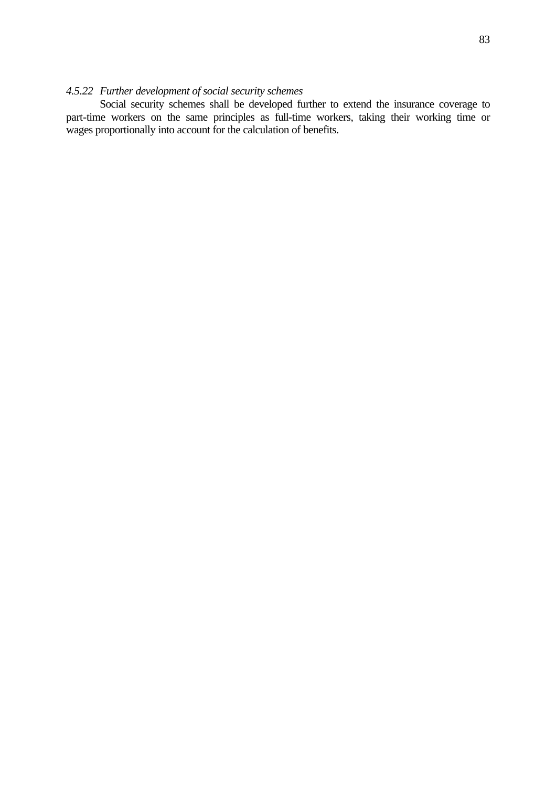## *4.5.22 Further development of social security schemes*

Social security schemes shall be developed further to extend the insurance coverage to part-time workers on the same principles as full-time workers, taking their working time or wages proportionally into account for the calculation of benefits.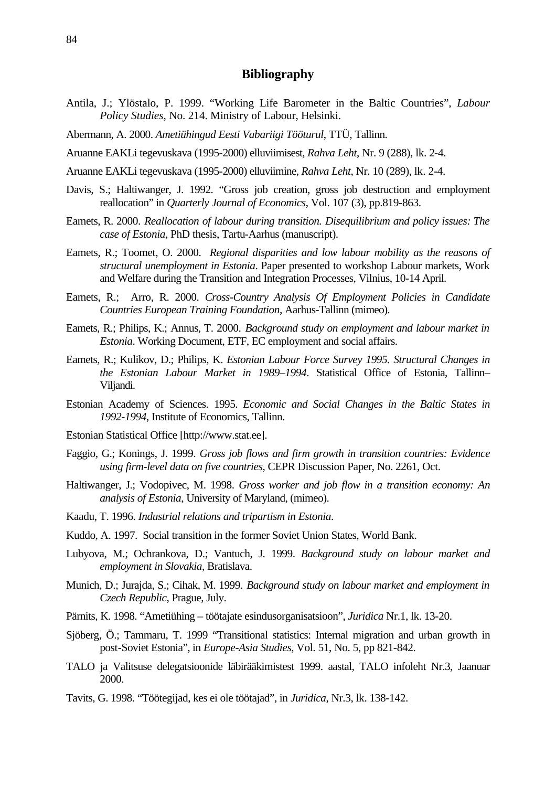## **Bibliography**

- Antila, J.; Ylöstalo, P. 1999. "Working Life Barometer in the Baltic Countries", *Labour Policy Studies*, No. 214. Ministry of Labour, Helsinki.
- Abermann, A. 2000. *Ametiühingud Eesti Vabariigi Tööturul*, TTÜ, Tallinn.
- Aruanne EAKLi tegevuskava (1995-2000) elluviimisest, *Rahva Leht*, Nr. 9 (288), lk. 2-4.
- Aruanne EAKLi tegevuskava (1995-2000) elluviimine, *Rahva Leht*, Nr. 10 (289), lk. 2-4.
- Davis, S.; Haltiwanger, J. 1992. "Gross job creation, gross job destruction and employment reallocation" in *Quarterly Journal of Economics*, Vol. 107 (3), pp.819-863.
- Eamets, R. 2000. *Reallocation of labour during transition. Disequilibrium and policy issues: The case of Estonia*, PhD thesis, Tartu-Aarhus (manuscript).
- Eamets, R.; Toomet, O. 2000. *Regional disparities and low labour mobility as the reasons of structural unemployment in Estonia*. Paper presented to workshop Labour markets, Work and Welfare during the Transition and Integration Processes, Vilnius, 10-14 April.
- Eamets, R.; Arro, R. 2000. *Cross-Country Analysis Of Employment Policies in Candidate Countries European Training Foundation*, Aarhus-Tallinn (mimeo).
- Eamets, R.; Philips, K.; Annus, T. 2000. *Background study on employment and labour market in Estonia*. Working Document, ETF, EC employment and social affairs.
- Eamets, R.; Kulikov, D.; Philips, K. *Estonian Labour Force Survey 1995. Structural Changes in the Estonian Labour Market in 1989–1994*. Statistical Office of Estonia, Tallinn– Viljandi.
- Estonian Academy of Sciences. 1995. *Economic and Social Changes in the Baltic States in 1992-1994*, Institute of Economics, Tallinn.
- Estonian Statistical Office [http://www.stat.ee].
- Faggio, G.; Konings, J. 1999. *Gross job flows and firm growth in transition countries: Evidence using firm-level data on five countries*, CEPR Discussion Paper, No. 2261, Oct.
- Haltiwanger, J.; Vodopivec, M. 1998. *Gross worker and job flow in a transition economy: An analysis of Estonia*, University of Maryland, (mimeo).
- Kaadu, T. 1996. *Industrial relations and tripartism in Estonia*.
- Kuddo, A. 1997. Social transition in the former Soviet Union States, World Bank.
- Lubyova, M.; Ochrankova, D.; Vantuch, J. 1999. *Background study on labour market and employment in Slovakia*, Bratislava.
- Munich, D.; Jurajda, S.; Cihak, M. 1999. *Background study on labour market and employment in Czech Republic*, Prague, July.
- Pärnits, K. 1998. "Ametiühing töötajate esindusorganisatsioon", *Juridica* Nr.1, lk. 13-20.
- Sjöberg, Ö.; Tammaru, T. 1999 "Transitional statistics: Internal migration and urban growth in post-Soviet Estonia", in *Europe-Asia Studies*, Vol. 51, No. 5, pp 821-842.
- TALO ja Valitsuse delegatsioonide läbirääkimistest 1999. aastal, TALO infoleht Nr.3, Jaanuar 2000.
- Tavits, G. 1998. "Töötegijad, kes ei ole töötajad", in *Juridica*, Nr.3, lk. 138-142.